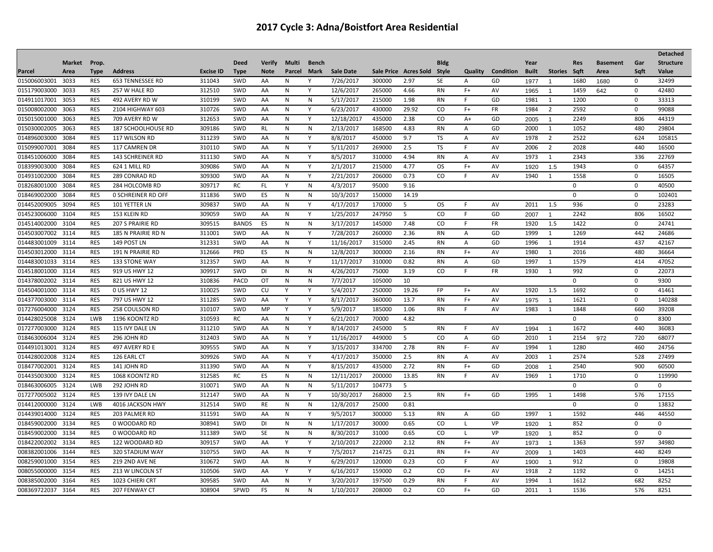| <b>Market</b><br>Prop.<br><b>Deed</b><br><b>Verify</b><br>Multi<br><b>Bldg</b><br>Year<br><b>Structure</b><br><b>Bench</b><br><b>Res</b><br><b>Basement</b><br>Gar<br><b>Sale Date</b><br><b>Type</b><br><b>Address</b><br><b>Excise ID</b><br><b>Note</b><br>Parcel<br>Sale Price Acres Sold Style<br>Quality<br>Condition<br><b>Built</b><br>Stories<br>Sqft<br>Sqft<br>Value<br>Parcel<br>Area<br><b>Type</b><br>Mark<br>Area<br>7/26/2017<br>015006003001 3033<br><b>RES</b><br><b>653 TENNESSEE RD</b><br>311043<br>SWD<br>AA<br>300000<br>2.97<br>SE<br>GD<br>$\mathbf 0$<br>32499<br>N<br>A<br>1680<br>1680<br>1977<br>$\overline{1}$<br><b>RES</b><br>312510<br>42480<br>015179003000<br>3033<br>257 W HALE RD<br><b>SWD</b><br>AA<br>N<br>Y<br>12/6/2017<br>265000<br>4.66<br><b>RN</b><br>$F+$<br>AV<br>1459<br>0<br>642<br>1965<br>$\mathbf{1}$<br>310199<br>5/17/2017<br>014911017001<br>3053<br>RES<br>SWD<br>N<br>N<br>215000<br>1.98<br>GD<br>1981<br>1200<br>$\mathbf 0$<br>33313<br>492 AVERY RD W<br>AA<br>RN<br>F.<br>1<br>015008002000<br>3063<br><b>RES</b><br>2104 HIGHWAY 603<br>310726<br>SWD<br>AA<br>N<br>Y<br>6/23/2017<br>430000<br>29.92<br>CO.<br>$F+$<br>FR<br>1984<br>$\overline{2}$<br>2592<br>$\mathbf 0$<br>99088<br>312653<br>015015001000<br>3063<br><b>RES</b><br>709 AVERY RD W<br>SWD<br>AA<br>N<br>Y<br>12/18/2017<br>435000<br>2.38<br><b>CO</b><br>$A+$<br>GD<br>2249<br>806<br>44319<br>2005<br>$\mathbf{1}$<br><b>RES</b><br>309186<br>168500<br>480<br>015030002005<br>3063<br>SWD<br>N<br>2/13/2017<br>4.83<br>2000<br>1052<br>29804<br><b>187 SCHOOLHOUSE RD</b><br>RL<br>N<br>RN<br>GD<br>1<br>A<br>2522<br>RES<br>311239<br>SWD<br>8/8/2017<br>450000<br><b>TS</b><br>AV<br>1978<br>624<br>105815<br>014896003000<br>3084<br>117 WILSON RD<br>AA<br>N<br>Y<br>9.7<br>$\overline{2}$<br>A<br>015099007001<br>3084<br><b>RES</b><br>117 CAMREN DR<br>310110<br>SWD<br>AA<br>N<br>Y<br>5/11/2017<br>269000<br>2.5<br>TS<br>F.<br>AV<br>2006<br>$\overline{2}$<br>2028<br>440<br>16500<br>018451006000<br>3084<br><b>RES</b><br><b>143 SCHREINER RD</b><br>311130<br><b>SWD</b><br>AA<br>Y<br>8/5/2017<br>310000<br>4.94<br><b>RN</b><br>AV<br>1973<br>2343<br>336<br>22769<br>N<br>A<br>1<br>018399003000<br><b>RES</b><br>309086<br>SWD<br>AA<br>$\mathsf{N}$<br>Y<br>2/1/2017<br>215000<br>4.77<br><b>OS</b><br>$F+$<br>AV<br>1943<br>64357<br>3084<br>624 1 MILL RD<br>$\mathbf 0$<br>1920<br>1.5<br><b>RES</b><br>309300<br>Y<br>2/21/2017<br>0.73<br>CO<br>014931002000<br>3084<br>289 CONRAD RD<br>SWD<br>N<br>206000<br>AV<br>1940<br>1558<br>$\mathbf 0$<br>16505<br>AA<br>F<br>1<br>RES<br>309717<br>${\sf N}$<br>95000<br>40500<br>018268001000<br><b>RC</b><br>FL.<br>4/3/2017<br>9.16<br>$\mathbf 0$<br>3084<br>284 HOLCOMB RD<br>Y<br>$\mathbf 0$<br><b>RES</b><br>311836<br>SWD<br>ES<br>10/3/2017<br>018469002000<br>3084<br><b>0 SCHREINER RD OFF</b><br>N<br>${\sf N}$<br>150000<br>14.19<br>$\mathbf 0$<br>$\mathbf 0$<br>102401<br>309837<br>4/17/2017<br>014452009005<br>3094<br><b>RES</b><br>SWD<br>Y<br>170000<br><b>OS</b><br>AV<br>2011<br>936<br>$\mathbf 0$<br>23283<br>101 YETTER LN<br>AA<br>N<br>5<br>F<br>1.5<br>014523006000<br><b>RES</b><br>5<br>806<br>3104<br>153 KLEIN RD<br>309059<br>SWD<br>AA<br>N<br>Y<br>1/25/2017<br>247950<br><sub>CO</sub><br>F.<br>GD<br>2242<br>16502<br>2007<br>$\mathbf{1}$<br>014514002000 3104<br><b>RES</b><br>309515<br><b>BANDS</b><br>ES<br>${\sf N}$<br>3/17/2017<br>145000<br>FR<br>1920<br>1422<br>24741<br>207 S PRAIRIE RD<br>N<br>7.48<br>CO<br>F.<br>1.5<br>0<br><b>RES</b><br>Y<br>7/28/2017<br>260000<br>2.36<br>1269<br>442<br>24686<br>014503007002<br>3114<br>311001<br>SWD<br>AA<br>N<br><b>RN</b><br>GD<br>1999<br>185 N PRAIRIE RD N<br>Α<br>1<br>014483001009 3114<br><b>RES</b><br>149 POST LN<br>312331<br>SWD<br>Y<br>11/16/2017<br>315000<br>2.45<br><b>RN</b><br>1996<br>1914<br>437<br>42167<br>AA<br>N<br>A<br>GD<br>1<br>014503012000 3114<br><b>RES</b><br>312666<br>PRD<br>ES<br>${\sf N}$<br>12/8/2017<br>300000<br>2.16<br><b>RN</b><br>$F+$<br>AV<br>1980<br>2016<br>480<br>191 N PRAIRIE RD<br>N<br>1<br>36664<br>014483001033<br>312357<br><b>RES</b><br>SWD<br>Y<br>11/17/2017<br>310000<br>0.82<br>GD<br>414<br>47052<br>3114<br>133 STONE WAY<br>AA<br>N<br>RN<br>A<br>1997<br>1<br>1579<br>014518001000<br>3114<br><b>RES</b><br>919 US HWY 12<br>309917<br>SWD<br><b>DI</b><br>N<br>${\sf N}$<br>4/26/2017<br>75000<br>3.19<br>CO<br>F.<br>FR<br>1930<br>992<br>$\mathbf 0$<br>22073<br>1<br>7/7/2017<br>014378002002<br><b>RES</b><br>310836<br>PACD<br>OT<br>N<br>N<br>105000<br>10<br>$\mathbf 0$<br>9300<br>3114<br>821 US HWY 12<br>$\mathbf 0$<br>014504001000 3114<br><b>RES</b><br>310025<br>SWD<br><b>CU</b><br>Y<br>5/4/2017<br>250000<br>19.26<br><b>FP</b><br>AV<br>1920<br>1.5<br>1692<br>$\mathbf 0$<br>41461<br>0 US HWY 12<br>Y<br>F+<br><b>RES</b><br>311285<br>014377003000 3114<br>797 US HWY 12<br>SWD<br>AA<br>Y<br>8/17/2017<br>360000<br>13.7<br><b>RN</b><br>$F+$<br>AV<br>1621<br>$\mathbf 0$<br>140288<br>Υ<br>1975<br>$\mathbf{1}$<br>017276004000<br>310107<br>5/9/2017<br>185000<br>3124<br>RES<br>258 COULSON RD<br>SWD<br>MP<br>Y<br>1.06<br>RN<br>F.<br>AV<br>1983<br>1848<br>660<br>39208<br>Y<br>1<br>LWB<br>014428025008<br>3124<br>1196 KOONTZ RD<br>310593<br>RC<br>AA<br>N<br>Y<br>6/21/2017<br>70000<br>4.82<br>$\mathbf 0$<br>$\mathbf 0$<br>8300<br>017277003000<br><b>RES</b><br>311210<br>SWD<br>Y<br>440<br>3124<br>115 IVY DALE LN<br>AA<br>N<br>8/14/2017<br>245000<br>5<br><b>RN</b><br>F.<br>AV<br>1672<br>36083<br>1994<br>$\mathbf{1}$<br>312403<br>11/16/2017<br>720<br>018463006004<br>3124<br><b>RES</b><br>296 JOHN RD<br><b>SWD</b><br>AA<br>N<br>Y<br>449000<br>5<br>CO.<br>GD<br>2010<br>1<br>2154<br>68077<br>$\overline{A}$<br>972<br>014491013001 3124<br><b>RES</b><br>309555<br>SWD<br>N<br>Y<br>3/15/2017<br>334700<br>2.78<br><b>RN</b><br>F-<br>AV<br>1994<br>1280<br>460<br>24756<br>497 AVERY RD E<br>AA<br>1<br>014428002008 3124<br><b>RES</b><br>309926<br>Y<br>4/17/2017<br>350000<br>2.5<br>2574<br>528<br>126 EARL CT<br>SWD<br>AA<br>N<br><b>RN</b><br>AV<br>2003<br>27499<br>A<br>1<br>018477002001<br><b>RES</b><br>311390<br>8/15/2017<br>2.72<br>2540<br>3124<br>141 JOHN RD<br>SWD<br>AA<br>N<br>Y<br>435000<br><b>RN</b><br>F+<br>GD<br>900<br>60500<br>2008<br>$\mathbf{1}$<br>014435003000<br><b>RES</b><br>312585<br><b>RC</b><br>${\sf N}$<br>12/11/2017<br>200000<br>13.85<br><b>RN</b><br>AV<br>1710<br>119990<br>3124<br>1068 KOONTZ RD<br>ES<br>N<br>F.<br>1969<br>1<br>$\mathbf 0$<br>018463006005<br><b>LWB</b><br>310071<br>SWD<br>N<br>${\sf N}$<br>5/11/2017<br>104773<br>3124<br>292 JOHN RD<br>AA<br>$\mathbf 0$<br>$\mathbf 0$<br>0<br>5<br>2.5<br>576<br>017277005002 3124<br><b>RES</b><br>312147<br>SWD<br>Y<br>10/30/2017<br>268000<br><b>RN</b><br>$F+$<br>GD<br>1995<br>1498<br>17155<br>139 IVY DALE LN<br>AA<br>N<br>1<br>312514<br>014412000000 3124<br>LWB<br>4016 JACKSON HWY<br>SWD<br>RE<br>${\sf N}$<br>12/8/2017<br>25000<br>0.81<br>$\mathbf 0$<br>$\mathbf 0$<br>13832<br>N<br><b>RES</b><br>311591<br>9/5/2017<br>300000<br>5.13<br>1997<br>1592<br>446<br>44550<br>014439014000<br>3124<br>203 PALMER RD<br>SWD<br>AA<br>N<br>Y<br>RN<br>Α<br>GD<br>1 |  |  |  |  |  |  |  |  |  |  | <b>Detached</b> |
|------------------------------------------------------------------------------------------------------------------------------------------------------------------------------------------------------------------------------------------------------------------------------------------------------------------------------------------------------------------------------------------------------------------------------------------------------------------------------------------------------------------------------------------------------------------------------------------------------------------------------------------------------------------------------------------------------------------------------------------------------------------------------------------------------------------------------------------------------------------------------------------------------------------------------------------------------------------------------------------------------------------------------------------------------------------------------------------------------------------------------------------------------------------------------------------------------------------------------------------------------------------------------------------------------------------------------------------------------------------------------------------------------------------------------------------------------------------------------------------------------------------------------------------------------------------------------------------------------------------------------------------------------------------------------------------------------------------------------------------------------------------------------------------------------------------------------------------------------------------------------------------------------------------------------------------------------------------------------------------------------------------------------------------------------------------------------------------------------------------------------------------------------------------------------------------------------------------------------------------------------------------------------------------------------------------------------------------------------------------------------------------------------------------------------------------------------------------------------------------------------------------------------------------------------------------------------------------------------------------------------------------------------------------------------------------------------------------------------------------------------------------------------------------------------------------------------------------------------------------------------------------------------------------------------------------------------------------------------------------------------------------------------------------------------------------------------------------------------------------------------------------------------------------------------------------------------------------------------------------------------------------------------------------------------------------------------------------------------------------------------------------------------------------------------------------------------------------------------------------------------------------------------------------------------------------------------------------------------------------------------------------------------------------------------------------------------------------------------------------------------------------------------------------------------------------------------------------------------------------------------------------------------------------------------------------------------------------------------------------------------------------------------------------------------------------------------------------------------------------------------------------------------------------------------------------------------------------------------------------------------------------------------------------------------------------------------------------------------------------------------------------------------------------------------------------------------------------------------------------------------------------------------------------------------------------------------------------------------------------------------------------------------------------------------------------------------------------------------------------------------------------------------------------------------------------------------------------------------------------------------------------------------------------------------------------------------------------------------------------------------------------------------------------------------------------------------------------------------------------------------------------------------------------------------------------------------------------------------------------------------------------------------------------------------------------------------------------------------------------------------------------------------------------------------------------------------------------------------------------------------------------------------------------------------------------------------------------------------------------------------------------------------------------------------------------------------------------------------------------------------------------------------------------------------------------------------------------------------------------------------------------------------------------------------------------------------------------------------------------------------------------------------------------------------------------------------------------------------------------------------------------------------------------------------------------------------------------------------------------------------------------------------------------------------------------------------------------------------------------------------------------------------------------------------------------------------------------------------------------------------------------------------------------------------------------------------------------------------------------------------------------------------------------------------------------------------------------------------------------------------------------------------------------------------------------------------------------------------------------------------------------------------------------------------------------------------------------------------------------------------------------------------------------------------------------------------------------------------------------------------------------------------------------------------------------------------------------------------------------------------------------------------------------------------------------------------------|--|--|--|--|--|--|--|--|--|--|-----------------|
|                                                                                                                                                                                                                                                                                                                                                                                                                                                                                                                                                                                                                                                                                                                                                                                                                                                                                                                                                                                                                                                                                                                                                                                                                                                                                                                                                                                                                                                                                                                                                                                                                                                                                                                                                                                                                                                                                                                                                                                                                                                                                                                                                                                                                                                                                                                                                                                                                                                                                                                                                                                                                                                                                                                                                                                                                                                                                                                                                                                                                                                                                                                                                                                                                                                                                                                                                                                                                                                                                                                                                                                                                                                                                                                                                                                                                                                                                                                                                                                                                                                                                                                                                                                                                                                                                                                                                                                                                                                                                                                                                                                                                                                                                                                                                                                                                                                                                                                                                                                                                                                                                                                                                                                                                                                                                                                                                                                                                                                                                                                                                                                                                                                                                                                                                                                                                                                                                                                                                                                                                                                                                                                                                                                                                                                                                                                                                                                                                                                                                                                                                                                                                                                                                                                                                                                                                                                                                                                                                                                                                                                                                                                                                                                                                                                                                                                                    |  |  |  |  |  |  |  |  |  |  |                 |
|                                                                                                                                                                                                                                                                                                                                                                                                                                                                                                                                                                                                                                                                                                                                                                                                                                                                                                                                                                                                                                                                                                                                                                                                                                                                                                                                                                                                                                                                                                                                                                                                                                                                                                                                                                                                                                                                                                                                                                                                                                                                                                                                                                                                                                                                                                                                                                                                                                                                                                                                                                                                                                                                                                                                                                                                                                                                                                                                                                                                                                                                                                                                                                                                                                                                                                                                                                                                                                                                                                                                                                                                                                                                                                                                                                                                                                                                                                                                                                                                                                                                                                                                                                                                                                                                                                                                                                                                                                                                                                                                                                                                                                                                                                                                                                                                                                                                                                                                                                                                                                                                                                                                                                                                                                                                                                                                                                                                                                                                                                                                                                                                                                                                                                                                                                                                                                                                                                                                                                                                                                                                                                                                                                                                                                                                                                                                                                                                                                                                                                                                                                                                                                                                                                                                                                                                                                                                                                                                                                                                                                                                                                                                                                                                                                                                                                                                    |  |  |  |  |  |  |  |  |  |  |                 |
|                                                                                                                                                                                                                                                                                                                                                                                                                                                                                                                                                                                                                                                                                                                                                                                                                                                                                                                                                                                                                                                                                                                                                                                                                                                                                                                                                                                                                                                                                                                                                                                                                                                                                                                                                                                                                                                                                                                                                                                                                                                                                                                                                                                                                                                                                                                                                                                                                                                                                                                                                                                                                                                                                                                                                                                                                                                                                                                                                                                                                                                                                                                                                                                                                                                                                                                                                                                                                                                                                                                                                                                                                                                                                                                                                                                                                                                                                                                                                                                                                                                                                                                                                                                                                                                                                                                                                                                                                                                                                                                                                                                                                                                                                                                                                                                                                                                                                                                                                                                                                                                                                                                                                                                                                                                                                                                                                                                                                                                                                                                                                                                                                                                                                                                                                                                                                                                                                                                                                                                                                                                                                                                                                                                                                                                                                                                                                                                                                                                                                                                                                                                                                                                                                                                                                                                                                                                                                                                                                                                                                                                                                                                                                                                                                                                                                                                                    |  |  |  |  |  |  |  |  |  |  |                 |
|                                                                                                                                                                                                                                                                                                                                                                                                                                                                                                                                                                                                                                                                                                                                                                                                                                                                                                                                                                                                                                                                                                                                                                                                                                                                                                                                                                                                                                                                                                                                                                                                                                                                                                                                                                                                                                                                                                                                                                                                                                                                                                                                                                                                                                                                                                                                                                                                                                                                                                                                                                                                                                                                                                                                                                                                                                                                                                                                                                                                                                                                                                                                                                                                                                                                                                                                                                                                                                                                                                                                                                                                                                                                                                                                                                                                                                                                                                                                                                                                                                                                                                                                                                                                                                                                                                                                                                                                                                                                                                                                                                                                                                                                                                                                                                                                                                                                                                                                                                                                                                                                                                                                                                                                                                                                                                                                                                                                                                                                                                                                                                                                                                                                                                                                                                                                                                                                                                                                                                                                                                                                                                                                                                                                                                                                                                                                                                                                                                                                                                                                                                                                                                                                                                                                                                                                                                                                                                                                                                                                                                                                                                                                                                                                                                                                                                                                    |  |  |  |  |  |  |  |  |  |  |                 |
|                                                                                                                                                                                                                                                                                                                                                                                                                                                                                                                                                                                                                                                                                                                                                                                                                                                                                                                                                                                                                                                                                                                                                                                                                                                                                                                                                                                                                                                                                                                                                                                                                                                                                                                                                                                                                                                                                                                                                                                                                                                                                                                                                                                                                                                                                                                                                                                                                                                                                                                                                                                                                                                                                                                                                                                                                                                                                                                                                                                                                                                                                                                                                                                                                                                                                                                                                                                                                                                                                                                                                                                                                                                                                                                                                                                                                                                                                                                                                                                                                                                                                                                                                                                                                                                                                                                                                                                                                                                                                                                                                                                                                                                                                                                                                                                                                                                                                                                                                                                                                                                                                                                                                                                                                                                                                                                                                                                                                                                                                                                                                                                                                                                                                                                                                                                                                                                                                                                                                                                                                                                                                                                                                                                                                                                                                                                                                                                                                                                                                                                                                                                                                                                                                                                                                                                                                                                                                                                                                                                                                                                                                                                                                                                                                                                                                                                                    |  |  |  |  |  |  |  |  |  |  |                 |
|                                                                                                                                                                                                                                                                                                                                                                                                                                                                                                                                                                                                                                                                                                                                                                                                                                                                                                                                                                                                                                                                                                                                                                                                                                                                                                                                                                                                                                                                                                                                                                                                                                                                                                                                                                                                                                                                                                                                                                                                                                                                                                                                                                                                                                                                                                                                                                                                                                                                                                                                                                                                                                                                                                                                                                                                                                                                                                                                                                                                                                                                                                                                                                                                                                                                                                                                                                                                                                                                                                                                                                                                                                                                                                                                                                                                                                                                                                                                                                                                                                                                                                                                                                                                                                                                                                                                                                                                                                                                                                                                                                                                                                                                                                                                                                                                                                                                                                                                                                                                                                                                                                                                                                                                                                                                                                                                                                                                                                                                                                                                                                                                                                                                                                                                                                                                                                                                                                                                                                                                                                                                                                                                                                                                                                                                                                                                                                                                                                                                                                                                                                                                                                                                                                                                                                                                                                                                                                                                                                                                                                                                                                                                                                                                                                                                                                                                    |  |  |  |  |  |  |  |  |  |  |                 |
|                                                                                                                                                                                                                                                                                                                                                                                                                                                                                                                                                                                                                                                                                                                                                                                                                                                                                                                                                                                                                                                                                                                                                                                                                                                                                                                                                                                                                                                                                                                                                                                                                                                                                                                                                                                                                                                                                                                                                                                                                                                                                                                                                                                                                                                                                                                                                                                                                                                                                                                                                                                                                                                                                                                                                                                                                                                                                                                                                                                                                                                                                                                                                                                                                                                                                                                                                                                                                                                                                                                                                                                                                                                                                                                                                                                                                                                                                                                                                                                                                                                                                                                                                                                                                                                                                                                                                                                                                                                                                                                                                                                                                                                                                                                                                                                                                                                                                                                                                                                                                                                                                                                                                                                                                                                                                                                                                                                                                                                                                                                                                                                                                                                                                                                                                                                                                                                                                                                                                                                                                                                                                                                                                                                                                                                                                                                                                                                                                                                                                                                                                                                                                                                                                                                                                                                                                                                                                                                                                                                                                                                                                                                                                                                                                                                                                                                                    |  |  |  |  |  |  |  |  |  |  |                 |
|                                                                                                                                                                                                                                                                                                                                                                                                                                                                                                                                                                                                                                                                                                                                                                                                                                                                                                                                                                                                                                                                                                                                                                                                                                                                                                                                                                                                                                                                                                                                                                                                                                                                                                                                                                                                                                                                                                                                                                                                                                                                                                                                                                                                                                                                                                                                                                                                                                                                                                                                                                                                                                                                                                                                                                                                                                                                                                                                                                                                                                                                                                                                                                                                                                                                                                                                                                                                                                                                                                                                                                                                                                                                                                                                                                                                                                                                                                                                                                                                                                                                                                                                                                                                                                                                                                                                                                                                                                                                                                                                                                                                                                                                                                                                                                                                                                                                                                                                                                                                                                                                                                                                                                                                                                                                                                                                                                                                                                                                                                                                                                                                                                                                                                                                                                                                                                                                                                                                                                                                                                                                                                                                                                                                                                                                                                                                                                                                                                                                                                                                                                                                                                                                                                                                                                                                                                                                                                                                                                                                                                                                                                                                                                                                                                                                                                                                    |  |  |  |  |  |  |  |  |  |  |                 |
|                                                                                                                                                                                                                                                                                                                                                                                                                                                                                                                                                                                                                                                                                                                                                                                                                                                                                                                                                                                                                                                                                                                                                                                                                                                                                                                                                                                                                                                                                                                                                                                                                                                                                                                                                                                                                                                                                                                                                                                                                                                                                                                                                                                                                                                                                                                                                                                                                                                                                                                                                                                                                                                                                                                                                                                                                                                                                                                                                                                                                                                                                                                                                                                                                                                                                                                                                                                                                                                                                                                                                                                                                                                                                                                                                                                                                                                                                                                                                                                                                                                                                                                                                                                                                                                                                                                                                                                                                                                                                                                                                                                                                                                                                                                                                                                                                                                                                                                                                                                                                                                                                                                                                                                                                                                                                                                                                                                                                                                                                                                                                                                                                                                                                                                                                                                                                                                                                                                                                                                                                                                                                                                                                                                                                                                                                                                                                                                                                                                                                                                                                                                                                                                                                                                                                                                                                                                                                                                                                                                                                                                                                                                                                                                                                                                                                                                                    |  |  |  |  |  |  |  |  |  |  |                 |
|                                                                                                                                                                                                                                                                                                                                                                                                                                                                                                                                                                                                                                                                                                                                                                                                                                                                                                                                                                                                                                                                                                                                                                                                                                                                                                                                                                                                                                                                                                                                                                                                                                                                                                                                                                                                                                                                                                                                                                                                                                                                                                                                                                                                                                                                                                                                                                                                                                                                                                                                                                                                                                                                                                                                                                                                                                                                                                                                                                                                                                                                                                                                                                                                                                                                                                                                                                                                                                                                                                                                                                                                                                                                                                                                                                                                                                                                                                                                                                                                                                                                                                                                                                                                                                                                                                                                                                                                                                                                                                                                                                                                                                                                                                                                                                                                                                                                                                                                                                                                                                                                                                                                                                                                                                                                                                                                                                                                                                                                                                                                                                                                                                                                                                                                                                                                                                                                                                                                                                                                                                                                                                                                                                                                                                                                                                                                                                                                                                                                                                                                                                                                                                                                                                                                                                                                                                                                                                                                                                                                                                                                                                                                                                                                                                                                                                                                    |  |  |  |  |  |  |  |  |  |  |                 |
|                                                                                                                                                                                                                                                                                                                                                                                                                                                                                                                                                                                                                                                                                                                                                                                                                                                                                                                                                                                                                                                                                                                                                                                                                                                                                                                                                                                                                                                                                                                                                                                                                                                                                                                                                                                                                                                                                                                                                                                                                                                                                                                                                                                                                                                                                                                                                                                                                                                                                                                                                                                                                                                                                                                                                                                                                                                                                                                                                                                                                                                                                                                                                                                                                                                                                                                                                                                                                                                                                                                                                                                                                                                                                                                                                                                                                                                                                                                                                                                                                                                                                                                                                                                                                                                                                                                                                                                                                                                                                                                                                                                                                                                                                                                                                                                                                                                                                                                                                                                                                                                                                                                                                                                                                                                                                                                                                                                                                                                                                                                                                                                                                                                                                                                                                                                                                                                                                                                                                                                                                                                                                                                                                                                                                                                                                                                                                                                                                                                                                                                                                                                                                                                                                                                                                                                                                                                                                                                                                                                                                                                                                                                                                                                                                                                                                                                                    |  |  |  |  |  |  |  |  |  |  |                 |
|                                                                                                                                                                                                                                                                                                                                                                                                                                                                                                                                                                                                                                                                                                                                                                                                                                                                                                                                                                                                                                                                                                                                                                                                                                                                                                                                                                                                                                                                                                                                                                                                                                                                                                                                                                                                                                                                                                                                                                                                                                                                                                                                                                                                                                                                                                                                                                                                                                                                                                                                                                                                                                                                                                                                                                                                                                                                                                                                                                                                                                                                                                                                                                                                                                                                                                                                                                                                                                                                                                                                                                                                                                                                                                                                                                                                                                                                                                                                                                                                                                                                                                                                                                                                                                                                                                                                                                                                                                                                                                                                                                                                                                                                                                                                                                                                                                                                                                                                                                                                                                                                                                                                                                                                                                                                                                                                                                                                                                                                                                                                                                                                                                                                                                                                                                                                                                                                                                                                                                                                                                                                                                                                                                                                                                                                                                                                                                                                                                                                                                                                                                                                                                                                                                                                                                                                                                                                                                                                                                                                                                                                                                                                                                                                                                                                                                                                    |  |  |  |  |  |  |  |  |  |  |                 |
|                                                                                                                                                                                                                                                                                                                                                                                                                                                                                                                                                                                                                                                                                                                                                                                                                                                                                                                                                                                                                                                                                                                                                                                                                                                                                                                                                                                                                                                                                                                                                                                                                                                                                                                                                                                                                                                                                                                                                                                                                                                                                                                                                                                                                                                                                                                                                                                                                                                                                                                                                                                                                                                                                                                                                                                                                                                                                                                                                                                                                                                                                                                                                                                                                                                                                                                                                                                                                                                                                                                                                                                                                                                                                                                                                                                                                                                                                                                                                                                                                                                                                                                                                                                                                                                                                                                                                                                                                                                                                                                                                                                                                                                                                                                                                                                                                                                                                                                                                                                                                                                                                                                                                                                                                                                                                                                                                                                                                                                                                                                                                                                                                                                                                                                                                                                                                                                                                                                                                                                                                                                                                                                                                                                                                                                                                                                                                                                                                                                                                                                                                                                                                                                                                                                                                                                                                                                                                                                                                                                                                                                                                                                                                                                                                                                                                                                                    |  |  |  |  |  |  |  |  |  |  |                 |
|                                                                                                                                                                                                                                                                                                                                                                                                                                                                                                                                                                                                                                                                                                                                                                                                                                                                                                                                                                                                                                                                                                                                                                                                                                                                                                                                                                                                                                                                                                                                                                                                                                                                                                                                                                                                                                                                                                                                                                                                                                                                                                                                                                                                                                                                                                                                                                                                                                                                                                                                                                                                                                                                                                                                                                                                                                                                                                                                                                                                                                                                                                                                                                                                                                                                                                                                                                                                                                                                                                                                                                                                                                                                                                                                                                                                                                                                                                                                                                                                                                                                                                                                                                                                                                                                                                                                                                                                                                                                                                                                                                                                                                                                                                                                                                                                                                                                                                                                                                                                                                                                                                                                                                                                                                                                                                                                                                                                                                                                                                                                                                                                                                                                                                                                                                                                                                                                                                                                                                                                                                                                                                                                                                                                                                                                                                                                                                                                                                                                                                                                                                                                                                                                                                                                                                                                                                                                                                                                                                                                                                                                                                                                                                                                                                                                                                                                    |  |  |  |  |  |  |  |  |  |  |                 |
|                                                                                                                                                                                                                                                                                                                                                                                                                                                                                                                                                                                                                                                                                                                                                                                                                                                                                                                                                                                                                                                                                                                                                                                                                                                                                                                                                                                                                                                                                                                                                                                                                                                                                                                                                                                                                                                                                                                                                                                                                                                                                                                                                                                                                                                                                                                                                                                                                                                                                                                                                                                                                                                                                                                                                                                                                                                                                                                                                                                                                                                                                                                                                                                                                                                                                                                                                                                                                                                                                                                                                                                                                                                                                                                                                                                                                                                                                                                                                                                                                                                                                                                                                                                                                                                                                                                                                                                                                                                                                                                                                                                                                                                                                                                                                                                                                                                                                                                                                                                                                                                                                                                                                                                                                                                                                                                                                                                                                                                                                                                                                                                                                                                                                                                                                                                                                                                                                                                                                                                                                                                                                                                                                                                                                                                                                                                                                                                                                                                                                                                                                                                                                                                                                                                                                                                                                                                                                                                                                                                                                                                                                                                                                                                                                                                                                                                                    |  |  |  |  |  |  |  |  |  |  |                 |
|                                                                                                                                                                                                                                                                                                                                                                                                                                                                                                                                                                                                                                                                                                                                                                                                                                                                                                                                                                                                                                                                                                                                                                                                                                                                                                                                                                                                                                                                                                                                                                                                                                                                                                                                                                                                                                                                                                                                                                                                                                                                                                                                                                                                                                                                                                                                                                                                                                                                                                                                                                                                                                                                                                                                                                                                                                                                                                                                                                                                                                                                                                                                                                                                                                                                                                                                                                                                                                                                                                                                                                                                                                                                                                                                                                                                                                                                                                                                                                                                                                                                                                                                                                                                                                                                                                                                                                                                                                                                                                                                                                                                                                                                                                                                                                                                                                                                                                                                                                                                                                                                                                                                                                                                                                                                                                                                                                                                                                                                                                                                                                                                                                                                                                                                                                                                                                                                                                                                                                                                                                                                                                                                                                                                                                                                                                                                                                                                                                                                                                                                                                                                                                                                                                                                                                                                                                                                                                                                                                                                                                                                                                                                                                                                                                                                                                                                    |  |  |  |  |  |  |  |  |  |  |                 |
|                                                                                                                                                                                                                                                                                                                                                                                                                                                                                                                                                                                                                                                                                                                                                                                                                                                                                                                                                                                                                                                                                                                                                                                                                                                                                                                                                                                                                                                                                                                                                                                                                                                                                                                                                                                                                                                                                                                                                                                                                                                                                                                                                                                                                                                                                                                                                                                                                                                                                                                                                                                                                                                                                                                                                                                                                                                                                                                                                                                                                                                                                                                                                                                                                                                                                                                                                                                                                                                                                                                                                                                                                                                                                                                                                                                                                                                                                                                                                                                                                                                                                                                                                                                                                                                                                                                                                                                                                                                                                                                                                                                                                                                                                                                                                                                                                                                                                                                                                                                                                                                                                                                                                                                                                                                                                                                                                                                                                                                                                                                                                                                                                                                                                                                                                                                                                                                                                                                                                                                                                                                                                                                                                                                                                                                                                                                                                                                                                                                                                                                                                                                                                                                                                                                                                                                                                                                                                                                                                                                                                                                                                                                                                                                                                                                                                                                                    |  |  |  |  |  |  |  |  |  |  |                 |
|                                                                                                                                                                                                                                                                                                                                                                                                                                                                                                                                                                                                                                                                                                                                                                                                                                                                                                                                                                                                                                                                                                                                                                                                                                                                                                                                                                                                                                                                                                                                                                                                                                                                                                                                                                                                                                                                                                                                                                                                                                                                                                                                                                                                                                                                                                                                                                                                                                                                                                                                                                                                                                                                                                                                                                                                                                                                                                                                                                                                                                                                                                                                                                                                                                                                                                                                                                                                                                                                                                                                                                                                                                                                                                                                                                                                                                                                                                                                                                                                                                                                                                                                                                                                                                                                                                                                                                                                                                                                                                                                                                                                                                                                                                                                                                                                                                                                                                                                                                                                                                                                                                                                                                                                                                                                                                                                                                                                                                                                                                                                                                                                                                                                                                                                                                                                                                                                                                                                                                                                                                                                                                                                                                                                                                                                                                                                                                                                                                                                                                                                                                                                                                                                                                                                                                                                                                                                                                                                                                                                                                                                                                                                                                                                                                                                                                                                    |  |  |  |  |  |  |  |  |  |  |                 |
|                                                                                                                                                                                                                                                                                                                                                                                                                                                                                                                                                                                                                                                                                                                                                                                                                                                                                                                                                                                                                                                                                                                                                                                                                                                                                                                                                                                                                                                                                                                                                                                                                                                                                                                                                                                                                                                                                                                                                                                                                                                                                                                                                                                                                                                                                                                                                                                                                                                                                                                                                                                                                                                                                                                                                                                                                                                                                                                                                                                                                                                                                                                                                                                                                                                                                                                                                                                                                                                                                                                                                                                                                                                                                                                                                                                                                                                                                                                                                                                                                                                                                                                                                                                                                                                                                                                                                                                                                                                                                                                                                                                                                                                                                                                                                                                                                                                                                                                                                                                                                                                                                                                                                                                                                                                                                                                                                                                                                                                                                                                                                                                                                                                                                                                                                                                                                                                                                                                                                                                                                                                                                                                                                                                                                                                                                                                                                                                                                                                                                                                                                                                                                                                                                                                                                                                                                                                                                                                                                                                                                                                                                                                                                                                                                                                                                                                                    |  |  |  |  |  |  |  |  |  |  |                 |
|                                                                                                                                                                                                                                                                                                                                                                                                                                                                                                                                                                                                                                                                                                                                                                                                                                                                                                                                                                                                                                                                                                                                                                                                                                                                                                                                                                                                                                                                                                                                                                                                                                                                                                                                                                                                                                                                                                                                                                                                                                                                                                                                                                                                                                                                                                                                                                                                                                                                                                                                                                                                                                                                                                                                                                                                                                                                                                                                                                                                                                                                                                                                                                                                                                                                                                                                                                                                                                                                                                                                                                                                                                                                                                                                                                                                                                                                                                                                                                                                                                                                                                                                                                                                                                                                                                                                                                                                                                                                                                                                                                                                                                                                                                                                                                                                                                                                                                                                                                                                                                                                                                                                                                                                                                                                                                                                                                                                                                                                                                                                                                                                                                                                                                                                                                                                                                                                                                                                                                                                                                                                                                                                                                                                                                                                                                                                                                                                                                                                                                                                                                                                                                                                                                                                                                                                                                                                                                                                                                                                                                                                                                                                                                                                                                                                                                                                    |  |  |  |  |  |  |  |  |  |  |                 |
|                                                                                                                                                                                                                                                                                                                                                                                                                                                                                                                                                                                                                                                                                                                                                                                                                                                                                                                                                                                                                                                                                                                                                                                                                                                                                                                                                                                                                                                                                                                                                                                                                                                                                                                                                                                                                                                                                                                                                                                                                                                                                                                                                                                                                                                                                                                                                                                                                                                                                                                                                                                                                                                                                                                                                                                                                                                                                                                                                                                                                                                                                                                                                                                                                                                                                                                                                                                                                                                                                                                                                                                                                                                                                                                                                                                                                                                                                                                                                                                                                                                                                                                                                                                                                                                                                                                                                                                                                                                                                                                                                                                                                                                                                                                                                                                                                                                                                                                                                                                                                                                                                                                                                                                                                                                                                                                                                                                                                                                                                                                                                                                                                                                                                                                                                                                                                                                                                                                                                                                                                                                                                                                                                                                                                                                                                                                                                                                                                                                                                                                                                                                                                                                                                                                                                                                                                                                                                                                                                                                                                                                                                                                                                                                                                                                                                                                                    |  |  |  |  |  |  |  |  |  |  |                 |
|                                                                                                                                                                                                                                                                                                                                                                                                                                                                                                                                                                                                                                                                                                                                                                                                                                                                                                                                                                                                                                                                                                                                                                                                                                                                                                                                                                                                                                                                                                                                                                                                                                                                                                                                                                                                                                                                                                                                                                                                                                                                                                                                                                                                                                                                                                                                                                                                                                                                                                                                                                                                                                                                                                                                                                                                                                                                                                                                                                                                                                                                                                                                                                                                                                                                                                                                                                                                                                                                                                                                                                                                                                                                                                                                                                                                                                                                                                                                                                                                                                                                                                                                                                                                                                                                                                                                                                                                                                                                                                                                                                                                                                                                                                                                                                                                                                                                                                                                                                                                                                                                                                                                                                                                                                                                                                                                                                                                                                                                                                                                                                                                                                                                                                                                                                                                                                                                                                                                                                                                                                                                                                                                                                                                                                                                                                                                                                                                                                                                                                                                                                                                                                                                                                                                                                                                                                                                                                                                                                                                                                                                                                                                                                                                                                                                                                                                    |  |  |  |  |  |  |  |  |  |  |                 |
|                                                                                                                                                                                                                                                                                                                                                                                                                                                                                                                                                                                                                                                                                                                                                                                                                                                                                                                                                                                                                                                                                                                                                                                                                                                                                                                                                                                                                                                                                                                                                                                                                                                                                                                                                                                                                                                                                                                                                                                                                                                                                                                                                                                                                                                                                                                                                                                                                                                                                                                                                                                                                                                                                                                                                                                                                                                                                                                                                                                                                                                                                                                                                                                                                                                                                                                                                                                                                                                                                                                                                                                                                                                                                                                                                                                                                                                                                                                                                                                                                                                                                                                                                                                                                                                                                                                                                                                                                                                                                                                                                                                                                                                                                                                                                                                                                                                                                                                                                                                                                                                                                                                                                                                                                                                                                                                                                                                                                                                                                                                                                                                                                                                                                                                                                                                                                                                                                                                                                                                                                                                                                                                                                                                                                                                                                                                                                                                                                                                                                                                                                                                                                                                                                                                                                                                                                                                                                                                                                                                                                                                                                                                                                                                                                                                                                                                                    |  |  |  |  |  |  |  |  |  |  |                 |
|                                                                                                                                                                                                                                                                                                                                                                                                                                                                                                                                                                                                                                                                                                                                                                                                                                                                                                                                                                                                                                                                                                                                                                                                                                                                                                                                                                                                                                                                                                                                                                                                                                                                                                                                                                                                                                                                                                                                                                                                                                                                                                                                                                                                                                                                                                                                                                                                                                                                                                                                                                                                                                                                                                                                                                                                                                                                                                                                                                                                                                                                                                                                                                                                                                                                                                                                                                                                                                                                                                                                                                                                                                                                                                                                                                                                                                                                                                                                                                                                                                                                                                                                                                                                                                                                                                                                                                                                                                                                                                                                                                                                                                                                                                                                                                                                                                                                                                                                                                                                                                                                                                                                                                                                                                                                                                                                                                                                                                                                                                                                                                                                                                                                                                                                                                                                                                                                                                                                                                                                                                                                                                                                                                                                                                                                                                                                                                                                                                                                                                                                                                                                                                                                                                                                                                                                                                                                                                                                                                                                                                                                                                                                                                                                                                                                                                                                    |  |  |  |  |  |  |  |  |  |  |                 |
|                                                                                                                                                                                                                                                                                                                                                                                                                                                                                                                                                                                                                                                                                                                                                                                                                                                                                                                                                                                                                                                                                                                                                                                                                                                                                                                                                                                                                                                                                                                                                                                                                                                                                                                                                                                                                                                                                                                                                                                                                                                                                                                                                                                                                                                                                                                                                                                                                                                                                                                                                                                                                                                                                                                                                                                                                                                                                                                                                                                                                                                                                                                                                                                                                                                                                                                                                                                                                                                                                                                                                                                                                                                                                                                                                                                                                                                                                                                                                                                                                                                                                                                                                                                                                                                                                                                                                                                                                                                                                                                                                                                                                                                                                                                                                                                                                                                                                                                                                                                                                                                                                                                                                                                                                                                                                                                                                                                                                                                                                                                                                                                                                                                                                                                                                                                                                                                                                                                                                                                                                                                                                                                                                                                                                                                                                                                                                                                                                                                                                                                                                                                                                                                                                                                                                                                                                                                                                                                                                                                                                                                                                                                                                                                                                                                                                                                                    |  |  |  |  |  |  |  |  |  |  |                 |
|                                                                                                                                                                                                                                                                                                                                                                                                                                                                                                                                                                                                                                                                                                                                                                                                                                                                                                                                                                                                                                                                                                                                                                                                                                                                                                                                                                                                                                                                                                                                                                                                                                                                                                                                                                                                                                                                                                                                                                                                                                                                                                                                                                                                                                                                                                                                                                                                                                                                                                                                                                                                                                                                                                                                                                                                                                                                                                                                                                                                                                                                                                                                                                                                                                                                                                                                                                                                                                                                                                                                                                                                                                                                                                                                                                                                                                                                                                                                                                                                                                                                                                                                                                                                                                                                                                                                                                                                                                                                                                                                                                                                                                                                                                                                                                                                                                                                                                                                                                                                                                                                                                                                                                                                                                                                                                                                                                                                                                                                                                                                                                                                                                                                                                                                                                                                                                                                                                                                                                                                                                                                                                                                                                                                                                                                                                                                                                                                                                                                                                                                                                                                                                                                                                                                                                                                                                                                                                                                                                                                                                                                                                                                                                                                                                                                                                                                    |  |  |  |  |  |  |  |  |  |  |                 |
|                                                                                                                                                                                                                                                                                                                                                                                                                                                                                                                                                                                                                                                                                                                                                                                                                                                                                                                                                                                                                                                                                                                                                                                                                                                                                                                                                                                                                                                                                                                                                                                                                                                                                                                                                                                                                                                                                                                                                                                                                                                                                                                                                                                                                                                                                                                                                                                                                                                                                                                                                                                                                                                                                                                                                                                                                                                                                                                                                                                                                                                                                                                                                                                                                                                                                                                                                                                                                                                                                                                                                                                                                                                                                                                                                                                                                                                                                                                                                                                                                                                                                                                                                                                                                                                                                                                                                                                                                                                                                                                                                                                                                                                                                                                                                                                                                                                                                                                                                                                                                                                                                                                                                                                                                                                                                                                                                                                                                                                                                                                                                                                                                                                                                                                                                                                                                                                                                                                                                                                                                                                                                                                                                                                                                                                                                                                                                                                                                                                                                                                                                                                                                                                                                                                                                                                                                                                                                                                                                                                                                                                                                                                                                                                                                                                                                                                                    |  |  |  |  |  |  |  |  |  |  |                 |
|                                                                                                                                                                                                                                                                                                                                                                                                                                                                                                                                                                                                                                                                                                                                                                                                                                                                                                                                                                                                                                                                                                                                                                                                                                                                                                                                                                                                                                                                                                                                                                                                                                                                                                                                                                                                                                                                                                                                                                                                                                                                                                                                                                                                                                                                                                                                                                                                                                                                                                                                                                                                                                                                                                                                                                                                                                                                                                                                                                                                                                                                                                                                                                                                                                                                                                                                                                                                                                                                                                                                                                                                                                                                                                                                                                                                                                                                                                                                                                                                                                                                                                                                                                                                                                                                                                                                                                                                                                                                                                                                                                                                                                                                                                                                                                                                                                                                                                                                                                                                                                                                                                                                                                                                                                                                                                                                                                                                                                                                                                                                                                                                                                                                                                                                                                                                                                                                                                                                                                                                                                                                                                                                                                                                                                                                                                                                                                                                                                                                                                                                                                                                                                                                                                                                                                                                                                                                                                                                                                                                                                                                                                                                                                                                                                                                                                                                    |  |  |  |  |  |  |  |  |  |  |                 |
|                                                                                                                                                                                                                                                                                                                                                                                                                                                                                                                                                                                                                                                                                                                                                                                                                                                                                                                                                                                                                                                                                                                                                                                                                                                                                                                                                                                                                                                                                                                                                                                                                                                                                                                                                                                                                                                                                                                                                                                                                                                                                                                                                                                                                                                                                                                                                                                                                                                                                                                                                                                                                                                                                                                                                                                                                                                                                                                                                                                                                                                                                                                                                                                                                                                                                                                                                                                                                                                                                                                                                                                                                                                                                                                                                                                                                                                                                                                                                                                                                                                                                                                                                                                                                                                                                                                                                                                                                                                                                                                                                                                                                                                                                                                                                                                                                                                                                                                                                                                                                                                                                                                                                                                                                                                                                                                                                                                                                                                                                                                                                                                                                                                                                                                                                                                                                                                                                                                                                                                                                                                                                                                                                                                                                                                                                                                                                                                                                                                                                                                                                                                                                                                                                                                                                                                                                                                                                                                                                                                                                                                                                                                                                                                                                                                                                                                                    |  |  |  |  |  |  |  |  |  |  |                 |
|                                                                                                                                                                                                                                                                                                                                                                                                                                                                                                                                                                                                                                                                                                                                                                                                                                                                                                                                                                                                                                                                                                                                                                                                                                                                                                                                                                                                                                                                                                                                                                                                                                                                                                                                                                                                                                                                                                                                                                                                                                                                                                                                                                                                                                                                                                                                                                                                                                                                                                                                                                                                                                                                                                                                                                                                                                                                                                                                                                                                                                                                                                                                                                                                                                                                                                                                                                                                                                                                                                                                                                                                                                                                                                                                                                                                                                                                                                                                                                                                                                                                                                                                                                                                                                                                                                                                                                                                                                                                                                                                                                                                                                                                                                                                                                                                                                                                                                                                                                                                                                                                                                                                                                                                                                                                                                                                                                                                                                                                                                                                                                                                                                                                                                                                                                                                                                                                                                                                                                                                                                                                                                                                                                                                                                                                                                                                                                                                                                                                                                                                                                                                                                                                                                                                                                                                                                                                                                                                                                                                                                                                                                                                                                                                                                                                                                                                    |  |  |  |  |  |  |  |  |  |  |                 |
|                                                                                                                                                                                                                                                                                                                                                                                                                                                                                                                                                                                                                                                                                                                                                                                                                                                                                                                                                                                                                                                                                                                                                                                                                                                                                                                                                                                                                                                                                                                                                                                                                                                                                                                                                                                                                                                                                                                                                                                                                                                                                                                                                                                                                                                                                                                                                                                                                                                                                                                                                                                                                                                                                                                                                                                                                                                                                                                                                                                                                                                                                                                                                                                                                                                                                                                                                                                                                                                                                                                                                                                                                                                                                                                                                                                                                                                                                                                                                                                                                                                                                                                                                                                                                                                                                                                                                                                                                                                                                                                                                                                                                                                                                                                                                                                                                                                                                                                                                                                                                                                                                                                                                                                                                                                                                                                                                                                                                                                                                                                                                                                                                                                                                                                                                                                                                                                                                                                                                                                                                                                                                                                                                                                                                                                                                                                                                                                                                                                                                                                                                                                                                                                                                                                                                                                                                                                                                                                                                                                                                                                                                                                                                                                                                                                                                                                                    |  |  |  |  |  |  |  |  |  |  |                 |
|                                                                                                                                                                                                                                                                                                                                                                                                                                                                                                                                                                                                                                                                                                                                                                                                                                                                                                                                                                                                                                                                                                                                                                                                                                                                                                                                                                                                                                                                                                                                                                                                                                                                                                                                                                                                                                                                                                                                                                                                                                                                                                                                                                                                                                                                                                                                                                                                                                                                                                                                                                                                                                                                                                                                                                                                                                                                                                                                                                                                                                                                                                                                                                                                                                                                                                                                                                                                                                                                                                                                                                                                                                                                                                                                                                                                                                                                                                                                                                                                                                                                                                                                                                                                                                                                                                                                                                                                                                                                                                                                                                                                                                                                                                                                                                                                                                                                                                                                                                                                                                                                                                                                                                                                                                                                                                                                                                                                                                                                                                                                                                                                                                                                                                                                                                                                                                                                                                                                                                                                                                                                                                                                                                                                                                                                                                                                                                                                                                                                                                                                                                                                                                                                                                                                                                                                                                                                                                                                                                                                                                                                                                                                                                                                                                                                                                                                    |  |  |  |  |  |  |  |  |  |  |                 |
|                                                                                                                                                                                                                                                                                                                                                                                                                                                                                                                                                                                                                                                                                                                                                                                                                                                                                                                                                                                                                                                                                                                                                                                                                                                                                                                                                                                                                                                                                                                                                                                                                                                                                                                                                                                                                                                                                                                                                                                                                                                                                                                                                                                                                                                                                                                                                                                                                                                                                                                                                                                                                                                                                                                                                                                                                                                                                                                                                                                                                                                                                                                                                                                                                                                                                                                                                                                                                                                                                                                                                                                                                                                                                                                                                                                                                                                                                                                                                                                                                                                                                                                                                                                                                                                                                                                                                                                                                                                                                                                                                                                                                                                                                                                                                                                                                                                                                                                                                                                                                                                                                                                                                                                                                                                                                                                                                                                                                                                                                                                                                                                                                                                                                                                                                                                                                                                                                                                                                                                                                                                                                                                                                                                                                                                                                                                                                                                                                                                                                                                                                                                                                                                                                                                                                                                                                                                                                                                                                                                                                                                                                                                                                                                                                                                                                                                                    |  |  |  |  |  |  |  |  |  |  |                 |
|                                                                                                                                                                                                                                                                                                                                                                                                                                                                                                                                                                                                                                                                                                                                                                                                                                                                                                                                                                                                                                                                                                                                                                                                                                                                                                                                                                                                                                                                                                                                                                                                                                                                                                                                                                                                                                                                                                                                                                                                                                                                                                                                                                                                                                                                                                                                                                                                                                                                                                                                                                                                                                                                                                                                                                                                                                                                                                                                                                                                                                                                                                                                                                                                                                                                                                                                                                                                                                                                                                                                                                                                                                                                                                                                                                                                                                                                                                                                                                                                                                                                                                                                                                                                                                                                                                                                                                                                                                                                                                                                                                                                                                                                                                                                                                                                                                                                                                                                                                                                                                                                                                                                                                                                                                                                                                                                                                                                                                                                                                                                                                                                                                                                                                                                                                                                                                                                                                                                                                                                                                                                                                                                                                                                                                                                                                                                                                                                                                                                                                                                                                                                                                                                                                                                                                                                                                                                                                                                                                                                                                                                                                                                                                                                                                                                                                                                    |  |  |  |  |  |  |  |  |  |  |                 |
|                                                                                                                                                                                                                                                                                                                                                                                                                                                                                                                                                                                                                                                                                                                                                                                                                                                                                                                                                                                                                                                                                                                                                                                                                                                                                                                                                                                                                                                                                                                                                                                                                                                                                                                                                                                                                                                                                                                                                                                                                                                                                                                                                                                                                                                                                                                                                                                                                                                                                                                                                                                                                                                                                                                                                                                                                                                                                                                                                                                                                                                                                                                                                                                                                                                                                                                                                                                                                                                                                                                                                                                                                                                                                                                                                                                                                                                                                                                                                                                                                                                                                                                                                                                                                                                                                                                                                                                                                                                                                                                                                                                                                                                                                                                                                                                                                                                                                                                                                                                                                                                                                                                                                                                                                                                                                                                                                                                                                                                                                                                                                                                                                                                                                                                                                                                                                                                                                                                                                                                                                                                                                                                                                                                                                                                                                                                                                                                                                                                                                                                                                                                                                                                                                                                                                                                                                                                                                                                                                                                                                                                                                                                                                                                                                                                                                                                                    |  |  |  |  |  |  |  |  |  |  |                 |
|                                                                                                                                                                                                                                                                                                                                                                                                                                                                                                                                                                                                                                                                                                                                                                                                                                                                                                                                                                                                                                                                                                                                                                                                                                                                                                                                                                                                                                                                                                                                                                                                                                                                                                                                                                                                                                                                                                                                                                                                                                                                                                                                                                                                                                                                                                                                                                                                                                                                                                                                                                                                                                                                                                                                                                                                                                                                                                                                                                                                                                                                                                                                                                                                                                                                                                                                                                                                                                                                                                                                                                                                                                                                                                                                                                                                                                                                                                                                                                                                                                                                                                                                                                                                                                                                                                                                                                                                                                                                                                                                                                                                                                                                                                                                                                                                                                                                                                                                                                                                                                                                                                                                                                                                                                                                                                                                                                                                                                                                                                                                                                                                                                                                                                                                                                                                                                                                                                                                                                                                                                                                                                                                                                                                                                                                                                                                                                                                                                                                                                                                                                                                                                                                                                                                                                                                                                                                                                                                                                                                                                                                                                                                                                                                                                                                                                                                    |  |  |  |  |  |  |  |  |  |  |                 |
|                                                                                                                                                                                                                                                                                                                                                                                                                                                                                                                                                                                                                                                                                                                                                                                                                                                                                                                                                                                                                                                                                                                                                                                                                                                                                                                                                                                                                                                                                                                                                                                                                                                                                                                                                                                                                                                                                                                                                                                                                                                                                                                                                                                                                                                                                                                                                                                                                                                                                                                                                                                                                                                                                                                                                                                                                                                                                                                                                                                                                                                                                                                                                                                                                                                                                                                                                                                                                                                                                                                                                                                                                                                                                                                                                                                                                                                                                                                                                                                                                                                                                                                                                                                                                                                                                                                                                                                                                                                                                                                                                                                                                                                                                                                                                                                                                                                                                                                                                                                                                                                                                                                                                                                                                                                                                                                                                                                                                                                                                                                                                                                                                                                                                                                                                                                                                                                                                                                                                                                                                                                                                                                                                                                                                                                                                                                                                                                                                                                                                                                                                                                                                                                                                                                                                                                                                                                                                                                                                                                                                                                                                                                                                                                                                                                                                                                                    |  |  |  |  |  |  |  |  |  |  |                 |
|                                                                                                                                                                                                                                                                                                                                                                                                                                                                                                                                                                                                                                                                                                                                                                                                                                                                                                                                                                                                                                                                                                                                                                                                                                                                                                                                                                                                                                                                                                                                                                                                                                                                                                                                                                                                                                                                                                                                                                                                                                                                                                                                                                                                                                                                                                                                                                                                                                                                                                                                                                                                                                                                                                                                                                                                                                                                                                                                                                                                                                                                                                                                                                                                                                                                                                                                                                                                                                                                                                                                                                                                                                                                                                                                                                                                                                                                                                                                                                                                                                                                                                                                                                                                                                                                                                                                                                                                                                                                                                                                                                                                                                                                                                                                                                                                                                                                                                                                                                                                                                                                                                                                                                                                                                                                                                                                                                                                                                                                                                                                                                                                                                                                                                                                                                                                                                                                                                                                                                                                                                                                                                                                                                                                                                                                                                                                                                                                                                                                                                                                                                                                                                                                                                                                                                                                                                                                                                                                                                                                                                                                                                                                                                                                                                                                                                                                    |  |  |  |  |  |  |  |  |  |  |                 |
| <b>RES</b><br>308941<br><b>VP</b><br>018459002000<br>3134<br>0 WOODARD RD<br>SWD<br><b>DI</b><br>N<br>N<br>1/17/2017<br>30000<br>0.65<br>CO.<br>852<br>$\mathbf 0$<br>L<br>1920<br>$\mathbf{1}$<br>$\Omega$                                                                                                                                                                                                                                                                                                                                                                                                                                                                                                                                                                                                                                                                                                                                                                                                                                                                                                                                                                                                                                                                                                                                                                                                                                                                                                                                                                                                                                                                                                                                                                                                                                                                                                                                                                                                                                                                                                                                                                                                                                                                                                                                                                                                                                                                                                                                                                                                                                                                                                                                                                                                                                                                                                                                                                                                                                                                                                                                                                                                                                                                                                                                                                                                                                                                                                                                                                                                                                                                                                                                                                                                                                                                                                                                                                                                                                                                                                                                                                                                                                                                                                                                                                                                                                                                                                                                                                                                                                                                                                                                                                                                                                                                                                                                                                                                                                                                                                                                                                                                                                                                                                                                                                                                                                                                                                                                                                                                                                                                                                                                                                                                                                                                                                                                                                                                                                                                                                                                                                                                                                                                                                                                                                                                                                                                                                                                                                                                                                                                                                                                                                                                                                                                                                                                                                                                                                                                                                                                                                                                                                                                                                                        |  |  |  |  |  |  |  |  |  |  |                 |
| 018459002000<br>3134<br><b>RES</b><br>0 WOODARD RD<br>311389<br>SWD<br><b>SE</b><br>N<br>${\sf N}$<br>8/30/2017<br>31000<br>0.65<br><sub>CO</sub><br><b>VP</b><br>852<br>$\mathbf 0$<br>$\mathbf 0$<br>L<br>1920<br>$\mathbf{1}$                                                                                                                                                                                                                                                                                                                                                                                                                                                                                                                                                                                                                                                                                                                                                                                                                                                                                                                                                                                                                                                                                                                                                                                                                                                                                                                                                                                                                                                                                                                                                                                                                                                                                                                                                                                                                                                                                                                                                                                                                                                                                                                                                                                                                                                                                                                                                                                                                                                                                                                                                                                                                                                                                                                                                                                                                                                                                                                                                                                                                                                                                                                                                                                                                                                                                                                                                                                                                                                                                                                                                                                                                                                                                                                                                                                                                                                                                                                                                                                                                                                                                                                                                                                                                                                                                                                                                                                                                                                                                                                                                                                                                                                                                                                                                                                                                                                                                                                                                                                                                                                                                                                                                                                                                                                                                                                                                                                                                                                                                                                                                                                                                                                                                                                                                                                                                                                                                                                                                                                                                                                                                                                                                                                                                                                                                                                                                                                                                                                                                                                                                                                                                                                                                                                                                                                                                                                                                                                                                                                                                                                                                                   |  |  |  |  |  |  |  |  |  |  |                 |
| <b>RES</b><br>309157<br>222000<br>2.12<br>597<br>018422002002 3134<br>SWD<br>Y<br>2/10/2017<br><b>RN</b><br>$F+$<br>AV<br>1363<br>34980<br>122 WOODARD RD<br>AA<br>Υ<br>1973<br>$\mathbf{1}$                                                                                                                                                                                                                                                                                                                                                                                                                                                                                                                                                                                                                                                                                                                                                                                                                                                                                                                                                                                                                                                                                                                                                                                                                                                                                                                                                                                                                                                                                                                                                                                                                                                                                                                                                                                                                                                                                                                                                                                                                                                                                                                                                                                                                                                                                                                                                                                                                                                                                                                                                                                                                                                                                                                                                                                                                                                                                                                                                                                                                                                                                                                                                                                                                                                                                                                                                                                                                                                                                                                                                                                                                                                                                                                                                                                                                                                                                                                                                                                                                                                                                                                                                                                                                                                                                                                                                                                                                                                                                                                                                                                                                                                                                                                                                                                                                                                                                                                                                                                                                                                                                                                                                                                                                                                                                                                                                                                                                                                                                                                                                                                                                                                                                                                                                                                                                                                                                                                                                                                                                                                                                                                                                                                                                                                                                                                                                                                                                                                                                                                                                                                                                                                                                                                                                                                                                                                                                                                                                                                                                                                                                                                                       |  |  |  |  |  |  |  |  |  |  |                 |
| 008382001006 3144<br>310755<br>Y<br>7/5/2017<br><b>RES</b><br>320 STADIUM WAY<br>SWD<br>AA<br>N<br>214725<br>0.21<br><b>RN</b><br>$F+$<br>AV<br>2009<br>1403<br>440<br>8249<br>$\mathbf{1}$                                                                                                                                                                                                                                                                                                                                                                                                                                                                                                                                                                                                                                                                                                                                                                                                                                                                                                                                                                                                                                                                                                                                                                                                                                                                                                                                                                                                                                                                                                                                                                                                                                                                                                                                                                                                                                                                                                                                                                                                                                                                                                                                                                                                                                                                                                                                                                                                                                                                                                                                                                                                                                                                                                                                                                                                                                                                                                                                                                                                                                                                                                                                                                                                                                                                                                                                                                                                                                                                                                                                                                                                                                                                                                                                                                                                                                                                                                                                                                                                                                                                                                                                                                                                                                                                                                                                                                                                                                                                                                                                                                                                                                                                                                                                                                                                                                                                                                                                                                                                                                                                                                                                                                                                                                                                                                                                                                                                                                                                                                                                                                                                                                                                                                                                                                                                                                                                                                                                                                                                                                                                                                                                                                                                                                                                                                                                                                                                                                                                                                                                                                                                                                                                                                                                                                                                                                                                                                                                                                                                                                                                                                                                        |  |  |  |  |  |  |  |  |  |  |                 |
| <b>RES</b><br>310672<br>Y<br>6/29/2017<br>0.23<br>912<br>19808<br>008259001000<br>3154<br><b>SWD</b><br>N<br>120000<br>CO<br>AV<br>$\mathbf 0$<br>219 2ND AVE NE<br>AA<br>F<br>1900<br>$\mathbf{1}$                                                                                                                                                                                                                                                                                                                                                                                                                                                                                                                                                                                                                                                                                                                                                                                                                                                                                                                                                                                                                                                                                                                                                                                                                                                                                                                                                                                                                                                                                                                                                                                                                                                                                                                                                                                                                                                                                                                                                                                                                                                                                                                                                                                                                                                                                                                                                                                                                                                                                                                                                                                                                                                                                                                                                                                                                                                                                                                                                                                                                                                                                                                                                                                                                                                                                                                                                                                                                                                                                                                                                                                                                                                                                                                                                                                                                                                                                                                                                                                                                                                                                                                                                                                                                                                                                                                                                                                                                                                                                                                                                                                                                                                                                                                                                                                                                                                                                                                                                                                                                                                                                                                                                                                                                                                                                                                                                                                                                                                                                                                                                                                                                                                                                                                                                                                                                                                                                                                                                                                                                                                                                                                                                                                                                                                                                                                                                                                                                                                                                                                                                                                                                                                                                                                                                                                                                                                                                                                                                                                                                                                                                                                                |  |  |  |  |  |  |  |  |  |  |                 |
| 008055000000<br>3154<br><b>RES</b><br>213 W LINCOLN ST<br>310506<br>SWD<br>AA<br>Y<br>6/16/2017<br>159000<br>0.2<br>CO.<br>$F+$<br>AV<br>1918<br>2<br>1192<br>$\mathbf 0$<br>14251<br>Y                                                                                                                                                                                                                                                                                                                                                                                                                                                                                                                                                                                                                                                                                                                                                                                                                                                                                                                                                                                                                                                                                                                                                                                                                                                                                                                                                                                                                                                                                                                                                                                                                                                                                                                                                                                                                                                                                                                                                                                                                                                                                                                                                                                                                                                                                                                                                                                                                                                                                                                                                                                                                                                                                                                                                                                                                                                                                                                                                                                                                                                                                                                                                                                                                                                                                                                                                                                                                                                                                                                                                                                                                                                                                                                                                                                                                                                                                                                                                                                                                                                                                                                                                                                                                                                                                                                                                                                                                                                                                                                                                                                                                                                                                                                                                                                                                                                                                                                                                                                                                                                                                                                                                                                                                                                                                                                                                                                                                                                                                                                                                                                                                                                                                                                                                                                                                                                                                                                                                                                                                                                                                                                                                                                                                                                                                                                                                                                                                                                                                                                                                                                                                                                                                                                                                                                                                                                                                                                                                                                                                                                                                                                                            |  |  |  |  |  |  |  |  |  |  |                 |
| <b>RES</b><br>309585<br>1612<br>008385002000<br>3164<br>1023 CHIERI CRT<br>SWD<br>AA<br>N<br>Y<br>3/20/2017<br>197500<br>0.29<br><b>RN</b><br>F<br>AV<br>1994<br>$\mathbf{1}$<br>682<br>8252                                                                                                                                                                                                                                                                                                                                                                                                                                                                                                                                                                                                                                                                                                                                                                                                                                                                                                                                                                                                                                                                                                                                                                                                                                                                                                                                                                                                                                                                                                                                                                                                                                                                                                                                                                                                                                                                                                                                                                                                                                                                                                                                                                                                                                                                                                                                                                                                                                                                                                                                                                                                                                                                                                                                                                                                                                                                                                                                                                                                                                                                                                                                                                                                                                                                                                                                                                                                                                                                                                                                                                                                                                                                                                                                                                                                                                                                                                                                                                                                                                                                                                                                                                                                                                                                                                                                                                                                                                                                                                                                                                                                                                                                                                                                                                                                                                                                                                                                                                                                                                                                                                                                                                                                                                                                                                                                                                                                                                                                                                                                                                                                                                                                                                                                                                                                                                                                                                                                                                                                                                                                                                                                                                                                                                                                                                                                                                                                                                                                                                                                                                                                                                                                                                                                                                                                                                                                                                                                                                                                                                                                                                                                       |  |  |  |  |  |  |  |  |  |  |                 |
| <b>RES</b><br>308904<br>SPWD<br><b>FS</b><br>N<br>208000<br>CO<br>1536<br>576<br>8251<br>008369722037<br>207 FENWAY CT<br>N<br>1/10/2017<br>0.2<br>$F+$<br>GD<br>2011<br>$\mathbf{1}$<br>3164                                                                                                                                                                                                                                                                                                                                                                                                                                                                                                                                                                                                                                                                                                                                                                                                                                                                                                                                                                                                                                                                                                                                                                                                                                                                                                                                                                                                                                                                                                                                                                                                                                                                                                                                                                                                                                                                                                                                                                                                                                                                                                                                                                                                                                                                                                                                                                                                                                                                                                                                                                                                                                                                                                                                                                                                                                                                                                                                                                                                                                                                                                                                                                                                                                                                                                                                                                                                                                                                                                                                                                                                                                                                                                                                                                                                                                                                                                                                                                                                                                                                                                                                                                                                                                                                                                                                                                                                                                                                                                                                                                                                                                                                                                                                                                                                                                                                                                                                                                                                                                                                                                                                                                                                                                                                                                                                                                                                                                                                                                                                                                                                                                                                                                                                                                                                                                                                                                                                                                                                                                                                                                                                                                                                                                                                                                                                                                                                                                                                                                                                                                                                                                                                                                                                                                                                                                                                                                                                                                                                                                                                                                                                      |  |  |  |  |  |  |  |  |  |  |                 |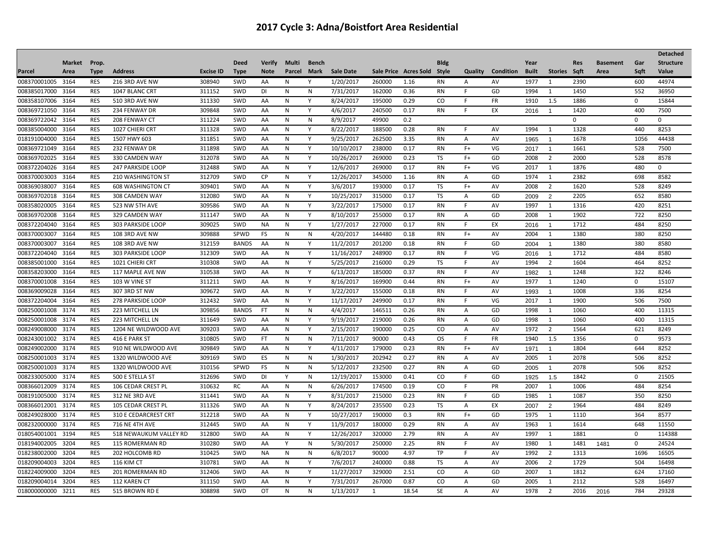| <b>Market</b><br>Prop.<br><b>Deed</b><br><b>Verify</b><br><b>Multi</b><br><b>Bldg</b><br>Year<br><b>Structure</b><br><b>Bench</b><br><b>Res</b><br><b>Basement</b><br>Gar<br><b>Sale Date</b><br><b>Type</b><br><b>Address</b><br><b>Excise ID</b><br><b>Note</b><br>Sale Price Acres Sold Style<br>Quality<br>Condition<br><b>Stories</b><br>Sqft<br>Sqft<br>Value<br>Parcel<br>Area<br><b>Type</b><br>Parcel<br>Mark<br><b>Built</b><br>Area<br>008370001005 3164<br>308940<br>44974<br><b>RES</b><br>216 3RD AVE NW<br>SWD<br>1/20/2017<br>260000<br>600<br>AA<br>1.16<br>RN<br>AV<br>1977<br>1<br>2390<br>N<br>Y<br>A<br>008385017000<br><b>RES</b><br>311152<br>3164<br>1047 BLANC CRT<br>SWD<br>DI<br>Ν<br>N<br>7/31/2017<br>162000<br>0.36<br>RN<br>GD<br>1994<br>1<br>1450<br>552<br>36950<br>-F<br>008358107006<br><b>RES</b><br>311330<br>SWD<br>Y<br>8/24/2017<br>195000<br>0.29<br><sub>CO</sub><br><b>FR</b><br>1910<br>1.5<br>1886<br>15844<br>3164<br>510 3RD AVE NW<br>AA<br>N<br>F.<br>$\mathbf 0$<br>008369721050<br><b>RES</b><br>234 FENWAY DR<br>309848<br>SWD<br>AA<br>N<br>Y<br>4/6/2017<br>240500<br>0.17<br><b>RN</b><br>F.<br>EX<br>1420<br>400<br>7500<br>3164<br>2016<br>$\blacktriangleleft$<br><b>RES</b><br>008369722042 3164<br>208 FENWAY CT<br>311224<br>SWD<br>$\mathsf{N}$<br>8/9/2017<br>49900<br>0.2<br>$\mathbf 0$<br>$\mathbf 0$<br>$\mathbf 0$<br>AA<br>N<br>008385004000<br><b>RES</b><br>311328<br>8/22/2017<br>8253<br>3164<br>1027 CHIERI CRT<br>SWD<br>AA<br>N<br>Y<br>188500<br>0.28<br><b>RN</b><br>F.<br>AV<br>1994<br>$\mathbf{1}$<br>1328<br>440<br>311851<br>9/25/2017<br>018191004000<br><b>RES</b><br>SWD<br>Y<br>262500<br>3.35<br>AV<br>1678<br>1056<br>44438<br>3164<br>1507 HWY 603<br>AA<br>N<br><b>RN</b><br>A<br>1965<br>$\overline{1}$<br>008369721049<br><b>RES</b><br>311898<br>SWD<br>AA<br>N<br>Y<br>10/10/2017<br>238000<br>0.17<br><b>RN</b><br>$F+$<br>VG<br>1661<br>528<br>7500<br>3164<br>232 FENWAY DR<br>2017<br>$\overline{1}$<br><b>RES</b><br>312078<br>269000<br>008369702025<br>3164<br>330 CAMDEN WAY<br>SWD<br>AA<br>N<br>Y<br>10/26/2017<br>0.23<br>TS<br>$F+$<br>GD<br>2008<br>$\overline{2}$<br>2000<br>528<br>8578<br>008372204026<br><b>RES</b><br>312488<br>SWD<br>Y<br>12/6/2017<br>269000<br>0.17<br><b>RN</b><br>$F+$<br>VG<br>1876<br>480<br>3164<br><b>247 PARKSIDE LOOP</b><br>AA<br>N<br>2017<br>$\mathbf{1}$<br>$\mathbf 0$<br>008370003003<br><b>RES</b><br>312709<br>SWD<br><b>CP</b><br>Y<br>12/26/2017<br>345000<br><b>RN</b><br>GD<br>2382<br>698<br>8582<br>3164<br><b>210 WASHINGTON ST</b><br>Ν<br>1.16<br>A<br>1974<br>1<br>008369038007 3164<br>RES<br>309401<br>SWD<br>Y<br>3/6/2017<br>0.17<br>TS<br>$F+$<br>2008<br>2<br>528<br>8249<br><b>608 WASHINGTON CT</b><br>193000<br>AV<br>1620<br>AA<br>N<br>312080<br>10/25/2017<br><b>TS</b><br>652<br>008369702018<br>3164<br><b>RES</b><br>SWD<br>N<br>Y<br>315000<br>0.17<br>GD<br>2205<br>8580<br>308 CAMDEN WAY<br>AA<br>A<br>2<br>2009<br>008358020005<br>3164<br><b>RES</b><br>523 NW 5TH AVE<br>309586<br>SWD<br>AA<br>N<br>Y<br>3/22/2017<br>175000<br>0.17<br><b>RN</b><br>AV<br>1997<br>1316<br>420<br>8251<br>F.<br>1<br>722<br>8250<br>008369702008<br>3164<br><b>RES</b><br>329 CAMDEN WAY<br>311147<br>SWD<br>AA<br>N<br>Y<br>8/10/2017<br>255000<br>0.17<br><b>RN</b><br>GD<br>2008<br>$\mathbf{1}$<br>1902<br>A<br>309025<br>227000<br>8250<br>008372204040<br><b>RES</b><br>SWD<br>Y<br>1/27/2017<br>0.17<br>1712<br>484<br>3164<br>303 PARKSIDE LOOP<br>NА<br>Ν<br>RN<br>F.<br>EX<br>2016<br>$\overline{1}$<br>380<br><b>RES</b><br>309888<br>SPWD<br>2004<br>1380<br>8250<br>008370003007<br>3164<br><b>108 3RD AVE NW</b><br>FS<br>N<br>${\sf N}$<br>4/20/2017<br>144480<br>0.18<br><b>RN</b><br>$F+$<br>AV<br>1<br>312159<br>Y<br>11/2/2017<br>008370003007<br>3164<br><b>RES</b><br>AA<br>201200<br>0.18<br>F.<br>GD<br>1380<br>380<br>8580<br>108 3RD AVE NW<br><b>BANDS</b><br>N<br><b>RN</b><br>2004<br>$\overline{1}$<br>008372204040 3164<br><b>RES</b><br>303 PARKSIDE LOOP<br>312309<br><b>SWD</b><br>AA<br>N<br>Y<br>11/16/2017<br>248900<br>0.17<br><b>RN</b><br>VG<br>1712<br>484<br>8580<br>F.<br>2016<br>$\overline{1}$<br>008385001000<br><b>RES</b><br>310308<br>SWD<br>Y<br>5/25/2017<br>216000<br>0.29<br><b>TS</b><br>1604<br>464<br>8252<br>3164<br>1021 CHIERI CRT<br>AA<br>N<br>F.<br>AV<br>1994<br>$\overline{2}$<br>008358203000<br><b>RES</b><br>310538<br>Y<br>185000<br>0.37<br>1248<br>322<br>8246<br>3164<br>117 MAPLE AVE NW<br>SWD<br>AA<br>N<br>6/13/2017<br><b>RN</b><br>F.<br>AV<br>1982<br>$\mathbf{1}$<br><b>RES</b><br>311211<br>SWD<br>Y<br><b>RN</b><br>1240<br>15107<br>008370001008<br>3164<br>103 W VINE ST<br>AA<br>N<br>8/16/2017<br>169900<br>0.44<br>$F+$<br>AV<br>1977<br>1<br>$\mathbf 0$<br>008369009028<br>RES<br>309672<br>SWD<br>3/22/2017<br>155000<br>336<br>8254<br>3164<br>307 3RD ST NW<br>AA<br>N<br>Υ<br>0.18<br><b>RN</b><br>F.<br>AV<br>1008<br>1993<br>$\overline{1}$<br><b>RES</b><br>312432<br>008372204004 3164<br>SWD<br>AA<br>Y<br>11/17/2017<br>249900<br>0.17<br>VG<br>2017<br>1900<br>506<br>7500<br>278 PARKSIDE LOOP<br>N<br>RN<br>F.<br>1<br>008250001008<br><b>RES</b><br>309856<br>3174<br>223 MITCHELL LN<br><b>BANDS</b><br>FT.<br>N<br>${\sf N}$<br>4/4/2017<br>146511<br>0.26<br><b>RN</b><br>GD<br>1998<br>1<br>1060<br>400<br>11315<br>Α<br>008250001008 3174<br><b>RES</b><br>223 MITCHELL LN<br>311649<br>SWD<br>Y<br>9/19/2017<br>219000<br>0.26<br><b>RN</b><br>GD<br>1998<br>1060<br>400<br>11315<br>AA<br>N<br>A<br>1<br><b>RES</b><br>309203<br>1564<br>621<br>8249<br>008249008000<br>3174<br>1204 NE WILDWOOD AVE<br>SWD<br>Ν<br>Y<br>2/15/2017<br>190000<br>0.25<br>CO.<br>AV<br>1972<br>2<br>AA<br>A<br><b>RES</b><br>310805<br>008243001002 3174<br>416 E PARK ST<br>SWD<br>FT.<br>N<br>N<br>7/11/2017<br>90000<br>0.43<br><b>OS</b><br>F.<br><b>FR</b><br>1940<br>1.5<br>1356<br>0<br>9573<br><b>RES</b><br>309849<br>8252<br>008249002000 3174<br>910 NE WILDWOOD AVE<br>SWD<br>AA<br>Y<br>4/11/2017<br>179000<br>0.23<br><b>RN</b><br>$F+$<br>AV<br>1804<br>644<br>N<br>1971<br>$\overline{1}$<br>309169<br>1/30/2017<br>008250001003<br>3174<br><b>RES</b><br>1320 WILDWOOD AVE<br><b>SWD</b><br>ES<br>N<br>N<br>202942<br>0.27<br><b>RN</b><br>AV<br>2005<br>1<br>2078<br>506<br>8252<br>A<br>008250001003<br><b>RES</b><br>310156<br>SPWD<br>FS<br>N<br>$\mathsf{N}$<br>5/12/2017<br>232500<br>0.27<br><b>RN</b><br>GD<br>2078<br>506<br>8252<br>3174<br>1320 WILDWOOD AVE<br>A<br>2005<br>$\overline{1}$<br>008233005000<br><b>RES</b><br>500 E STELLA ST<br>312696<br>SWD<br>Y<br>$\mathsf{N}$<br>12/19/201<br>153000<br>0.41<br>CO<br>E<br>GD<br>1842<br>21505<br>3174<br>DI<br>$\mathbf 0$<br>1925<br>1.5<br>008366012009<br><b>RES</b><br>310632<br>RC<br>AA<br>$\mathsf{N}$<br>6/26/2017<br>174500<br><sub>CO</sub><br><b>PR</b><br>2007<br>1006<br>484<br>8254<br>3174<br>106 CEDAR CREST PL<br>N<br>0.19<br>F.<br>1<br>RES<br>311441<br>SWD<br>8/31/2017<br>215000<br>1985<br>350<br>8250<br>008191005000 3174<br>312 NE 3RD AVE<br>AA<br>N<br>Y<br>0.23<br><b>RN</b><br>F.<br>GD<br>1<br>1087<br>008366012001 3174<br><b>RES</b><br>105 CEDAR CREST PL<br>311326<br>SWD<br>Y<br>8/24/2017<br>235500<br>0.23<br><b>TS</b><br>EX<br>1964<br>484<br>8249<br>AA<br>N<br>A<br>2<br>2007<br><b>RES</b><br>008249028000<br>312218<br>SWD<br>10/27/2017<br>190000<br>GD<br>1975<br>364<br>8577<br>3174<br>310 E CEDARCREST CRT<br>AA<br>N<br>Y<br>0.3<br><b>RN</b><br>$F+$<br>1<br>1110<br>008232000000<br><b>RES</b><br>312445<br>SWD<br>Y<br>180000<br>3174<br><b>716 NE 4TH AVE</b><br>AA<br>N<br>11/9/2017<br>0.29<br><b>RN</b><br>AV<br>1963<br>1<br>1614<br>648<br>11550<br>A<br>312800<br>Y<br>018054001001<br>3194<br><b>RES</b><br>SWD<br>12/26/201<br>320000<br>2.79<br><b>RN</b><br>1997<br>1881<br>114388<br>518 NEWAUKUM VALLEY RD<br>AA<br>N<br>AV<br>1<br>$\mathbf 0$<br>A<br><b>RES</b><br>3204<br>310280<br>SWD<br>$\mathsf{N}$<br>5/30/2017<br>250000<br>2.25<br><b>RN</b><br>AV<br>24524<br>018194002005<br>115 ROMERMAN RD<br>AA<br>Y<br>F.<br>1980<br>1<br>1481<br>$\mathbf 0$<br>1481<br>310425<br>018238002000<br>3204<br><b>RES</b><br>202 HOLCOMB RD<br>SWD<br><b>NA</b><br>N<br>${\sf N}$<br>6/8/2017<br>90000<br>4.97<br><b>TP</b><br>F.<br>AV<br>1992<br>2<br>1313<br>1696<br>16505<br><b>RES</b><br>310781<br>2006<br>1729<br>018209004003<br>3204<br><b>SWD</b><br>Y<br>7/6/2017<br>240000<br>0.88<br>TS<br>2<br>504<br>16498<br>116 KIM CT<br>AA<br>N<br>A<br>AV<br>018224009000<br>3204<br><b>RES</b><br>312406<br>SWD<br>Y<br>11/27/201<br>329000<br>2.51<br>CO<br>GD<br>624<br>201 ROMERMAN RD<br>AA<br>N<br>Α<br>2007<br>1<br>1812<br>17160<br>018209004014 3204<br><b>RES</b><br>311150<br>SWD<br>Y<br>7/31/2017<br>267000<br>0.87<br>CO<br>GD<br>2005<br>2112<br>528<br>16497<br>112 KAREN CT<br>AA<br>N<br>A<br>$\mathbf{1}$<br><b>RES</b><br>308898<br>18.54<br><b>SE</b><br>$\overline{2}$<br>29328<br>018000000000 3211<br>SWD<br>OT<br>N<br>N<br>1/13/2017<br>AV<br>1978<br>784<br>515 BROWN RD E<br>1<br>$\overline{A}$<br>2016<br>2016 |  |  |  |  |  |  |  |  |  |  | <b>Detached</b> |
|--------------------------------------------------------------------------------------------------------------------------------------------------------------------------------------------------------------------------------------------------------------------------------------------------------------------------------------------------------------------------------------------------------------------------------------------------------------------------------------------------------------------------------------------------------------------------------------------------------------------------------------------------------------------------------------------------------------------------------------------------------------------------------------------------------------------------------------------------------------------------------------------------------------------------------------------------------------------------------------------------------------------------------------------------------------------------------------------------------------------------------------------------------------------------------------------------------------------------------------------------------------------------------------------------------------------------------------------------------------------------------------------------------------------------------------------------------------------------------------------------------------------------------------------------------------------------------------------------------------------------------------------------------------------------------------------------------------------------------------------------------------------------------------------------------------------------------------------------------------------------------------------------------------------------------------------------------------------------------------------------------------------------------------------------------------------------------------------------------------------------------------------------------------------------------------------------------------------------------------------------------------------------------------------------------------------------------------------------------------------------------------------------------------------------------------------------------------------------------------------------------------------------------------------------------------------------------------------------------------------------------------------------------------------------------------------------------------------------------------------------------------------------------------------------------------------------------------------------------------------------------------------------------------------------------------------------------------------------------------------------------------------------------------------------------------------------------------------------------------------------------------------------------------------------------------------------------------------------------------------------------------------------------------------------------------------------------------------------------------------------------------------------------------------------------------------------------------------------------------------------------------------------------------------------------------------------------------------------------------------------------------------------------------------------------------------------------------------------------------------------------------------------------------------------------------------------------------------------------------------------------------------------------------------------------------------------------------------------------------------------------------------------------------------------------------------------------------------------------------------------------------------------------------------------------------------------------------------------------------------------------------------------------------------------------------------------------------------------------------------------------------------------------------------------------------------------------------------------------------------------------------------------------------------------------------------------------------------------------------------------------------------------------------------------------------------------------------------------------------------------------------------------------------------------------------------------------------------------------------------------------------------------------------------------------------------------------------------------------------------------------------------------------------------------------------------------------------------------------------------------------------------------------------------------------------------------------------------------------------------------------------------------------------------------------------------------------------------------------------------------------------------------------------------------------------------------------------------------------------------------------------------------------------------------------------------------------------------------------------------------------------------------------------------------------------------------------------------------------------------------------------------------------------------------------------------------------------------------------------------------------------------------------------------------------------------------------------------------------------------------------------------------------------------------------------------------------------------------------------------------------------------------------------------------------------------------------------------------------------------------------------------------------------------------------------------------------------------------------------------------------------------------------------------------------------------------------------------------------------------------------------------------------------------------------------------------------------------------------------------------------------------------------------------------------------------------------------------------------------------------------------------------------------------------------------------------------------------------------------------------------------------------------------------------------------------------------------------------------------------------------------------------------------------------------------------------------------------------------------------------------------------------------------------------------------------------------------------------------------------------------------------------------------------------------------------------------------------------------------------------------------------------------------------------------------------------------------------------------------------------------------------------------------------------------------------------------------------------------------------------------------------------------------------------------------------------------------------------------------------------------------------------------------------------------------------------------------------------------------------------------------------------------------------------------------------------------------------------------------------------------------------------------------------------------------------------------------------------------------------------------------------------------------------------------------------------------------------------------------------------------------------------------------------------------------------------------------------------------------------------------------------------------------------------------------------------------------------------------------------------------------------------------------------------------------------------------------------------------------------------------------------------------------------------------------------------------------------------------------------------------------------------------------------------------------------------------------------------------------------------------------------------------------------------------------------------------------------------------------------------------------------------------------------------------------------------------------------------------------------------------------------------------------------|--|--|--|--|--|--|--|--|--|--|-----------------|
|                                                                                                                                                                                                                                                                                                                                                                                                                                                                                                                                                                                                                                                                                                                                                                                                                                                                                                                                                                                                                                                                                                                                                                                                                                                                                                                                                                                                                                                                                                                                                                                                                                                                                                                                                                                                                                                                                                                                                                                                                                                                                                                                                                                                                                                                                                                                                                                                                                                                                                                                                                                                                                                                                                                                                                                                                                                                                                                                                                                                                                                                                                                                                                                                                                                                                                                                                                                                                                                                                                                                                                                                                                                                                                                                                                                                                                                                                                                                                                                                                                                                                                                                                                                                                                                                                                                                                                                                                                                                                                                                                                                                                                                                                                                                                                                                                                                                                                                                                                                                                                                                                                                                                                                                                                                                                                                                                                                                                                                                                                                                                                                                                                                                                                                                                                                                                                                                                                                                                                                                                                                                                                                                                                                                                                                                                                                                                                                                                                                                                                                                                                                                                                                                                                                                                                                                                                                                                                                                                                                                                                                                                                                                                                                                                                                                                                                                                                                                                                                                                                                                                                                                                                                                                                                                                                                                                                                                                                                                                                                                                                                                                                                                                                                                                                                                                                                                                                                                                                                                                                                                                                                                                                                                                                                                                                                                                                                                                                                                                                                                                                                                                                                                                                    |  |  |  |  |  |  |  |  |  |  |                 |
|                                                                                                                                                                                                                                                                                                                                                                                                                                                                                                                                                                                                                                                                                                                                                                                                                                                                                                                                                                                                                                                                                                                                                                                                                                                                                                                                                                                                                                                                                                                                                                                                                                                                                                                                                                                                                                                                                                                                                                                                                                                                                                                                                                                                                                                                                                                                                                                                                                                                                                                                                                                                                                                                                                                                                                                                                                                                                                                                                                                                                                                                                                                                                                                                                                                                                                                                                                                                                                                                                                                                                                                                                                                                                                                                                                                                                                                                                                                                                                                                                                                                                                                                                                                                                                                                                                                                                                                                                                                                                                                                                                                                                                                                                                                                                                                                                                                                                                                                                                                                                                                                                                                                                                                                                                                                                                                                                                                                                                                                                                                                                                                                                                                                                                                                                                                                                                                                                                                                                                                                                                                                                                                                                                                                                                                                                                                                                                                                                                                                                                                                                                                                                                                                                                                                                                                                                                                                                                                                                                                                                                                                                                                                                                                                                                                                                                                                                                                                                                                                                                                                                                                                                                                                                                                                                                                                                                                                                                                                                                                                                                                                                                                                                                                                                                                                                                                                                                                                                                                                                                                                                                                                                                                                                                                                                                                                                                                                                                                                                                                                                                                                                                                                                                    |  |  |  |  |  |  |  |  |  |  |                 |
|                                                                                                                                                                                                                                                                                                                                                                                                                                                                                                                                                                                                                                                                                                                                                                                                                                                                                                                                                                                                                                                                                                                                                                                                                                                                                                                                                                                                                                                                                                                                                                                                                                                                                                                                                                                                                                                                                                                                                                                                                                                                                                                                                                                                                                                                                                                                                                                                                                                                                                                                                                                                                                                                                                                                                                                                                                                                                                                                                                                                                                                                                                                                                                                                                                                                                                                                                                                                                                                                                                                                                                                                                                                                                                                                                                                                                                                                                                                                                                                                                                                                                                                                                                                                                                                                                                                                                                                                                                                                                                                                                                                                                                                                                                                                                                                                                                                                                                                                                                                                                                                                                                                                                                                                                                                                                                                                                                                                                                                                                                                                                                                                                                                                                                                                                                                                                                                                                                                                                                                                                                                                                                                                                                                                                                                                                                                                                                                                                                                                                                                                                                                                                                                                                                                                                                                                                                                                                                                                                                                                                                                                                                                                                                                                                                                                                                                                                                                                                                                                                                                                                                                                                                                                                                                                                                                                                                                                                                                                                                                                                                                                                                                                                                                                                                                                                                                                                                                                                                                                                                                                                                                                                                                                                                                                                                                                                                                                                                                                                                                                                                                                                                                                                                    |  |  |  |  |  |  |  |  |  |  |                 |
|                                                                                                                                                                                                                                                                                                                                                                                                                                                                                                                                                                                                                                                                                                                                                                                                                                                                                                                                                                                                                                                                                                                                                                                                                                                                                                                                                                                                                                                                                                                                                                                                                                                                                                                                                                                                                                                                                                                                                                                                                                                                                                                                                                                                                                                                                                                                                                                                                                                                                                                                                                                                                                                                                                                                                                                                                                                                                                                                                                                                                                                                                                                                                                                                                                                                                                                                                                                                                                                                                                                                                                                                                                                                                                                                                                                                                                                                                                                                                                                                                                                                                                                                                                                                                                                                                                                                                                                                                                                                                                                                                                                                                                                                                                                                                                                                                                                                                                                                                                                                                                                                                                                                                                                                                                                                                                                                                                                                                                                                                                                                                                                                                                                                                                                                                                                                                                                                                                                                                                                                                                                                                                                                                                                                                                                                                                                                                                                                                                                                                                                                                                                                                                                                                                                                                                                                                                                                                                                                                                                                                                                                                                                                                                                                                                                                                                                                                                                                                                                                                                                                                                                                                                                                                                                                                                                                                                                                                                                                                                                                                                                                                                                                                                                                                                                                                                                                                                                                                                                                                                                                                                                                                                                                                                                                                                                                                                                                                                                                                                                                                                                                                                                                                                    |  |  |  |  |  |  |  |  |  |  |                 |
|                                                                                                                                                                                                                                                                                                                                                                                                                                                                                                                                                                                                                                                                                                                                                                                                                                                                                                                                                                                                                                                                                                                                                                                                                                                                                                                                                                                                                                                                                                                                                                                                                                                                                                                                                                                                                                                                                                                                                                                                                                                                                                                                                                                                                                                                                                                                                                                                                                                                                                                                                                                                                                                                                                                                                                                                                                                                                                                                                                                                                                                                                                                                                                                                                                                                                                                                                                                                                                                                                                                                                                                                                                                                                                                                                                                                                                                                                                                                                                                                                                                                                                                                                                                                                                                                                                                                                                                                                                                                                                                                                                                                                                                                                                                                                                                                                                                                                                                                                                                                                                                                                                                                                                                                                                                                                                                                                                                                                                                                                                                                                                                                                                                                                                                                                                                                                                                                                                                                                                                                                                                                                                                                                                                                                                                                                                                                                                                                                                                                                                                                                                                                                                                                                                                                                                                                                                                                                                                                                                                                                                                                                                                                                                                                                                                                                                                                                                                                                                                                                                                                                                                                                                                                                                                                                                                                                                                                                                                                                                                                                                                                                                                                                                                                                                                                                                                                                                                                                                                                                                                                                                                                                                                                                                                                                                                                                                                                                                                                                                                                                                                                                                                                                                    |  |  |  |  |  |  |  |  |  |  |                 |
|                                                                                                                                                                                                                                                                                                                                                                                                                                                                                                                                                                                                                                                                                                                                                                                                                                                                                                                                                                                                                                                                                                                                                                                                                                                                                                                                                                                                                                                                                                                                                                                                                                                                                                                                                                                                                                                                                                                                                                                                                                                                                                                                                                                                                                                                                                                                                                                                                                                                                                                                                                                                                                                                                                                                                                                                                                                                                                                                                                                                                                                                                                                                                                                                                                                                                                                                                                                                                                                                                                                                                                                                                                                                                                                                                                                                                                                                                                                                                                                                                                                                                                                                                                                                                                                                                                                                                                                                                                                                                                                                                                                                                                                                                                                                                                                                                                                                                                                                                                                                                                                                                                                                                                                                                                                                                                                                                                                                                                                                                                                                                                                                                                                                                                                                                                                                                                                                                                                                                                                                                                                                                                                                                                                                                                                                                                                                                                                                                                                                                                                                                                                                                                                                                                                                                                                                                                                                                                                                                                                                                                                                                                                                                                                                                                                                                                                                                                                                                                                                                                                                                                                                                                                                                                                                                                                                                                                                                                                                                                                                                                                                                                                                                                                                                                                                                                                                                                                                                                                                                                                                                                                                                                                                                                                                                                                                                                                                                                                                                                                                                                                                                                                                                                    |  |  |  |  |  |  |  |  |  |  |                 |
|                                                                                                                                                                                                                                                                                                                                                                                                                                                                                                                                                                                                                                                                                                                                                                                                                                                                                                                                                                                                                                                                                                                                                                                                                                                                                                                                                                                                                                                                                                                                                                                                                                                                                                                                                                                                                                                                                                                                                                                                                                                                                                                                                                                                                                                                                                                                                                                                                                                                                                                                                                                                                                                                                                                                                                                                                                                                                                                                                                                                                                                                                                                                                                                                                                                                                                                                                                                                                                                                                                                                                                                                                                                                                                                                                                                                                                                                                                                                                                                                                                                                                                                                                                                                                                                                                                                                                                                                                                                                                                                                                                                                                                                                                                                                                                                                                                                                                                                                                                                                                                                                                                                                                                                                                                                                                                                                                                                                                                                                                                                                                                                                                                                                                                                                                                                                                                                                                                                                                                                                                                                                                                                                                                                                                                                                                                                                                                                                                                                                                                                                                                                                                                                                                                                                                                                                                                                                                                                                                                                                                                                                                                                                                                                                                                                                                                                                                                                                                                                                                                                                                                                                                                                                                                                                                                                                                                                                                                                                                                                                                                                                                                                                                                                                                                                                                                                                                                                                                                                                                                                                                                                                                                                                                                                                                                                                                                                                                                                                                                                                                                                                                                                                                                    |  |  |  |  |  |  |  |  |  |  |                 |
|                                                                                                                                                                                                                                                                                                                                                                                                                                                                                                                                                                                                                                                                                                                                                                                                                                                                                                                                                                                                                                                                                                                                                                                                                                                                                                                                                                                                                                                                                                                                                                                                                                                                                                                                                                                                                                                                                                                                                                                                                                                                                                                                                                                                                                                                                                                                                                                                                                                                                                                                                                                                                                                                                                                                                                                                                                                                                                                                                                                                                                                                                                                                                                                                                                                                                                                                                                                                                                                                                                                                                                                                                                                                                                                                                                                                                                                                                                                                                                                                                                                                                                                                                                                                                                                                                                                                                                                                                                                                                                                                                                                                                                                                                                                                                                                                                                                                                                                                                                                                                                                                                                                                                                                                                                                                                                                                                                                                                                                                                                                                                                                                                                                                                                                                                                                                                                                                                                                                                                                                                                                                                                                                                                                                                                                                                                                                                                                                                                                                                                                                                                                                                                                                                                                                                                                                                                                                                                                                                                                                                                                                                                                                                                                                                                                                                                                                                                                                                                                                                                                                                                                                                                                                                                                                                                                                                                                                                                                                                                                                                                                                                                                                                                                                                                                                                                                                                                                                                                                                                                                                                                                                                                                                                                                                                                                                                                                                                                                                                                                                                                                                                                                                                                    |  |  |  |  |  |  |  |  |  |  |                 |
|                                                                                                                                                                                                                                                                                                                                                                                                                                                                                                                                                                                                                                                                                                                                                                                                                                                                                                                                                                                                                                                                                                                                                                                                                                                                                                                                                                                                                                                                                                                                                                                                                                                                                                                                                                                                                                                                                                                                                                                                                                                                                                                                                                                                                                                                                                                                                                                                                                                                                                                                                                                                                                                                                                                                                                                                                                                                                                                                                                                                                                                                                                                                                                                                                                                                                                                                                                                                                                                                                                                                                                                                                                                                                                                                                                                                                                                                                                                                                                                                                                                                                                                                                                                                                                                                                                                                                                                                                                                                                                                                                                                                                                                                                                                                                                                                                                                                                                                                                                                                                                                                                                                                                                                                                                                                                                                                                                                                                                                                                                                                                                                                                                                                                                                                                                                                                                                                                                                                                                                                                                                                                                                                                                                                                                                                                                                                                                                                                                                                                                                                                                                                                                                                                                                                                                                                                                                                                                                                                                                                                                                                                                                                                                                                                                                                                                                                                                                                                                                                                                                                                                                                                                                                                                                                                                                                                                                                                                                                                                                                                                                                                                                                                                                                                                                                                                                                                                                                                                                                                                                                                                                                                                                                                                                                                                                                                                                                                                                                                                                                                                                                                                                                                                    |  |  |  |  |  |  |  |  |  |  |                 |
|                                                                                                                                                                                                                                                                                                                                                                                                                                                                                                                                                                                                                                                                                                                                                                                                                                                                                                                                                                                                                                                                                                                                                                                                                                                                                                                                                                                                                                                                                                                                                                                                                                                                                                                                                                                                                                                                                                                                                                                                                                                                                                                                                                                                                                                                                                                                                                                                                                                                                                                                                                                                                                                                                                                                                                                                                                                                                                                                                                                                                                                                                                                                                                                                                                                                                                                                                                                                                                                                                                                                                                                                                                                                                                                                                                                                                                                                                                                                                                                                                                                                                                                                                                                                                                                                                                                                                                                                                                                                                                                                                                                                                                                                                                                                                                                                                                                                                                                                                                                                                                                                                                                                                                                                                                                                                                                                                                                                                                                                                                                                                                                                                                                                                                                                                                                                                                                                                                                                                                                                                                                                                                                                                                                                                                                                                                                                                                                                                                                                                                                                                                                                                                                                                                                                                                                                                                                                                                                                                                                                                                                                                                                                                                                                                                                                                                                                                                                                                                                                                                                                                                                                                                                                                                                                                                                                                                                                                                                                                                                                                                                                                                                                                                                                                                                                                                                                                                                                                                                                                                                                                                                                                                                                                                                                                                                                                                                                                                                                                                                                                                                                                                                                                                    |  |  |  |  |  |  |  |  |  |  |                 |
|                                                                                                                                                                                                                                                                                                                                                                                                                                                                                                                                                                                                                                                                                                                                                                                                                                                                                                                                                                                                                                                                                                                                                                                                                                                                                                                                                                                                                                                                                                                                                                                                                                                                                                                                                                                                                                                                                                                                                                                                                                                                                                                                                                                                                                                                                                                                                                                                                                                                                                                                                                                                                                                                                                                                                                                                                                                                                                                                                                                                                                                                                                                                                                                                                                                                                                                                                                                                                                                                                                                                                                                                                                                                                                                                                                                                                                                                                                                                                                                                                                                                                                                                                                                                                                                                                                                                                                                                                                                                                                                                                                                                                                                                                                                                                                                                                                                                                                                                                                                                                                                                                                                                                                                                                                                                                                                                                                                                                                                                                                                                                                                                                                                                                                                                                                                                                                                                                                                                                                                                                                                                                                                                                                                                                                                                                                                                                                                                                                                                                                                                                                                                                                                                                                                                                                                                                                                                                                                                                                                                                                                                                                                                                                                                                                                                                                                                                                                                                                                                                                                                                                                                                                                                                                                                                                                                                                                                                                                                                                                                                                                                                                                                                                                                                                                                                                                                                                                                                                                                                                                                                                                                                                                                                                                                                                                                                                                                                                                                                                                                                                                                                                                                                                    |  |  |  |  |  |  |  |  |  |  |                 |
|                                                                                                                                                                                                                                                                                                                                                                                                                                                                                                                                                                                                                                                                                                                                                                                                                                                                                                                                                                                                                                                                                                                                                                                                                                                                                                                                                                                                                                                                                                                                                                                                                                                                                                                                                                                                                                                                                                                                                                                                                                                                                                                                                                                                                                                                                                                                                                                                                                                                                                                                                                                                                                                                                                                                                                                                                                                                                                                                                                                                                                                                                                                                                                                                                                                                                                                                                                                                                                                                                                                                                                                                                                                                                                                                                                                                                                                                                                                                                                                                                                                                                                                                                                                                                                                                                                                                                                                                                                                                                                                                                                                                                                                                                                                                                                                                                                                                                                                                                                                                                                                                                                                                                                                                                                                                                                                                                                                                                                                                                                                                                                                                                                                                                                                                                                                                                                                                                                                                                                                                                                                                                                                                                                                                                                                                                                                                                                                                                                                                                                                                                                                                                                                                                                                                                                                                                                                                                                                                                                                                                                                                                                                                                                                                                                                                                                                                                                                                                                                                                                                                                                                                                                                                                                                                                                                                                                                                                                                                                                                                                                                                                                                                                                                                                                                                                                                                                                                                                                                                                                                                                                                                                                                                                                                                                                                                                                                                                                                                                                                                                                                                                                                                                                    |  |  |  |  |  |  |  |  |  |  |                 |
|                                                                                                                                                                                                                                                                                                                                                                                                                                                                                                                                                                                                                                                                                                                                                                                                                                                                                                                                                                                                                                                                                                                                                                                                                                                                                                                                                                                                                                                                                                                                                                                                                                                                                                                                                                                                                                                                                                                                                                                                                                                                                                                                                                                                                                                                                                                                                                                                                                                                                                                                                                                                                                                                                                                                                                                                                                                                                                                                                                                                                                                                                                                                                                                                                                                                                                                                                                                                                                                                                                                                                                                                                                                                                                                                                                                                                                                                                                                                                                                                                                                                                                                                                                                                                                                                                                                                                                                                                                                                                                                                                                                                                                                                                                                                                                                                                                                                                                                                                                                                                                                                                                                                                                                                                                                                                                                                                                                                                                                                                                                                                                                                                                                                                                                                                                                                                                                                                                                                                                                                                                                                                                                                                                                                                                                                                                                                                                                                                                                                                                                                                                                                                                                                                                                                                                                                                                                                                                                                                                                                                                                                                                                                                                                                                                                                                                                                                                                                                                                                                                                                                                                                                                                                                                                                                                                                                                                                                                                                                                                                                                                                                                                                                                                                                                                                                                                                                                                                                                                                                                                                                                                                                                                                                                                                                                                                                                                                                                                                                                                                                                                                                                                                                                    |  |  |  |  |  |  |  |  |  |  |                 |
|                                                                                                                                                                                                                                                                                                                                                                                                                                                                                                                                                                                                                                                                                                                                                                                                                                                                                                                                                                                                                                                                                                                                                                                                                                                                                                                                                                                                                                                                                                                                                                                                                                                                                                                                                                                                                                                                                                                                                                                                                                                                                                                                                                                                                                                                                                                                                                                                                                                                                                                                                                                                                                                                                                                                                                                                                                                                                                                                                                                                                                                                                                                                                                                                                                                                                                                                                                                                                                                                                                                                                                                                                                                                                                                                                                                                                                                                                                                                                                                                                                                                                                                                                                                                                                                                                                                                                                                                                                                                                                                                                                                                                                                                                                                                                                                                                                                                                                                                                                                                                                                                                                                                                                                                                                                                                                                                                                                                                                                                                                                                                                                                                                                                                                                                                                                                                                                                                                                                                                                                                                                                                                                                                                                                                                                                                                                                                                                                                                                                                                                                                                                                                                                                                                                                                                                                                                                                                                                                                                                                                                                                                                                                                                                                                                                                                                                                                                                                                                                                                                                                                                                                                                                                                                                                                                                                                                                                                                                                                                                                                                                                                                                                                                                                                                                                                                                                                                                                                                                                                                                                                                                                                                                                                                                                                                                                                                                                                                                                                                                                                                                                                                                                                                    |  |  |  |  |  |  |  |  |  |  |                 |
|                                                                                                                                                                                                                                                                                                                                                                                                                                                                                                                                                                                                                                                                                                                                                                                                                                                                                                                                                                                                                                                                                                                                                                                                                                                                                                                                                                                                                                                                                                                                                                                                                                                                                                                                                                                                                                                                                                                                                                                                                                                                                                                                                                                                                                                                                                                                                                                                                                                                                                                                                                                                                                                                                                                                                                                                                                                                                                                                                                                                                                                                                                                                                                                                                                                                                                                                                                                                                                                                                                                                                                                                                                                                                                                                                                                                                                                                                                                                                                                                                                                                                                                                                                                                                                                                                                                                                                                                                                                                                                                                                                                                                                                                                                                                                                                                                                                                                                                                                                                                                                                                                                                                                                                                                                                                                                                                                                                                                                                                                                                                                                                                                                                                                                                                                                                                                                                                                                                                                                                                                                                                                                                                                                                                                                                                                                                                                                                                                                                                                                                                                                                                                                                                                                                                                                                                                                                                                                                                                                                                                                                                                                                                                                                                                                                                                                                                                                                                                                                                                                                                                                                                                                                                                                                                                                                                                                                                                                                                                                                                                                                                                                                                                                                                                                                                                                                                                                                                                                                                                                                                                                                                                                                                                                                                                                                                                                                                                                                                                                                                                                                                                                                                                                    |  |  |  |  |  |  |  |  |  |  |                 |
|                                                                                                                                                                                                                                                                                                                                                                                                                                                                                                                                                                                                                                                                                                                                                                                                                                                                                                                                                                                                                                                                                                                                                                                                                                                                                                                                                                                                                                                                                                                                                                                                                                                                                                                                                                                                                                                                                                                                                                                                                                                                                                                                                                                                                                                                                                                                                                                                                                                                                                                                                                                                                                                                                                                                                                                                                                                                                                                                                                                                                                                                                                                                                                                                                                                                                                                                                                                                                                                                                                                                                                                                                                                                                                                                                                                                                                                                                                                                                                                                                                                                                                                                                                                                                                                                                                                                                                                                                                                                                                                                                                                                                                                                                                                                                                                                                                                                                                                                                                                                                                                                                                                                                                                                                                                                                                                                                                                                                                                                                                                                                                                                                                                                                                                                                                                                                                                                                                                                                                                                                                                                                                                                                                                                                                                                                                                                                                                                                                                                                                                                                                                                                                                                                                                                                                                                                                                                                                                                                                                                                                                                                                                                                                                                                                                                                                                                                                                                                                                                                                                                                                                                                                                                                                                                                                                                                                                                                                                                                                                                                                                                                                                                                                                                                                                                                                                                                                                                                                                                                                                                                                                                                                                                                                                                                                                                                                                                                                                                                                                                                                                                                                                                                                    |  |  |  |  |  |  |  |  |  |  |                 |
|                                                                                                                                                                                                                                                                                                                                                                                                                                                                                                                                                                                                                                                                                                                                                                                                                                                                                                                                                                                                                                                                                                                                                                                                                                                                                                                                                                                                                                                                                                                                                                                                                                                                                                                                                                                                                                                                                                                                                                                                                                                                                                                                                                                                                                                                                                                                                                                                                                                                                                                                                                                                                                                                                                                                                                                                                                                                                                                                                                                                                                                                                                                                                                                                                                                                                                                                                                                                                                                                                                                                                                                                                                                                                                                                                                                                                                                                                                                                                                                                                                                                                                                                                                                                                                                                                                                                                                                                                                                                                                                                                                                                                                                                                                                                                                                                                                                                                                                                                                                                                                                                                                                                                                                                                                                                                                                                                                                                                                                                                                                                                                                                                                                                                                                                                                                                                                                                                                                                                                                                                                                                                                                                                                                                                                                                                                                                                                                                                                                                                                                                                                                                                                                                                                                                                                                                                                                                                                                                                                                                                                                                                                                                                                                                                                                                                                                                                                                                                                                                                                                                                                                                                                                                                                                                                                                                                                                                                                                                                                                                                                                                                                                                                                                                                                                                                                                                                                                                                                                                                                                                                                                                                                                                                                                                                                                                                                                                                                                                                                                                                                                                                                                                                                    |  |  |  |  |  |  |  |  |  |  |                 |
|                                                                                                                                                                                                                                                                                                                                                                                                                                                                                                                                                                                                                                                                                                                                                                                                                                                                                                                                                                                                                                                                                                                                                                                                                                                                                                                                                                                                                                                                                                                                                                                                                                                                                                                                                                                                                                                                                                                                                                                                                                                                                                                                                                                                                                                                                                                                                                                                                                                                                                                                                                                                                                                                                                                                                                                                                                                                                                                                                                                                                                                                                                                                                                                                                                                                                                                                                                                                                                                                                                                                                                                                                                                                                                                                                                                                                                                                                                                                                                                                                                                                                                                                                                                                                                                                                                                                                                                                                                                                                                                                                                                                                                                                                                                                                                                                                                                                                                                                                                                                                                                                                                                                                                                                                                                                                                                                                                                                                                                                                                                                                                                                                                                                                                                                                                                                                                                                                                                                                                                                                                                                                                                                                                                                                                                                                                                                                                                                                                                                                                                                                                                                                                                                                                                                                                                                                                                                                                                                                                                                                                                                                                                                                                                                                                                                                                                                                                                                                                                                                                                                                                                                                                                                                                                                                                                                                                                                                                                                                                                                                                                                                                                                                                                                                                                                                                                                                                                                                                                                                                                                                                                                                                                                                                                                                                                                                                                                                                                                                                                                                                                                                                                                                                    |  |  |  |  |  |  |  |  |  |  |                 |
|                                                                                                                                                                                                                                                                                                                                                                                                                                                                                                                                                                                                                                                                                                                                                                                                                                                                                                                                                                                                                                                                                                                                                                                                                                                                                                                                                                                                                                                                                                                                                                                                                                                                                                                                                                                                                                                                                                                                                                                                                                                                                                                                                                                                                                                                                                                                                                                                                                                                                                                                                                                                                                                                                                                                                                                                                                                                                                                                                                                                                                                                                                                                                                                                                                                                                                                                                                                                                                                                                                                                                                                                                                                                                                                                                                                                                                                                                                                                                                                                                                                                                                                                                                                                                                                                                                                                                                                                                                                                                                                                                                                                                                                                                                                                                                                                                                                                                                                                                                                                                                                                                                                                                                                                                                                                                                                                                                                                                                                                                                                                                                                                                                                                                                                                                                                                                                                                                                                                                                                                                                                                                                                                                                                                                                                                                                                                                                                                                                                                                                                                                                                                                                                                                                                                                                                                                                                                                                                                                                                                                                                                                                                                                                                                                                                                                                                                                                                                                                                                                                                                                                                                                                                                                                                                                                                                                                                                                                                                                                                                                                                                                                                                                                                                                                                                                                                                                                                                                                                                                                                                                                                                                                                                                                                                                                                                                                                                                                                                                                                                                                                                                                                                                                    |  |  |  |  |  |  |  |  |  |  |                 |
|                                                                                                                                                                                                                                                                                                                                                                                                                                                                                                                                                                                                                                                                                                                                                                                                                                                                                                                                                                                                                                                                                                                                                                                                                                                                                                                                                                                                                                                                                                                                                                                                                                                                                                                                                                                                                                                                                                                                                                                                                                                                                                                                                                                                                                                                                                                                                                                                                                                                                                                                                                                                                                                                                                                                                                                                                                                                                                                                                                                                                                                                                                                                                                                                                                                                                                                                                                                                                                                                                                                                                                                                                                                                                                                                                                                                                                                                                                                                                                                                                                                                                                                                                                                                                                                                                                                                                                                                                                                                                                                                                                                                                                                                                                                                                                                                                                                                                                                                                                                                                                                                                                                                                                                                                                                                                                                                                                                                                                                                                                                                                                                                                                                                                                                                                                                                                                                                                                                                                                                                                                                                                                                                                                                                                                                                                                                                                                                                                                                                                                                                                                                                                                                                                                                                                                                                                                                                                                                                                                                                                                                                                                                                                                                                                                                                                                                                                                                                                                                                                                                                                                                                                                                                                                                                                                                                                                                                                                                                                                                                                                                                                                                                                                                                                                                                                                                                                                                                                                                                                                                                                                                                                                                                                                                                                                                                                                                                                                                                                                                                                                                                                                                                                                    |  |  |  |  |  |  |  |  |  |  |                 |
|                                                                                                                                                                                                                                                                                                                                                                                                                                                                                                                                                                                                                                                                                                                                                                                                                                                                                                                                                                                                                                                                                                                                                                                                                                                                                                                                                                                                                                                                                                                                                                                                                                                                                                                                                                                                                                                                                                                                                                                                                                                                                                                                                                                                                                                                                                                                                                                                                                                                                                                                                                                                                                                                                                                                                                                                                                                                                                                                                                                                                                                                                                                                                                                                                                                                                                                                                                                                                                                                                                                                                                                                                                                                                                                                                                                                                                                                                                                                                                                                                                                                                                                                                                                                                                                                                                                                                                                                                                                                                                                                                                                                                                                                                                                                                                                                                                                                                                                                                                                                                                                                                                                                                                                                                                                                                                                                                                                                                                                                                                                                                                                                                                                                                                                                                                                                                                                                                                                                                                                                                                                                                                                                                                                                                                                                                                                                                                                                                                                                                                                                                                                                                                                                                                                                                                                                                                                                                                                                                                                                                                                                                                                                                                                                                                                                                                                                                                                                                                                                                                                                                                                                                                                                                                                                                                                                                                                                                                                                                                                                                                                                                                                                                                                                                                                                                                                                                                                                                                                                                                                                                                                                                                                                                                                                                                                                                                                                                                                                                                                                                                                                                                                                                                    |  |  |  |  |  |  |  |  |  |  |                 |
|                                                                                                                                                                                                                                                                                                                                                                                                                                                                                                                                                                                                                                                                                                                                                                                                                                                                                                                                                                                                                                                                                                                                                                                                                                                                                                                                                                                                                                                                                                                                                                                                                                                                                                                                                                                                                                                                                                                                                                                                                                                                                                                                                                                                                                                                                                                                                                                                                                                                                                                                                                                                                                                                                                                                                                                                                                                                                                                                                                                                                                                                                                                                                                                                                                                                                                                                                                                                                                                                                                                                                                                                                                                                                                                                                                                                                                                                                                                                                                                                                                                                                                                                                                                                                                                                                                                                                                                                                                                                                                                                                                                                                                                                                                                                                                                                                                                                                                                                                                                                                                                                                                                                                                                                                                                                                                                                                                                                                                                                                                                                                                                                                                                                                                                                                                                                                                                                                                                                                                                                                                                                                                                                                                                                                                                                                                                                                                                                                                                                                                                                                                                                                                                                                                                                                                                                                                                                                                                                                                                                                                                                                                                                                                                                                                                                                                                                                                                                                                                                                                                                                                                                                                                                                                                                                                                                                                                                                                                                                                                                                                                                                                                                                                                                                                                                                                                                                                                                                                                                                                                                                                                                                                                                                                                                                                                                                                                                                                                                                                                                                                                                                                                                                                    |  |  |  |  |  |  |  |  |  |  |                 |
|                                                                                                                                                                                                                                                                                                                                                                                                                                                                                                                                                                                                                                                                                                                                                                                                                                                                                                                                                                                                                                                                                                                                                                                                                                                                                                                                                                                                                                                                                                                                                                                                                                                                                                                                                                                                                                                                                                                                                                                                                                                                                                                                                                                                                                                                                                                                                                                                                                                                                                                                                                                                                                                                                                                                                                                                                                                                                                                                                                                                                                                                                                                                                                                                                                                                                                                                                                                                                                                                                                                                                                                                                                                                                                                                                                                                                                                                                                                                                                                                                                                                                                                                                                                                                                                                                                                                                                                                                                                                                                                                                                                                                                                                                                                                                                                                                                                                                                                                                                                                                                                                                                                                                                                                                                                                                                                                                                                                                                                                                                                                                                                                                                                                                                                                                                                                                                                                                                                                                                                                                                                                                                                                                                                                                                                                                                                                                                                                                                                                                                                                                                                                                                                                                                                                                                                                                                                                                                                                                                                                                                                                                                                                                                                                                                                                                                                                                                                                                                                                                                                                                                                                                                                                                                                                                                                                                                                                                                                                                                                                                                                                                                                                                                                                                                                                                                                                                                                                                                                                                                                                                                                                                                                                                                                                                                                                                                                                                                                                                                                                                                                                                                                                                                    |  |  |  |  |  |  |  |  |  |  |                 |
|                                                                                                                                                                                                                                                                                                                                                                                                                                                                                                                                                                                                                                                                                                                                                                                                                                                                                                                                                                                                                                                                                                                                                                                                                                                                                                                                                                                                                                                                                                                                                                                                                                                                                                                                                                                                                                                                                                                                                                                                                                                                                                                                                                                                                                                                                                                                                                                                                                                                                                                                                                                                                                                                                                                                                                                                                                                                                                                                                                                                                                                                                                                                                                                                                                                                                                                                                                                                                                                                                                                                                                                                                                                                                                                                                                                                                                                                                                                                                                                                                                                                                                                                                                                                                                                                                                                                                                                                                                                                                                                                                                                                                                                                                                                                                                                                                                                                                                                                                                                                                                                                                                                                                                                                                                                                                                                                                                                                                                                                                                                                                                                                                                                                                                                                                                                                                                                                                                                                                                                                                                                                                                                                                                                                                                                                                                                                                                                                                                                                                                                                                                                                                                                                                                                                                                                                                                                                                                                                                                                                                                                                                                                                                                                                                                                                                                                                                                                                                                                                                                                                                                                                                                                                                                                                                                                                                                                                                                                                                                                                                                                                                                                                                                                                                                                                                                                                                                                                                                                                                                                                                                                                                                                                                                                                                                                                                                                                                                                                                                                                                                                                                                                                                                    |  |  |  |  |  |  |  |  |  |  |                 |
|                                                                                                                                                                                                                                                                                                                                                                                                                                                                                                                                                                                                                                                                                                                                                                                                                                                                                                                                                                                                                                                                                                                                                                                                                                                                                                                                                                                                                                                                                                                                                                                                                                                                                                                                                                                                                                                                                                                                                                                                                                                                                                                                                                                                                                                                                                                                                                                                                                                                                                                                                                                                                                                                                                                                                                                                                                                                                                                                                                                                                                                                                                                                                                                                                                                                                                                                                                                                                                                                                                                                                                                                                                                                                                                                                                                                                                                                                                                                                                                                                                                                                                                                                                                                                                                                                                                                                                                                                                                                                                                                                                                                                                                                                                                                                                                                                                                                                                                                                                                                                                                                                                                                                                                                                                                                                                                                                                                                                                                                                                                                                                                                                                                                                                                                                                                                                                                                                                                                                                                                                                                                                                                                                                                                                                                                                                                                                                                                                                                                                                                                                                                                                                                                                                                                                                                                                                                                                                                                                                                                                                                                                                                                                                                                                                                                                                                                                                                                                                                                                                                                                                                                                                                                                                                                                                                                                                                                                                                                                                                                                                                                                                                                                                                                                                                                                                                                                                                                                                                                                                                                                                                                                                                                                                                                                                                                                                                                                                                                                                                                                                                                                                                                                                    |  |  |  |  |  |  |  |  |  |  |                 |
|                                                                                                                                                                                                                                                                                                                                                                                                                                                                                                                                                                                                                                                                                                                                                                                                                                                                                                                                                                                                                                                                                                                                                                                                                                                                                                                                                                                                                                                                                                                                                                                                                                                                                                                                                                                                                                                                                                                                                                                                                                                                                                                                                                                                                                                                                                                                                                                                                                                                                                                                                                                                                                                                                                                                                                                                                                                                                                                                                                                                                                                                                                                                                                                                                                                                                                                                                                                                                                                                                                                                                                                                                                                                                                                                                                                                                                                                                                                                                                                                                                                                                                                                                                                                                                                                                                                                                                                                                                                                                                                                                                                                                                                                                                                                                                                                                                                                                                                                                                                                                                                                                                                                                                                                                                                                                                                                                                                                                                                                                                                                                                                                                                                                                                                                                                                                                                                                                                                                                                                                                                                                                                                                                                                                                                                                                                                                                                                                                                                                                                                                                                                                                                                                                                                                                                                                                                                                                                                                                                                                                                                                                                                                                                                                                                                                                                                                                                                                                                                                                                                                                                                                                                                                                                                                                                                                                                                                                                                                                                                                                                                                                                                                                                                                                                                                                                                                                                                                                                                                                                                                                                                                                                                                                                                                                                                                                                                                                                                                                                                                                                                                                                                                                                    |  |  |  |  |  |  |  |  |  |  |                 |
|                                                                                                                                                                                                                                                                                                                                                                                                                                                                                                                                                                                                                                                                                                                                                                                                                                                                                                                                                                                                                                                                                                                                                                                                                                                                                                                                                                                                                                                                                                                                                                                                                                                                                                                                                                                                                                                                                                                                                                                                                                                                                                                                                                                                                                                                                                                                                                                                                                                                                                                                                                                                                                                                                                                                                                                                                                                                                                                                                                                                                                                                                                                                                                                                                                                                                                                                                                                                                                                                                                                                                                                                                                                                                                                                                                                                                                                                                                                                                                                                                                                                                                                                                                                                                                                                                                                                                                                                                                                                                                                                                                                                                                                                                                                                                                                                                                                                                                                                                                                                                                                                                                                                                                                                                                                                                                                                                                                                                                                                                                                                                                                                                                                                                                                                                                                                                                                                                                                                                                                                                                                                                                                                                                                                                                                                                                                                                                                                                                                                                                                                                                                                                                                                                                                                                                                                                                                                                                                                                                                                                                                                                                                                                                                                                                                                                                                                                                                                                                                                                                                                                                                                                                                                                                                                                                                                                                                                                                                                                                                                                                                                                                                                                                                                                                                                                                                                                                                                                                                                                                                                                                                                                                                                                                                                                                                                                                                                                                                                                                                                                                                                                                                                                                    |  |  |  |  |  |  |  |  |  |  |                 |
|                                                                                                                                                                                                                                                                                                                                                                                                                                                                                                                                                                                                                                                                                                                                                                                                                                                                                                                                                                                                                                                                                                                                                                                                                                                                                                                                                                                                                                                                                                                                                                                                                                                                                                                                                                                                                                                                                                                                                                                                                                                                                                                                                                                                                                                                                                                                                                                                                                                                                                                                                                                                                                                                                                                                                                                                                                                                                                                                                                                                                                                                                                                                                                                                                                                                                                                                                                                                                                                                                                                                                                                                                                                                                                                                                                                                                                                                                                                                                                                                                                                                                                                                                                                                                                                                                                                                                                                                                                                                                                                                                                                                                                                                                                                                                                                                                                                                                                                                                                                                                                                                                                                                                                                                                                                                                                                                                                                                                                                                                                                                                                                                                                                                                                                                                                                                                                                                                                                                                                                                                                                                                                                                                                                                                                                                                                                                                                                                                                                                                                                                                                                                                                                                                                                                                                                                                                                                                                                                                                                                                                                                                                                                                                                                                                                                                                                                                                                                                                                                                                                                                                                                                                                                                                                                                                                                                                                                                                                                                                                                                                                                                                                                                                                                                                                                                                                                                                                                                                                                                                                                                                                                                                                                                                                                                                                                                                                                                                                                                                                                                                                                                                                                                                    |  |  |  |  |  |  |  |  |  |  |                 |
|                                                                                                                                                                                                                                                                                                                                                                                                                                                                                                                                                                                                                                                                                                                                                                                                                                                                                                                                                                                                                                                                                                                                                                                                                                                                                                                                                                                                                                                                                                                                                                                                                                                                                                                                                                                                                                                                                                                                                                                                                                                                                                                                                                                                                                                                                                                                                                                                                                                                                                                                                                                                                                                                                                                                                                                                                                                                                                                                                                                                                                                                                                                                                                                                                                                                                                                                                                                                                                                                                                                                                                                                                                                                                                                                                                                                                                                                                                                                                                                                                                                                                                                                                                                                                                                                                                                                                                                                                                                                                                                                                                                                                                                                                                                                                                                                                                                                                                                                                                                                                                                                                                                                                                                                                                                                                                                                                                                                                                                                                                                                                                                                                                                                                                                                                                                                                                                                                                                                                                                                                                                                                                                                                                                                                                                                                                                                                                                                                                                                                                                                                                                                                                                                                                                                                                                                                                                                                                                                                                                                                                                                                                                                                                                                                                                                                                                                                                                                                                                                                                                                                                                                                                                                                                                                                                                                                                                                                                                                                                                                                                                                                                                                                                                                                                                                                                                                                                                                                                                                                                                                                                                                                                                                                                                                                                                                                                                                                                                                                                                                                                                                                                                                                                    |  |  |  |  |  |  |  |  |  |  |                 |
|                                                                                                                                                                                                                                                                                                                                                                                                                                                                                                                                                                                                                                                                                                                                                                                                                                                                                                                                                                                                                                                                                                                                                                                                                                                                                                                                                                                                                                                                                                                                                                                                                                                                                                                                                                                                                                                                                                                                                                                                                                                                                                                                                                                                                                                                                                                                                                                                                                                                                                                                                                                                                                                                                                                                                                                                                                                                                                                                                                                                                                                                                                                                                                                                                                                                                                                                                                                                                                                                                                                                                                                                                                                                                                                                                                                                                                                                                                                                                                                                                                                                                                                                                                                                                                                                                                                                                                                                                                                                                                                                                                                                                                                                                                                                                                                                                                                                                                                                                                                                                                                                                                                                                                                                                                                                                                                                                                                                                                                                                                                                                                                                                                                                                                                                                                                                                                                                                                                                                                                                                                                                                                                                                                                                                                                                                                                                                                                                                                                                                                                                                                                                                                                                                                                                                                                                                                                                                                                                                                                                                                                                                                                                                                                                                                                                                                                                                                                                                                                                                                                                                                                                                                                                                                                                                                                                                                                                                                                                                                                                                                                                                                                                                                                                                                                                                                                                                                                                                                                                                                                                                                                                                                                                                                                                                                                                                                                                                                                                                                                                                                                                                                                                                                    |  |  |  |  |  |  |  |  |  |  |                 |
|                                                                                                                                                                                                                                                                                                                                                                                                                                                                                                                                                                                                                                                                                                                                                                                                                                                                                                                                                                                                                                                                                                                                                                                                                                                                                                                                                                                                                                                                                                                                                                                                                                                                                                                                                                                                                                                                                                                                                                                                                                                                                                                                                                                                                                                                                                                                                                                                                                                                                                                                                                                                                                                                                                                                                                                                                                                                                                                                                                                                                                                                                                                                                                                                                                                                                                                                                                                                                                                                                                                                                                                                                                                                                                                                                                                                                                                                                                                                                                                                                                                                                                                                                                                                                                                                                                                                                                                                                                                                                                                                                                                                                                                                                                                                                                                                                                                                                                                                                                                                                                                                                                                                                                                                                                                                                                                                                                                                                                                                                                                                                                                                                                                                                                                                                                                                                                                                                                                                                                                                                                                                                                                                                                                                                                                                                                                                                                                                                                                                                                                                                                                                                                                                                                                                                                                                                                                                                                                                                                                                                                                                                                                                                                                                                                                                                                                                                                                                                                                                                                                                                                                                                                                                                                                                                                                                                                                                                                                                                                                                                                                                                                                                                                                                                                                                                                                                                                                                                                                                                                                                                                                                                                                                                                                                                                                                                                                                                                                                                                                                                                                                                                                                                                    |  |  |  |  |  |  |  |  |  |  |                 |
|                                                                                                                                                                                                                                                                                                                                                                                                                                                                                                                                                                                                                                                                                                                                                                                                                                                                                                                                                                                                                                                                                                                                                                                                                                                                                                                                                                                                                                                                                                                                                                                                                                                                                                                                                                                                                                                                                                                                                                                                                                                                                                                                                                                                                                                                                                                                                                                                                                                                                                                                                                                                                                                                                                                                                                                                                                                                                                                                                                                                                                                                                                                                                                                                                                                                                                                                                                                                                                                                                                                                                                                                                                                                                                                                                                                                                                                                                                                                                                                                                                                                                                                                                                                                                                                                                                                                                                                                                                                                                                                                                                                                                                                                                                                                                                                                                                                                                                                                                                                                                                                                                                                                                                                                                                                                                                                                                                                                                                                                                                                                                                                                                                                                                                                                                                                                                                                                                                                                                                                                                                                                                                                                                                                                                                                                                                                                                                                                                                                                                                                                                                                                                                                                                                                                                                                                                                                                                                                                                                                                                                                                                                                                                                                                                                                                                                                                                                                                                                                                                                                                                                                                                                                                                                                                                                                                                                                                                                                                                                                                                                                                                                                                                                                                                                                                                                                                                                                                                                                                                                                                                                                                                                                                                                                                                                                                                                                                                                                                                                                                                                                                                                                                                                    |  |  |  |  |  |  |  |  |  |  |                 |
|                                                                                                                                                                                                                                                                                                                                                                                                                                                                                                                                                                                                                                                                                                                                                                                                                                                                                                                                                                                                                                                                                                                                                                                                                                                                                                                                                                                                                                                                                                                                                                                                                                                                                                                                                                                                                                                                                                                                                                                                                                                                                                                                                                                                                                                                                                                                                                                                                                                                                                                                                                                                                                                                                                                                                                                                                                                                                                                                                                                                                                                                                                                                                                                                                                                                                                                                                                                                                                                                                                                                                                                                                                                                                                                                                                                                                                                                                                                                                                                                                                                                                                                                                                                                                                                                                                                                                                                                                                                                                                                                                                                                                                                                                                                                                                                                                                                                                                                                                                                                                                                                                                                                                                                                                                                                                                                                                                                                                                                                                                                                                                                                                                                                                                                                                                                                                                                                                                                                                                                                                                                                                                                                                                                                                                                                                                                                                                                                                                                                                                                                                                                                                                                                                                                                                                                                                                                                                                                                                                                                                                                                                                                                                                                                                                                                                                                                                                                                                                                                                                                                                                                                                                                                                                                                                                                                                                                                                                                                                                                                                                                                                                                                                                                                                                                                                                                                                                                                                                                                                                                                                                                                                                                                                                                                                                                                                                                                                                                                                                                                                                                                                                                                                                    |  |  |  |  |  |  |  |  |  |  |                 |
|                                                                                                                                                                                                                                                                                                                                                                                                                                                                                                                                                                                                                                                                                                                                                                                                                                                                                                                                                                                                                                                                                                                                                                                                                                                                                                                                                                                                                                                                                                                                                                                                                                                                                                                                                                                                                                                                                                                                                                                                                                                                                                                                                                                                                                                                                                                                                                                                                                                                                                                                                                                                                                                                                                                                                                                                                                                                                                                                                                                                                                                                                                                                                                                                                                                                                                                                                                                                                                                                                                                                                                                                                                                                                                                                                                                                                                                                                                                                                                                                                                                                                                                                                                                                                                                                                                                                                                                                                                                                                                                                                                                                                                                                                                                                                                                                                                                                                                                                                                                                                                                                                                                                                                                                                                                                                                                                                                                                                                                                                                                                                                                                                                                                                                                                                                                                                                                                                                                                                                                                                                                                                                                                                                                                                                                                                                                                                                                                                                                                                                                                                                                                                                                                                                                                                                                                                                                                                                                                                                                                                                                                                                                                                                                                                                                                                                                                                                                                                                                                                                                                                                                                                                                                                                                                                                                                                                                                                                                                                                                                                                                                                                                                                                                                                                                                                                                                                                                                                                                                                                                                                                                                                                                                                                                                                                                                                                                                                                                                                                                                                                                                                                                                                                    |  |  |  |  |  |  |  |  |  |  |                 |
|                                                                                                                                                                                                                                                                                                                                                                                                                                                                                                                                                                                                                                                                                                                                                                                                                                                                                                                                                                                                                                                                                                                                                                                                                                                                                                                                                                                                                                                                                                                                                                                                                                                                                                                                                                                                                                                                                                                                                                                                                                                                                                                                                                                                                                                                                                                                                                                                                                                                                                                                                                                                                                                                                                                                                                                                                                                                                                                                                                                                                                                                                                                                                                                                                                                                                                                                                                                                                                                                                                                                                                                                                                                                                                                                                                                                                                                                                                                                                                                                                                                                                                                                                                                                                                                                                                                                                                                                                                                                                                                                                                                                                                                                                                                                                                                                                                                                                                                                                                                                                                                                                                                                                                                                                                                                                                                                                                                                                                                                                                                                                                                                                                                                                                                                                                                                                                                                                                                                                                                                                                                                                                                                                                                                                                                                                                                                                                                                                                                                                                                                                                                                                                                                                                                                                                                                                                                                                                                                                                                                                                                                                                                                                                                                                                                                                                                                                                                                                                                                                                                                                                                                                                                                                                                                                                                                                                                                                                                                                                                                                                                                                                                                                                                                                                                                                                                                                                                                                                                                                                                                                                                                                                                                                                                                                                                                                                                                                                                                                                                                                                                                                                                                                                    |  |  |  |  |  |  |  |  |  |  |                 |
|                                                                                                                                                                                                                                                                                                                                                                                                                                                                                                                                                                                                                                                                                                                                                                                                                                                                                                                                                                                                                                                                                                                                                                                                                                                                                                                                                                                                                                                                                                                                                                                                                                                                                                                                                                                                                                                                                                                                                                                                                                                                                                                                                                                                                                                                                                                                                                                                                                                                                                                                                                                                                                                                                                                                                                                                                                                                                                                                                                                                                                                                                                                                                                                                                                                                                                                                                                                                                                                                                                                                                                                                                                                                                                                                                                                                                                                                                                                                                                                                                                                                                                                                                                                                                                                                                                                                                                                                                                                                                                                                                                                                                                                                                                                                                                                                                                                                                                                                                                                                                                                                                                                                                                                                                                                                                                                                                                                                                                                                                                                                                                                                                                                                                                                                                                                                                                                                                                                                                                                                                                                                                                                                                                                                                                                                                                                                                                                                                                                                                                                                                                                                                                                                                                                                                                                                                                                                                                                                                                                                                                                                                                                                                                                                                                                                                                                                                                                                                                                                                                                                                                                                                                                                                                                                                                                                                                                                                                                                                                                                                                                                                                                                                                                                                                                                                                                                                                                                                                                                                                                                                                                                                                                                                                                                                                                                                                                                                                                                                                                                                                                                                                                                                                    |  |  |  |  |  |  |  |  |  |  |                 |
|                                                                                                                                                                                                                                                                                                                                                                                                                                                                                                                                                                                                                                                                                                                                                                                                                                                                                                                                                                                                                                                                                                                                                                                                                                                                                                                                                                                                                                                                                                                                                                                                                                                                                                                                                                                                                                                                                                                                                                                                                                                                                                                                                                                                                                                                                                                                                                                                                                                                                                                                                                                                                                                                                                                                                                                                                                                                                                                                                                                                                                                                                                                                                                                                                                                                                                                                                                                                                                                                                                                                                                                                                                                                                                                                                                                                                                                                                                                                                                                                                                                                                                                                                                                                                                                                                                                                                                                                                                                                                                                                                                                                                                                                                                                                                                                                                                                                                                                                                                                                                                                                                                                                                                                                                                                                                                                                                                                                                                                                                                                                                                                                                                                                                                                                                                                                                                                                                                                                                                                                                                                                                                                                                                                                                                                                                                                                                                                                                                                                                                                                                                                                                                                                                                                                                                                                                                                                                                                                                                                                                                                                                                                                                                                                                                                                                                                                                                                                                                                                                                                                                                                                                                                                                                                                                                                                                                                                                                                                                                                                                                                                                                                                                                                                                                                                                                                                                                                                                                                                                                                                                                                                                                                                                                                                                                                                                                                                                                                                                                                                                                                                                                                                                                    |  |  |  |  |  |  |  |  |  |  |                 |
|                                                                                                                                                                                                                                                                                                                                                                                                                                                                                                                                                                                                                                                                                                                                                                                                                                                                                                                                                                                                                                                                                                                                                                                                                                                                                                                                                                                                                                                                                                                                                                                                                                                                                                                                                                                                                                                                                                                                                                                                                                                                                                                                                                                                                                                                                                                                                                                                                                                                                                                                                                                                                                                                                                                                                                                                                                                                                                                                                                                                                                                                                                                                                                                                                                                                                                                                                                                                                                                                                                                                                                                                                                                                                                                                                                                                                                                                                                                                                                                                                                                                                                                                                                                                                                                                                                                                                                                                                                                                                                                                                                                                                                                                                                                                                                                                                                                                                                                                                                                                                                                                                                                                                                                                                                                                                                                                                                                                                                                                                                                                                                                                                                                                                                                                                                                                                                                                                                                                                                                                                                                                                                                                                                                                                                                                                                                                                                                                                                                                                                                                                                                                                                                                                                                                                                                                                                                                                                                                                                                                                                                                                                                                                                                                                                                                                                                                                                                                                                                                                                                                                                                                                                                                                                                                                                                                                                                                                                                                                                                                                                                                                                                                                                                                                                                                                                                                                                                                                                                                                                                                                                                                                                                                                                                                                                                                                                                                                                                                                                                                                                                                                                                                                                    |  |  |  |  |  |  |  |  |  |  |                 |
|                                                                                                                                                                                                                                                                                                                                                                                                                                                                                                                                                                                                                                                                                                                                                                                                                                                                                                                                                                                                                                                                                                                                                                                                                                                                                                                                                                                                                                                                                                                                                                                                                                                                                                                                                                                                                                                                                                                                                                                                                                                                                                                                                                                                                                                                                                                                                                                                                                                                                                                                                                                                                                                                                                                                                                                                                                                                                                                                                                                                                                                                                                                                                                                                                                                                                                                                                                                                                                                                                                                                                                                                                                                                                                                                                                                                                                                                                                                                                                                                                                                                                                                                                                                                                                                                                                                                                                                                                                                                                                                                                                                                                                                                                                                                                                                                                                                                                                                                                                                                                                                                                                                                                                                                                                                                                                                                                                                                                                                                                                                                                                                                                                                                                                                                                                                                                                                                                                                                                                                                                                                                                                                                                                                                                                                                                                                                                                                                                                                                                                                                                                                                                                                                                                                                                                                                                                                                                                                                                                                                                                                                                                                                                                                                                                                                                                                                                                                                                                                                                                                                                                                                                                                                                                                                                                                                                                                                                                                                                                                                                                                                                                                                                                                                                                                                                                                                                                                                                                                                                                                                                                                                                                                                                                                                                                                                                                                                                                                                                                                                                                                                                                                                                                    |  |  |  |  |  |  |  |  |  |  |                 |
|                                                                                                                                                                                                                                                                                                                                                                                                                                                                                                                                                                                                                                                                                                                                                                                                                                                                                                                                                                                                                                                                                                                                                                                                                                                                                                                                                                                                                                                                                                                                                                                                                                                                                                                                                                                                                                                                                                                                                                                                                                                                                                                                                                                                                                                                                                                                                                                                                                                                                                                                                                                                                                                                                                                                                                                                                                                                                                                                                                                                                                                                                                                                                                                                                                                                                                                                                                                                                                                                                                                                                                                                                                                                                                                                                                                                                                                                                                                                                                                                                                                                                                                                                                                                                                                                                                                                                                                                                                                                                                                                                                                                                                                                                                                                                                                                                                                                                                                                                                                                                                                                                                                                                                                                                                                                                                                                                                                                                                                                                                                                                                                                                                                                                                                                                                                                                                                                                                                                                                                                                                                                                                                                                                                                                                                                                                                                                                                                                                                                                                                                                                                                                                                                                                                                                                                                                                                                                                                                                                                                                                                                                                                                                                                                                                                                                                                                                                                                                                                                                                                                                                                                                                                                                                                                                                                                                                                                                                                                                                                                                                                                                                                                                                                                                                                                                                                                                                                                                                                                                                                                                                                                                                                                                                                                                                                                                                                                                                                                                                                                                                                                                                                                                                    |  |  |  |  |  |  |  |  |  |  |                 |
|                                                                                                                                                                                                                                                                                                                                                                                                                                                                                                                                                                                                                                                                                                                                                                                                                                                                                                                                                                                                                                                                                                                                                                                                                                                                                                                                                                                                                                                                                                                                                                                                                                                                                                                                                                                                                                                                                                                                                                                                                                                                                                                                                                                                                                                                                                                                                                                                                                                                                                                                                                                                                                                                                                                                                                                                                                                                                                                                                                                                                                                                                                                                                                                                                                                                                                                                                                                                                                                                                                                                                                                                                                                                                                                                                                                                                                                                                                                                                                                                                                                                                                                                                                                                                                                                                                                                                                                                                                                                                                                                                                                                                                                                                                                                                                                                                                                                                                                                                                                                                                                                                                                                                                                                                                                                                                                                                                                                                                                                                                                                                                                                                                                                                                                                                                                                                                                                                                                                                                                                                                                                                                                                                                                                                                                                                                                                                                                                                                                                                                                                                                                                                                                                                                                                                                                                                                                                                                                                                                                                                                                                                                                                                                                                                                                                                                                                                                                                                                                                                                                                                                                                                                                                                                                                                                                                                                                                                                                                                                                                                                                                                                                                                                                                                                                                                                                                                                                                                                                                                                                                                                                                                                                                                                                                                                                                                                                                                                                                                                                                                                                                                                                                                                    |  |  |  |  |  |  |  |  |  |  |                 |
|                                                                                                                                                                                                                                                                                                                                                                                                                                                                                                                                                                                                                                                                                                                                                                                                                                                                                                                                                                                                                                                                                                                                                                                                                                                                                                                                                                                                                                                                                                                                                                                                                                                                                                                                                                                                                                                                                                                                                                                                                                                                                                                                                                                                                                                                                                                                                                                                                                                                                                                                                                                                                                                                                                                                                                                                                                                                                                                                                                                                                                                                                                                                                                                                                                                                                                                                                                                                                                                                                                                                                                                                                                                                                                                                                                                                                                                                                                                                                                                                                                                                                                                                                                                                                                                                                                                                                                                                                                                                                                                                                                                                                                                                                                                                                                                                                                                                                                                                                                                                                                                                                                                                                                                                                                                                                                                                                                                                                                                                                                                                                                                                                                                                                                                                                                                                                                                                                                                                                                                                                                                                                                                                                                                                                                                                                                                                                                                                                                                                                                                                                                                                                                                                                                                                                                                                                                                                                                                                                                                                                                                                                                                                                                                                                                                                                                                                                                                                                                                                                                                                                                                                                                                                                                                                                                                                                                                                                                                                                                                                                                                                                                                                                                                                                                                                                                                                                                                                                                                                                                                                                                                                                                                                                                                                                                                                                                                                                                                                                                                                                                                                                                                                                                    |  |  |  |  |  |  |  |  |  |  |                 |
|                                                                                                                                                                                                                                                                                                                                                                                                                                                                                                                                                                                                                                                                                                                                                                                                                                                                                                                                                                                                                                                                                                                                                                                                                                                                                                                                                                                                                                                                                                                                                                                                                                                                                                                                                                                                                                                                                                                                                                                                                                                                                                                                                                                                                                                                                                                                                                                                                                                                                                                                                                                                                                                                                                                                                                                                                                                                                                                                                                                                                                                                                                                                                                                                                                                                                                                                                                                                                                                                                                                                                                                                                                                                                                                                                                                                                                                                                                                                                                                                                                                                                                                                                                                                                                                                                                                                                                                                                                                                                                                                                                                                                                                                                                                                                                                                                                                                                                                                                                                                                                                                                                                                                                                                                                                                                                                                                                                                                                                                                                                                                                                                                                                                                                                                                                                                                                                                                                                                                                                                                                                                                                                                                                                                                                                                                                                                                                                                                                                                                                                                                                                                                                                                                                                                                                                                                                                                                                                                                                                                                                                                                                                                                                                                                                                                                                                                                                                                                                                                                                                                                                                                                                                                                                                                                                                                                                                                                                                                                                                                                                                                                                                                                                                                                                                                                                                                                                                                                                                                                                                                                                                                                                                                                                                                                                                                                                                                                                                                                                                                                                                                                                                                                                    |  |  |  |  |  |  |  |  |  |  |                 |
|                                                                                                                                                                                                                                                                                                                                                                                                                                                                                                                                                                                                                                                                                                                                                                                                                                                                                                                                                                                                                                                                                                                                                                                                                                                                                                                                                                                                                                                                                                                                                                                                                                                                                                                                                                                                                                                                                                                                                                                                                                                                                                                                                                                                                                                                                                                                                                                                                                                                                                                                                                                                                                                                                                                                                                                                                                                                                                                                                                                                                                                                                                                                                                                                                                                                                                                                                                                                                                                                                                                                                                                                                                                                                                                                                                                                                                                                                                                                                                                                                                                                                                                                                                                                                                                                                                                                                                                                                                                                                                                                                                                                                                                                                                                                                                                                                                                                                                                                                                                                                                                                                                                                                                                                                                                                                                                                                                                                                                                                                                                                                                                                                                                                                                                                                                                                                                                                                                                                                                                                                                                                                                                                                                                                                                                                                                                                                                                                                                                                                                                                                                                                                                                                                                                                                                                                                                                                                                                                                                                                                                                                                                                                                                                                                                                                                                                                                                                                                                                                                                                                                                                                                                                                                                                                                                                                                                                                                                                                                                                                                                                                                                                                                                                                                                                                                                                                                                                                                                                                                                                                                                                                                                                                                                                                                                                                                                                                                                                                                                                                                                                                                                                                                                    |  |  |  |  |  |  |  |  |  |  |                 |
|                                                                                                                                                                                                                                                                                                                                                                                                                                                                                                                                                                                                                                                                                                                                                                                                                                                                                                                                                                                                                                                                                                                                                                                                                                                                                                                                                                                                                                                                                                                                                                                                                                                                                                                                                                                                                                                                                                                                                                                                                                                                                                                                                                                                                                                                                                                                                                                                                                                                                                                                                                                                                                                                                                                                                                                                                                                                                                                                                                                                                                                                                                                                                                                                                                                                                                                                                                                                                                                                                                                                                                                                                                                                                                                                                                                                                                                                                                                                                                                                                                                                                                                                                                                                                                                                                                                                                                                                                                                                                                                                                                                                                                                                                                                                                                                                                                                                                                                                                                                                                                                                                                                                                                                                                                                                                                                                                                                                                                                                                                                                                                                                                                                                                                                                                                                                                                                                                                                                                                                                                                                                                                                                                                                                                                                                                                                                                                                                                                                                                                                                                                                                                                                                                                                                                                                                                                                                                                                                                                                                                                                                                                                                                                                                                                                                                                                                                                                                                                                                                                                                                                                                                                                                                                                                                                                                                                                                                                                                                                                                                                                                                                                                                                                                                                                                                                                                                                                                                                                                                                                                                                                                                                                                                                                                                                                                                                                                                                                                                                                                                                                                                                                                                                    |  |  |  |  |  |  |  |  |  |  |                 |
|                                                                                                                                                                                                                                                                                                                                                                                                                                                                                                                                                                                                                                                                                                                                                                                                                                                                                                                                                                                                                                                                                                                                                                                                                                                                                                                                                                                                                                                                                                                                                                                                                                                                                                                                                                                                                                                                                                                                                                                                                                                                                                                                                                                                                                                                                                                                                                                                                                                                                                                                                                                                                                                                                                                                                                                                                                                                                                                                                                                                                                                                                                                                                                                                                                                                                                                                                                                                                                                                                                                                                                                                                                                                                                                                                                                                                                                                                                                                                                                                                                                                                                                                                                                                                                                                                                                                                                                                                                                                                                                                                                                                                                                                                                                                                                                                                                                                                                                                                                                                                                                                                                                                                                                                                                                                                                                                                                                                                                                                                                                                                                                                                                                                                                                                                                                                                                                                                                                                                                                                                                                                                                                                                                                                                                                                                                                                                                                                                                                                                                                                                                                                                                                                                                                                                                                                                                                                                                                                                                                                                                                                                                                                                                                                                                                                                                                                                                                                                                                                                                                                                                                                                                                                                                                                                                                                                                                                                                                                                                                                                                                                                                                                                                                                                                                                                                                                                                                                                                                                                                                                                                                                                                                                                                                                                                                                                                                                                                                                                                                                                                                                                                                                                                    |  |  |  |  |  |  |  |  |  |  |                 |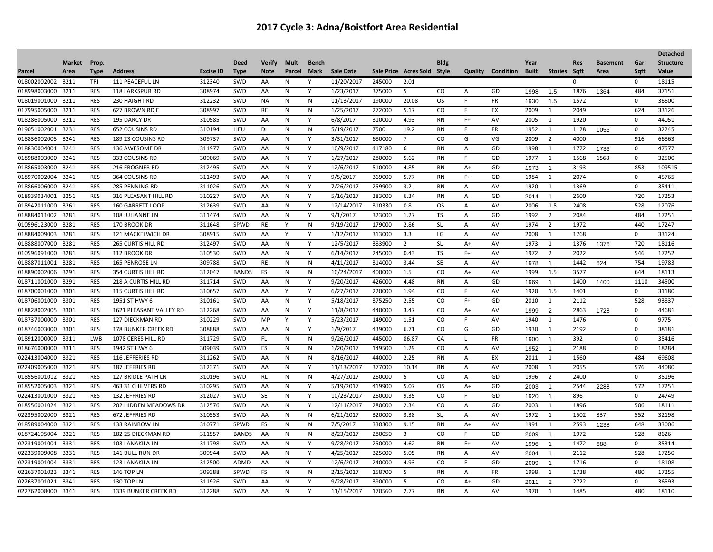|                   |               |             |                            |                  |              |               |              |              |            |        |                             |               |                |           |              |                      |             |                 |             | <b>Detached</b>  |
|-------------------|---------------|-------------|----------------------------|------------------|--------------|---------------|--------------|--------------|------------|--------|-----------------------------|---------------|----------------|-----------|--------------|----------------------|-------------|-----------------|-------------|------------------|
|                   | <b>Market</b> | Prop.       |                            |                  | <b>Deed</b>  | <b>Verify</b> | <b>Multi</b> | <b>Bench</b> |            |        |                             | <b>Bldg</b>   |                |           | Year         |                      | <b>Res</b>  | <b>Basement</b> | Gar         | <b>Structure</b> |
| Parcel            | Area          | <b>Type</b> | <b>Address</b>             | <b>Excise ID</b> | <b>Type</b>  | <b>Note</b>   | Parcel       | Mark         | Sale Date  |        | Sale Price Acres Sold Style |               | Quality        | Condition | <b>Built</b> | Stories Sqft         |             | Area            | Sqft        | Value            |
| 018002002002 3211 |               | TRI         | 111 PEACEFUL LN            | 312340           | SWD          | AA            | N            | Y            | 11/20/2017 | 245000 | 2.01                        |               |                |           |              |                      | $\mathbf 0$ |                 | 0           | 18115            |
| 018998003000      | 3211          | <b>RES</b>  | <b>118 LARKSPUR RD</b>     | 308974           | <b>SWD</b>   | AA            | N            | Y            | 1/23/2017  | 375000 | 5                           | CO.           | $\overline{A}$ | GD        | 1998         | 1.5                  | 1876        | 1364            | 484         | 37151            |
| 018019001000      | 3211          | <b>RES</b>  | 230 HAIGHT RD              | 312232           | SWD          | NA            | N            | N            | 11/13/2017 | 190000 | 20.08                       | <b>OS</b>     | F.             | FR        | 1930         | 1.5                  | 1572        |                 | $\mathbf 0$ | 36600            |
| 017995005000      | 3211          | <b>RES</b>  | 627 BROWN RD E             | 308997           | SWD          | <b>RE</b>     | N            | $\mathsf{N}$ | 1/25/2017  | 272000 | 5.17                        | CO            | F.             | EX        | 2009         | 1                    | 2049        |                 | 624         | 33126            |
| 018286005000      | 3211          | <b>RES</b>  | 195 DARCY DR               | 310585           | SWD          | AA            | N            | Y            | 6/8/2017   | 310000 | 4.93                        | <b>RN</b>     | $F+$           | AV        | 2005         | 1                    | 1920        |                 | $\Omega$    | 44051            |
| 019051002001 3231 |               | RES         | 652 COUSINS RD             | 310194           | LIEU         | <b>DI</b>     | N            | N            | 5/19/2017  | 7500   | 19.2                        | <b>RN</b>     | F.             | <b>FR</b> | 1952         | 1                    | 1128        | 1056            | $\mathbf 0$ | 32245            |
| 018836002005      | 3241          | RES         | 189 23 COUSINS RD          | 309737           | SWD          | AA            | N            | Y            | 3/31/2017  | 680000 | 7                           | CO            | G              | VG        | 2009         | $\overline{2}$       | 4000        |                 | 916         | 66863            |
| 018830004001      | 3241          | <b>RES</b>  | 136 AWESOME DR             | 311977           | SWD          | AA            | N            | Y            | 10/9/2017  | 417180 | 6                           | <b>RN</b>     | Α              | GD        | 1998         | $\mathbf{1}$         | 1772        | 1736            | 0           | 47577            |
| 018988003000      | 3241          | <b>RES</b>  | 333 COUSINS RD             | 309069           | SWD          | AA            | N            | Y            | 1/27/2017  | 280000 | 5.62                        | <b>RN</b>     | F.             | GD        | 1977         | $\mathbf{1}$         | 1568        | 1568            | 0           | 32500            |
| 018865003000      | 3241          | <b>RES</b>  | <b>216 FROGNER RD</b>      | 312495           | <b>SWD</b>   | AA            | Ν            | Y            | 12/6/2017  | 510000 | 4.85                        | <b>RN</b>     | A+             | GD        | 1973         | $\overline{1}$       | 3193        |                 | 853         | 109515           |
| 018970002004      | 3241          | <b>RES</b>  | 364 COUSINS RD             | 311493           | SWD          | AA            | N            | Y            | 9/5/2017   | 369000 | 5.77                        | <b>RN</b>     | $F+$           | GD        | 1984         | $\mathbf{1}$         | 2074        |                 | $\mathbf 0$ | 45765            |
| 018866006000      | 3241          | <b>RES</b>  | 285 PENNING RD             | 311026           | SWD          | AA            | N            | Y            | 7/26/2017  | 259900 | 3.2                         | <b>RN</b>     | $\mathsf{A}$   | AV        | 1920         | 1                    | 1369        |                 | $\mathbf 0$ | 35411            |
| 018939034001      | 3251          | <b>RES</b>  | 316 PLEASANT HILL RD       | 310227           | SWD          | AA            | N            | Y            | 5/16/2017  | 383000 | 6.34                        | <b>RN</b>     | A              | GD        | 2014         | $\mathbf{1}$         | 2600        |                 | 720         | 17253            |
| 018942011000      | 3261          | <b>RES</b>  | 160 GARRETT LOOP           | 312639           | SWD          | AA            | N            | Y            | 12/14/2017 | 310330 | 0.8                         | <b>OS</b>     | A              | AV        | 2006         | 1.5                  | 2408        |                 | 528         | 12076            |
| 018884011002      | 3281          | <b>RES</b>  | <b>108 JULIANNE LN</b>     | 311474           | SWD          | AA            | N            | Y            | 9/1/2017   | 323000 | 1.27                        | <b>TS</b>     | $\mathsf{A}$   | GD        | 1992         | 2                    | 2084        |                 | 484         | 17251            |
| 010596123000      | 3281          | <b>RES</b>  | 170 BROOK DR               | 311648           | SPWD         | <b>RE</b>     | Y            | N            | 9/19/2017  | 179000 | 2.86                        | <b>SL</b>     | A              | AV        | 1974         | 2                    | 1972        |                 | 440         | 17247            |
| 018884009003      | 3281          | <b>RES</b>  | 121 MACKELWICH DR          | 308915           | SWD          | AA            | Υ            | Y            | 1/12/2017  | 313000 | 3.3                         | LG            | A              | AV        | 2008         | 1                    | 1768        |                 | $\mathbf 0$ | 33124            |
| 018888007000      | 3281          | <b>RES</b>  | <b>265 CURTIS HILL RD</b>  | 312497           | <b>SWD</b>   | AA            | N            | Y            | 12/5/2017  | 383900 | $\overline{2}$              | <b>SL</b>     | A+             | AV        | 1973         | 1                    | 1376        | 1376            | 720         | 18116            |
| 010596091000      | 3281          | <b>RES</b>  | 112 BROOK DR               | 310530           | SWD          | AA            | N            | Y            | 6/14/2017  | 245000 | 0.43                        | <b>TS</b>     | $F+$           | AV        | 1972         | $\overline{2}$       | 2022        |                 | 546         | 17252            |
| 018887011001      | 3281          | <b>RES</b>  | 165 PENROSE LN             | 309788           | SWD          | <b>RE</b>     | N            | $\mathsf{N}$ | 4/11/2017  | 314000 | 3.44                        | SE            | A              | AV        | 1978         | $\blacktriangleleft$ | 1442        | 624             | 754         | 19783            |
| 018890002006      | 3291          | <b>RES</b>  | 354 CURTIS HILL RD         | 312047           | <b>BANDS</b> | FS            | Ν            | N            | 10/24/2017 | 400000 | 1.5                         | CO            | A+             | AV        | 1999         | 1.5                  | 3577        |                 | 644         | 18113            |
| 018711001000      | 3291          | RES         | 218 A CURTIS HILL RD       | 311714           | SWD          | AA            | N            | Y            | 9/20/2017  | 426000 | 4.48                        | <b>RN</b>     | $\mathsf{A}$   | GD        | 1969         | $\overline{1}$       | 1400        | 1400            | 1110        | 34500            |
| 018700001000      | 3301          | <b>RES</b>  | 115 CURTIS HILL RD         | 310657           | SWD          | AA            | Υ            | Y            | 6/27/2017  | 220000 | 1.94                        | CO            | F.             | AV        | 1920         | 1.5                  | 1401        |                 | 0           | 31180            |
| 018706001000      | 3301          | <b>RES</b>  | 1951 ST HWY 6              | 310161           | SWD          | AA            | N            | Y            | 5/18/2017  | 375250 | 2.55                        | <b>CO</b>     | F+             | GD        | 2010         | 1                    | 2112        |                 | 528         | 93837            |
| 018828002005      | 3301          | <b>RES</b>  | 1621 PLEASANT VALLEY RD    | 312268           | SWD          | AA            | N            | Y            | 11/8/2017  | 440000 | 3.47                        | <b>CO</b>     | $A+$           | AV        | 1999         | 2                    | 2863        | 1728            | $\mathbf 0$ | 44681            |
| 018737000000      | 3301          | <b>RES</b>  | <b>127 DIECKMAN RD</b>     | 310229           | SWD          | MP            | Y            | Y            | 5/23/2017  | 149000 | 1.51                        | <b>CO</b>     | F.             | AV        | 1940         | 1                    | 1476        |                 | $\mathbf 0$ | 9775             |
| 018746003000      | 3301          | <b>RES</b>  | <b>178 BUNKER CREEK RD</b> | 308888           | SWD          | AA            | N            | Y            | 1/9/2017   | 439000 | 6.71                        | CO            | G              | GD        | 1930         | 1                    | 2192        |                 | $\mathbf 0$ | 38181            |
| 018912000000      | 3311          | LWB         | 1078 CERES HILL RD         | 311729           | SWD          | FL.           | N            | ${\sf N}$    | 9/26/2017  | 445000 | 86.87                       | CA            | L.             | <b>FR</b> | 1900         | $\overline{1}$       | 392         |                 | $\mathbf 0$ | 35416            |
| 018676000000      | 3311          | <b>RES</b>  | 1942 ST HWY 6              | 309039           | <b>SWD</b>   | ES            | N            | N            | 1/20/2017  | 149500 | 1.29                        | <b>CO</b>     | A              | AV        | 1952         | $\overline{1}$       | 2188        |                 | $\mathbf 0$ | 18284            |
| 022413004000      | 3321          | <b>RES</b>  | 116 JEFFERIES RD           | 311262           | SWD          | AA            | N            | $\mathsf{N}$ | 8/16/2017  | 440000 | 2.25                        | <b>RN</b>     | A              | EX        | 2011         | $\mathbf{1}$         | 1560        |                 | 484         | 69608            |
| 022409005000      | 3321          | <b>RES</b>  | 187 JEFFRIES RD            | 312371           | SWD          | AA            | N            | Y            | 11/13/2017 | 377000 | 10.14                       | <b>RN</b>     | A              | AV        | 2008         | 1                    | 2055        |                 | 576         | 44080            |
| 018556001012 3321 |               | <b>RES</b>  | 127 BRIDLE PATH LN         | 310196           | <b>SWD</b>   | <b>RL</b>     | N            | N            | 4/27/2017  | 260000 | 5                           | <b>CO</b>     | A              | GD        | 1996         | 2                    | 2400        |                 | $\mathbf 0$ | 35196            |
| 018552005003      | 3321          | <b>RES</b>  | 463 31 CHILVERS RD         | 310295           | SWD          | AA            | N            | Y            | 5/19/2017  | 419900 | 5.07                        | OS.           | A+             | GD        | 2003         | $\overline{1}$       | 2544        | 2288            | 572         | 17251            |
| 022413001000      | 3321          | <b>RES</b>  | 132 JEFFRIES RD            | 312027           | SWD          | <b>SE</b>     | N            | Y            | 10/23/2017 | 260000 | 9.35                        | CO            | -F             | GD        | 1920         | $\mathbf{1}$         | 896         |                 | $\mathbf 0$ | 24749            |
| 018556001024      | 3321          | <b>RES</b>  | 202 HIDDEN MEADOWS DR      | 312576           | SWD          | AA            | N            | Y            | 12/11/2017 | 280000 | 2.34                        | CO            | A              | GD        | 2003         | 1                    | 1896        |                 | 506         | 18111            |
| 022395002000      | 3321          | <b>RES</b>  | 672 JEFFRIES RD            | 310553           | SWD          | AA            | N            | N            | 6/21/2017  | 320000 | 3.38                        | SL            | A              | AV        | 1972         | 1                    | 1502        | 837             | 552         | 32198            |
| 018589004000      | 3321          | <b>RES</b>  | 133 RAINBOW LN             | 310771           | SPWD         | FS            | N            | $\mathsf{N}$ | 7/5/2017   | 330300 | 9.15                        | <b>RN</b>     | $A+$           | AV        | 1991         | $\mathbf{1}$         | 2593        | 1238            | 648         | 33006            |
| 018724195004      | 3321          | <b>RES</b>  | 182 25 DIECKMAN RD         | 311557           | <b>BANDS</b> | AA            | N            | ${\sf N}$    | 8/23/2017  | 280050 | $\overline{3}$              | <sub>CO</sub> | F.             | GD        | 2009         | $\overline{1}$       | 1972        |                 | 528         | 8626             |
| 022319001001 3331 |               | <b>RES</b>  | 103 LANAKILA LN            | 311798           | SWD          | AA            | N            | Y            | 9/28/2017  | 250000 | 4.62                        | <b>RN</b>     | $F+$           | AV        | 1996         | $\blacktriangleleft$ | 1472        | 688             | $\mathbf 0$ | 35314            |
| 022339009008      | 3331          | <b>RES</b>  | 141 BULL RUN DR            | 309944           | SWD          | AA            | Ν            | Y            | 4/25/2017  | 325000 | 5.05                        | RN            | A              | AV        | 2004         | $\overline{1}$       | 2112        |                 | 528         | 17250            |
| 022319001004      | 3331          | <b>RES</b>  | 123 LANAKILA LN            | 312500           | <b>ADMD</b>  | AA            | N            | Y            | 12/6/2017  | 240000 | 4.93                        | CO            | F.             | GD        | 2009         | $\overline{1}$       | 1716        |                 | 0           | 18108            |
| 022637001023      | 3341          | <b>RES</b>  | <b>146 TOP LN</b>          | 309388           | SPWD         | FS            | N            | $\mathsf{N}$ | 2/15/2017  | 158700 | 5                           | <b>RN</b>     | A              | FR        | 1998         | 1                    | 1738        |                 | 480         | 17255            |
| 022637001021 3341 |               | <b>RES</b>  | 130 TOP LN                 | 311926           | <b>SWD</b>   | AA            | N            | Y            | 9/28/2017  | 390000 | 5                           | CO            | $A+$           | GD        | 2011         | 2                    | 2722        |                 | 0           | 36593            |
| 022762008000      | 3341          | <b>RES</b>  | 1339 BUNKER CREEK RD       | 312288           | SWD          | AA            | N            | Y            | 11/15/2017 | 170560 | 2.77                        | <b>RN</b>     | $\overline{A}$ | AV        | 1970         | $\mathbf{1}$         | 1485        |                 | 480         | 18110            |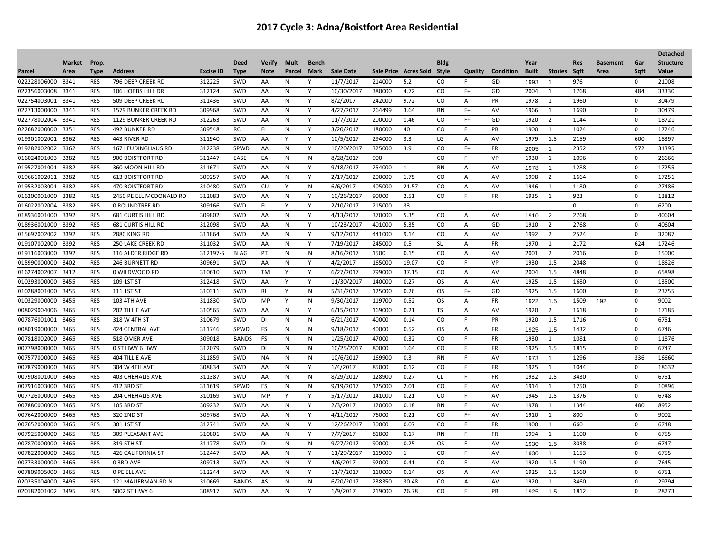| <b>Market</b><br>Prop.<br><b>Deed</b><br><b>Verify</b><br><b>Multi</b><br><b>Bldg</b><br>Year<br>Gar<br><b>Structure</b><br><b>Bench</b><br><b>Res</b><br><b>Basement</b><br><b>Note</b><br>Sale Date<br><b>Type</b><br><b>Address</b><br><b>Excise ID</b><br>Parcel<br>Sale Price Acres Sold Style<br>Quality<br>Condition<br><b>Built</b><br>Stories<br>Sqft<br>Sqft<br>Value<br>Parcel<br>Area<br><b>Type</b><br>Mark<br>Area<br>022228006000 3341<br>312225<br>11/7/2017<br>RES<br>796 DEEP CREEK RD<br>SWD<br>214000<br>5.2<br>CO.<br>976<br>$\mathbf 0$<br>21008<br>AA<br>N<br>Υ<br>F<br>GD<br>1993<br>$\mathbf{1}$<br>022356003008<br><b>RES</b><br>312124<br>484<br>3341<br>106 HOBBS HILL DR<br>SWD<br>AA<br>N<br>Y<br>10/30/2017<br>380000<br>4.72<br>CO<br>F+<br>GD<br>2004<br>1<br>1768<br>33330<br>022754003001<br>3341<br><b>RES</b><br>311436<br>SWD<br>N<br>Y<br>8/2/2017<br>242000<br>9.72<br>CO<br>PR<br>1978<br>1960<br>30479<br>509 DEEP CREEK RD<br>AA<br>Α<br>1<br>$\mathbf 0$<br>022713000000<br>3341<br><b>RES</b><br>309968<br>SWD<br>AA<br>N<br>Y<br>4/27/2017<br>264499<br>3.64<br><b>RN</b><br>$F+$<br>AV<br>1966<br>1690<br>$\mathbf 0$<br>30479<br>1579 BUNKER CREEK RD<br>1<br><b>RES</b><br>022778002004<br>3341<br><b>1129 BUNKER CREEK RD</b><br>312263<br>SWD<br>AA<br>Y<br>11/7/2017<br>200000<br>1.46<br>CO<br>$F+$<br>GD<br>1920<br>2<br>1144<br>$\mathbf 0$<br>18721<br>N<br>022682000000<br>3351<br><b>RES</b><br>309548<br>3/20/2017<br><b>492 BUNKER RD</b><br>RC<br>FL.<br>N<br>Y<br>180000<br>40<br>CO<br>F.<br>PR<br>1900<br>$\mathbf{1}$<br>1024<br>$\mathbf 0$<br>17246<br><b>RES</b><br>311940<br>Y<br>10/5/2017<br>294000<br>1979<br>2159<br>600<br>18397<br>019301002001<br>3362<br>443 RIVER RD<br><b>SWD</b><br>AA<br>3.3<br>LG<br>AV<br>1.5<br>Υ<br>$\mathsf{A}$<br>019282002002<br>3362<br><b>RES</b><br>312238<br>SPWD<br>AA<br>Y<br>325000<br>3.9<br>CO<br>$F+$<br><b>FR</b><br>2352<br>572<br>31395<br><b>167 LEUDINGHAUS RD</b><br>N<br>10/20/2017<br>2005<br>$\mathbf{1}$<br><b>RES</b><br>311447<br>016024001003<br>3382<br>900 BOISTFORT RD<br>EASE<br>EA<br>N<br>${\sf N}$<br>8/28/2017<br>900<br>CO<br>F.<br>VP<br>1930<br>$\mathbf{1}$<br>1096<br>$\mathbf 0$<br>26666<br><b>RES</b><br>311671<br>SWD<br>N<br>Y<br>9/18/2017<br>254000<br><b>RN</b><br>1288<br>17255<br>019527001001<br>3382<br>360 MOON HILL RD<br>AA<br>AV<br>$\mathbf 0$<br>1<br>$\overline{A}$<br>1978<br>$\mathbf{1}$<br>309257<br>019661002011<br>3382<br><b>RES</b><br>SWD<br>AA<br>N<br>Y<br>2/17/2017<br>200000<br>1.75<br>CO<br>AV<br>1998<br>1664<br>$\mathbf 0$<br>17251<br><b>613 BOISTFORT RD</b><br>A<br>$\overline{2}$<br>019532003001 3382<br><b>RES</b><br>310480<br>SWD<br><b>CU</b><br>${\sf N}$<br>6/6/2017<br>21.57<br>CO<br>1946<br>1180<br>$\mathbf 0$<br>27486<br>470 BOISTFORT RD<br>405000<br>AV<br>Y<br>A<br>1<br>312083<br>Y<br>10/26/2017<br>CO<br>F<br>923<br>016200001000<br>3382<br><b>RES</b><br>2450 PE ELL MCDONALD RD<br>SWD<br>N<br>90000<br>2.51<br>FR<br>1935<br>$\mathbf{1}$<br>$\mathbf 0$<br>13812<br>AA<br>016022002004<br>3382<br><b>RES</b><br>309166<br>SWD<br>Y<br>2/10/2017<br>215000<br>33<br>0 ROUNDTREE RD<br>FL.<br>Y<br>$\Omega$<br>$\mathbf 0$<br>6200<br>309802<br>2768<br>018936001000<br>3392<br><b>RES</b><br><b>681 CURTIS HILL RD</b><br>SWD<br>AA<br>N<br>Y<br>4/13/2017<br>370000<br>5.35<br><sub>CO</sub><br>AV<br>$\mathbf 0$<br>40604<br>Α<br>1910<br>$\overline{2}$<br>018936001000<br><b>RES</b><br>312098<br>SWD<br>Y<br>10/23/2017<br>401000<br>5.35<br>CO<br>GD<br>1910<br>2768<br>40604<br>3392<br>681 CURTIS HILL RD<br>AA<br>N<br>Α<br>2<br>0<br><b>RES</b><br>311864<br>AV<br>2524<br>015697002002<br>3392<br><b>2880 KING RD</b><br>SWD<br>AA<br>N<br>Y<br>9/12/2017<br>441000<br>9.14<br>CO.<br>1992<br>$\overline{2}$<br>$\mathbf 0$<br>32087<br>A<br>311032<br>Y<br>7/19/2017<br>2172<br>019107002000<br>3392<br><b>RES</b><br>SWD<br>N<br>245000<br>0.5<br><b>SL</b><br><b>FR</b><br>1970<br>624<br>17246<br><b>250 LAKE CREEK RD</b><br>AA<br>$\overline{A}$<br>1<br>019116003000<br>3392<br><b>RES</b><br>116 ALDER RIDGE RD<br>312197-S<br><b>BLAG</b><br>PT<br>N<br>N<br>8/16/2017<br>1500<br>0.15<br>CO.<br>AV<br>2001<br>2<br>2016<br>$\mathbf 0$<br>15000<br>$\mathsf{A}$<br>015990000000<br>3402<br><b>RES</b><br>309691<br>SWD<br>Y<br>4/2/2017<br>165000<br>19.07<br>CO<br>VP<br>1.5<br>2048<br>246 BURNETT RD<br>AA<br>N<br>F.<br>1930<br>$\mathbf 0$<br>18626<br>016274002007<br><b>RES</b><br>310610<br>SWD<br><b>TM</b><br>Y<br>6/27/2017<br>799000<br>37.15<br>CO<br>4848<br>65898<br>3412<br>0 WILDWOOD RD<br>Υ<br>AV<br>2004<br>1.5<br>$\mathbf 0$<br>А<br><b>RES</b><br>312418<br><b>OS</b><br>010293000000<br>109 1ST ST<br>SWD<br>Y<br>11/30/201<br>140000<br>0.27<br>AV<br>1925<br>1.5<br>1680<br>$\mathbf 0$<br>13500<br>3455<br>AA<br>A<br>Y<br>310311<br>5/31/2017<br>125000<br>010288001000<br>3455<br>RES<br>111 1ST ST<br>SWD<br>RL<br>N<br>0.26<br>OS.<br>$F+$<br>GD<br>1925<br>1.5<br>1600<br>0<br>23755<br>Υ<br><b>RES</b><br>311830<br>010329000000<br>3455<br>SWD<br>MP<br>N<br>9/30/2017<br>119700<br>0.52<br><b>OS</b><br>FR<br>1509<br>$\mathbf 0$<br>9002<br><b>103 4TH AVE</b><br>Y<br>A<br>1922<br>1.5<br>192<br><b>TS</b><br>008029004006<br>3465<br><b>RES</b><br>310565<br>SWD<br>AA<br>N<br>Y<br>6/15/2017<br>169000<br>0.21<br>Α<br>AV<br>1920<br>2<br>1618<br>$\mathbf 0$<br>17185<br>202 TILLIE AVE<br>007876001001<br>3465<br><b>RES</b><br>318 W 4TH ST<br>310679<br>SWD<br><b>DI</b><br>N<br>${\sf N}$<br>6/21/2017<br>40000<br>0.14<br><sub>CO</sub><br>F.<br>PR<br>1920<br>1.5<br>1716<br>$\mathbf 0$<br>6751<br><b>RES</b><br>311746<br>SPWD<br>40000<br><b>OS</b><br>FR<br>1432<br>6746<br>008019000000<br>FS<br>N<br>N<br>9/18/2017<br>0.52<br>0<br>3465<br>424 CENTRAL AVE<br>Α<br>1925<br>1.5<br><b>RES</b><br>309018<br>1/25/2017<br>47000<br>1930<br>007818002000<br>3465<br>518 OMER AVE<br><b>BANDS</b><br><b>FS</b><br>N<br>${\sf N}$<br>0.32<br>CO<br>FR<br>$\mathbf{1}$<br>1081<br>$\mathbf 0$<br>11876<br>F.<br>007798000000<br>3465<br><b>RES</b><br>312079<br>SWD<br>N<br>${\sf N}$<br>10/25/2017<br>80000<br>1.64<br>CO<br><b>FR</b><br>1925<br>1.5<br>1815<br>$\mathbf 0$<br>6747<br>0 ST HWY 6 HWY<br>DI<br>F.<br>311859<br>007577000000<br>3465<br><b>RES</b><br><b>404 TILLIE AVE</b><br><b>SWD</b><br><b>NA</b><br>N<br>N<br>10/6/2017<br>169900<br>0.3<br><b>RN</b><br>F.<br>AV<br>1296<br>336<br>16660<br>1973<br>$\mathbf{1}$<br>007879000000<br><b>RES</b><br>308834<br>SWD<br>$\mathsf{N}$<br>Y<br>1/4/2017<br>85000<br>0.12<br>CO<br>FR<br>1925<br>1044<br>3465<br>304 W 4TH AVE<br>AA<br>F.<br>1<br>0<br>18632<br>007908001000<br><b>RES</b><br>311387<br>SWD<br>8/29/2017<br>128900<br>0.27<br>FR<br>1932<br>1.5<br>3430<br>$\mathbf 0$<br>6751<br>3465<br><b>403 CHEHALIS AVE</b><br>AA<br>${\sf N}$<br>${\sf N}$<br><b>CL</b><br>F.<br>007916003000<br><b>RES</b><br>311619<br>SPWD<br>ES<br>N<br>N<br>9/19/2017<br>125000<br>2.01<br>CO<br>AV<br>1914<br>1250<br>$\mathbf 0$<br>3465<br>412 3RD ST<br>F<br>1<br>10896<br><b>RES</b><br>310169<br>SWD<br>5/17/2017<br>141000<br>0.21<br>CO<br>AV<br>1945<br>1.5<br>1376<br>6748<br>007726000000<br>3465<br><b>204 CHEHALIS AVE</b><br>MP<br>Y<br>F.<br>0<br>Y<br>007880000000<br><b>RES</b><br>309232<br>SWD<br>Υ<br>2/3/2017<br>120000<br>0.18<br>AV<br>1978<br>480<br>8952<br>3465<br>105 3RD ST<br>AA<br>N<br><b>RN</b><br>F.<br>1344<br>1<br>007642000000<br><b>RES</b><br>309768<br>4/11/2017<br>76000<br>CO<br>1910<br>800<br>9002<br>3465<br>320 2ND ST<br><b>SWD</b><br>AA<br>N<br>Y<br>0.21<br>F+<br>AV<br>1<br>$\mathbf 0$<br>312741<br>Y<br>12/26/2017<br>007652000000<br>3465<br><b>RES</b><br>301 1ST ST<br>SWD<br>AA<br>N<br>30000<br>0.07<br><sub>CO</sub><br>F.<br>FR<br>1900<br>1<br>660<br>$\mathbf 0$<br>6748<br>310801<br>Y<br>007925000000<br><b>RES</b><br>SWD<br>N<br>7/7/2017<br>81800<br>0.17<br>FR<br>1994<br>1100<br>$\mathbf 0$<br>6755<br>3465<br>309 PLEASANT AVE<br>AA<br><b>RN</b><br>F<br>1<br>6747<br><b>RES</b><br>311778<br>SWD<br>9/27/2017<br>90000<br>0.25<br><b>OS</b><br>AV<br>3038<br>007870000000<br>3465<br>319 5TH ST<br><b>DI</b><br>N<br>${\sf N}$<br>F.<br>$\mathbf 0$<br>1930<br>1.5<br>312447<br>007822000000<br>3465<br><b>RES</b><br><b>426 CALIFORNIA ST</b><br>SWD<br>AA<br>N<br>Y<br>11/29/2017<br>119000<br>CO<br>AV<br>1153<br>$\mathbf 0$<br>6755<br>1<br>F.<br>1930<br>$\mathbf{1}$<br><b>RES</b><br>309713<br>4/6/2017<br>7645<br>007733000000<br>3465<br>SWD<br>Y<br>92000<br>CO<br>1920<br>1190<br>03RD AVE<br>AA<br>N<br>0.41<br>F.<br>AV<br>1.5<br>0<br>007809005000<br><b>RES</b><br>312244<br>SWD<br>Y<br>11/7/2017<br><b>OS</b><br>AV<br>1.5<br>$\mathbf 0$<br>6751<br>3465<br>0 PE ELL AVE<br>AA<br>N<br>110000<br>0.14<br>Α<br>1925<br>1560<br>020235004000<br><b>RES</b><br>310669<br><b>BANDS</b><br>6/20/2017<br>238350<br>30.48<br>CO<br>AV<br>1920<br>3460<br>29794<br>3495<br>121 MAUERMAN RD N<br>AS<br>N<br>${\sf N}$<br>$\mathbf 0$<br>Α<br>1 |                   |            |               |        |     |    |   |   |          |        |       |    |    |    |      |     |      |             | <b>Detached</b> |
|------------------------------------------------------------------------------------------------------------------------------------------------------------------------------------------------------------------------------------------------------------------------------------------------------------------------------------------------------------------------------------------------------------------------------------------------------------------------------------------------------------------------------------------------------------------------------------------------------------------------------------------------------------------------------------------------------------------------------------------------------------------------------------------------------------------------------------------------------------------------------------------------------------------------------------------------------------------------------------------------------------------------------------------------------------------------------------------------------------------------------------------------------------------------------------------------------------------------------------------------------------------------------------------------------------------------------------------------------------------------------------------------------------------------------------------------------------------------------------------------------------------------------------------------------------------------------------------------------------------------------------------------------------------------------------------------------------------------------------------------------------------------------------------------------------------------------------------------------------------------------------------------------------------------------------------------------------------------------------------------------------------------------------------------------------------------------------------------------------------------------------------------------------------------------------------------------------------------------------------------------------------------------------------------------------------------------------------------------------------------------------------------------------------------------------------------------------------------------------------------------------------------------------------------------------------------------------------------------------------------------------------------------------------------------------------------------------------------------------------------------------------------------------------------------------------------------------------------------------------------------------------------------------------------------------------------------------------------------------------------------------------------------------------------------------------------------------------------------------------------------------------------------------------------------------------------------------------------------------------------------------------------------------------------------------------------------------------------------------------------------------------------------------------------------------------------------------------------------------------------------------------------------------------------------------------------------------------------------------------------------------------------------------------------------------------------------------------------------------------------------------------------------------------------------------------------------------------------------------------------------------------------------------------------------------------------------------------------------------------------------------------------------------------------------------------------------------------------------------------------------------------------------------------------------------------------------------------------------------------------------------------------------------------------------------------------------------------------------------------------------------------------------------------------------------------------------------------------------------------------------------------------------------------------------------------------------------------------------------------------------------------------------------------------------------------------------------------------------------------------------------------------------------------------------------------------------------------------------------------------------------------------------------------------------------------------------------------------------------------------------------------------------------------------------------------------------------------------------------------------------------------------------------------------------------------------------------------------------------------------------------------------------------------------------------------------------------------------------------------------------------------------------------------------------------------------------------------------------------------------------------------------------------------------------------------------------------------------------------------------------------------------------------------------------------------------------------------------------------------------------------------------------------------------------------------------------------------------------------------------------------------------------------------------------------------------------------------------------------------------------------------------------------------------------------------------------------------------------------------------------------------------------------------------------------------------------------------------------------------------------------------------------------------------------------------------------------------------------------------------------------------------------------------------------------------------------------------------------------------------------------------------------------------------------------------------------------------------------------------------------------------------------------------------------------------------------------------------------------------------------------------------------------------------------------------------------------------------------------------------------------------------------------------------------------------------------------------------------------------------------------------------------------------------------------------------------------------------------------------------------------------------------------------------------------------------------------------------------------------------------------------------------------------------------------------------------------------------------------------------------------------------------------------------------------------------------------------------------------------------------------------------------------------------------------------------------------------------------------------------------------------------------------------------------------------------------------------------------------------------------------------------------------------------------------------------------------------------------------------------------------------------------------------------------------------------------------------------------------------------------------------------------------------------------------------------------------------------------------------------------------------------------------------------------------------------------------------------------------------------------------------------------------------------------------------------------------------------------------------------------------------------------------------------------------------------------------------------------------------------------------------------------------------------------------------------------------------------------------------------------------------------------------------------------------------------------------------------------------------------------------------------------------------------------------------------------------------------------------------------------------------------------------------------------------------------------------------------------------------------------------------------------------------------------------------------------|-------------------|------------|---------------|--------|-----|----|---|---|----------|--------|-------|----|----|----|------|-----|------|-------------|-----------------|
|                                                                                                                                                                                                                                                                                                                                                                                                                                                                                                                                                                                                                                                                                                                                                                                                                                                                                                                                                                                                                                                                                                                                                                                                                                                                                                                                                                                                                                                                                                                                                                                                                                                                                                                                                                                                                                                                                                                                                                                                                                                                                                                                                                                                                                                                                                                                                                                                                                                                                                                                                                                                                                                                                                                                                                                                                                                                                                                                                                                                                                                                                                                                                                                                                                                                                                                                                                                                                                                                                                                                                                                                                                                                                                                                                                                                                                                                                                                                                                                                                                                                                                                                                                                                                                                                                                                                                                                                                                                                                                                                                                                                                                                                                                                                                                                                                                                                                                                                                                                                                                                                                                                                                                                                                                                                                                                                                                                                                                                                                                                                                                                                                                                                                                                                                                                                                                                                                                                                                                                                                                                                                                                                                                                                                                                                                                                                                                                                                                                                                                                                                                                                                                                                                                                                                                                                                                                                                                                                                                                                                                                                                                                                                                                                                                                                                                                                                                                                                                                                                                                                                                                                                                                                                                                                                                                                                                                                                                                                                                                                                                                                                                                                                                                                                                                                                                                                                                                                                                                                                                                                                                                                                                                                                                                                                                                                                                                                                                                                                                                                                                                                              |                   |            |               |        |     |    |   |   |          |        |       |    |    |    |      |     |      |             |                 |
|                                                                                                                                                                                                                                                                                                                                                                                                                                                                                                                                                                                                                                                                                                                                                                                                                                                                                                                                                                                                                                                                                                                                                                                                                                                                                                                                                                                                                                                                                                                                                                                                                                                                                                                                                                                                                                                                                                                                                                                                                                                                                                                                                                                                                                                                                                                                                                                                                                                                                                                                                                                                                                                                                                                                                                                                                                                                                                                                                                                                                                                                                                                                                                                                                                                                                                                                                                                                                                                                                                                                                                                                                                                                                                                                                                                                                                                                                                                                                                                                                                                                                                                                                                                                                                                                                                                                                                                                                                                                                                                                                                                                                                                                                                                                                                                                                                                                                                                                                                                                                                                                                                                                                                                                                                                                                                                                                                                                                                                                                                                                                                                                                                                                                                                                                                                                                                                                                                                                                                                                                                                                                                                                                                                                                                                                                                                                                                                                                                                                                                                                                                                                                                                                                                                                                                                                                                                                                                                                                                                                                                                                                                                                                                                                                                                                                                                                                                                                                                                                                                                                                                                                                                                                                                                                                                                                                                                                                                                                                                                                                                                                                                                                                                                                                                                                                                                                                                                                                                                                                                                                                                                                                                                                                                                                                                                                                                                                                                                                                                                                                                                                              |                   |            |               |        |     |    |   |   |          |        |       |    |    |    |      |     |      |             |                 |
|                                                                                                                                                                                                                                                                                                                                                                                                                                                                                                                                                                                                                                                                                                                                                                                                                                                                                                                                                                                                                                                                                                                                                                                                                                                                                                                                                                                                                                                                                                                                                                                                                                                                                                                                                                                                                                                                                                                                                                                                                                                                                                                                                                                                                                                                                                                                                                                                                                                                                                                                                                                                                                                                                                                                                                                                                                                                                                                                                                                                                                                                                                                                                                                                                                                                                                                                                                                                                                                                                                                                                                                                                                                                                                                                                                                                                                                                                                                                                                                                                                                                                                                                                                                                                                                                                                                                                                                                                                                                                                                                                                                                                                                                                                                                                                                                                                                                                                                                                                                                                                                                                                                                                                                                                                                                                                                                                                                                                                                                                                                                                                                                                                                                                                                                                                                                                                                                                                                                                                                                                                                                                                                                                                                                                                                                                                                                                                                                                                                                                                                                                                                                                                                                                                                                                                                                                                                                                                                                                                                                                                                                                                                                                                                                                                                                                                                                                                                                                                                                                                                                                                                                                                                                                                                                                                                                                                                                                                                                                                                                                                                                                                                                                                                                                                                                                                                                                                                                                                                                                                                                                                                                                                                                                                                                                                                                                                                                                                                                                                                                                                                                              |                   |            |               |        |     |    |   |   |          |        |       |    |    |    |      |     |      |             |                 |
|                                                                                                                                                                                                                                                                                                                                                                                                                                                                                                                                                                                                                                                                                                                                                                                                                                                                                                                                                                                                                                                                                                                                                                                                                                                                                                                                                                                                                                                                                                                                                                                                                                                                                                                                                                                                                                                                                                                                                                                                                                                                                                                                                                                                                                                                                                                                                                                                                                                                                                                                                                                                                                                                                                                                                                                                                                                                                                                                                                                                                                                                                                                                                                                                                                                                                                                                                                                                                                                                                                                                                                                                                                                                                                                                                                                                                                                                                                                                                                                                                                                                                                                                                                                                                                                                                                                                                                                                                                                                                                                                                                                                                                                                                                                                                                                                                                                                                                                                                                                                                                                                                                                                                                                                                                                                                                                                                                                                                                                                                                                                                                                                                                                                                                                                                                                                                                                                                                                                                                                                                                                                                                                                                                                                                                                                                                                                                                                                                                                                                                                                                                                                                                                                                                                                                                                                                                                                                                                                                                                                                                                                                                                                                                                                                                                                                                                                                                                                                                                                                                                                                                                                                                                                                                                                                                                                                                                                                                                                                                                                                                                                                                                                                                                                                                                                                                                                                                                                                                                                                                                                                                                                                                                                                                                                                                                                                                                                                                                                                                                                                                                                              |                   |            |               |        |     |    |   |   |          |        |       |    |    |    |      |     |      |             |                 |
|                                                                                                                                                                                                                                                                                                                                                                                                                                                                                                                                                                                                                                                                                                                                                                                                                                                                                                                                                                                                                                                                                                                                                                                                                                                                                                                                                                                                                                                                                                                                                                                                                                                                                                                                                                                                                                                                                                                                                                                                                                                                                                                                                                                                                                                                                                                                                                                                                                                                                                                                                                                                                                                                                                                                                                                                                                                                                                                                                                                                                                                                                                                                                                                                                                                                                                                                                                                                                                                                                                                                                                                                                                                                                                                                                                                                                                                                                                                                                                                                                                                                                                                                                                                                                                                                                                                                                                                                                                                                                                                                                                                                                                                                                                                                                                                                                                                                                                                                                                                                                                                                                                                                                                                                                                                                                                                                                                                                                                                                                                                                                                                                                                                                                                                                                                                                                                                                                                                                                                                                                                                                                                                                                                                                                                                                                                                                                                                                                                                                                                                                                                                                                                                                                                                                                                                                                                                                                                                                                                                                                                                                                                                                                                                                                                                                                                                                                                                                                                                                                                                                                                                                                                                                                                                                                                                                                                                                                                                                                                                                                                                                                                                                                                                                                                                                                                                                                                                                                                                                                                                                                                                                                                                                                                                                                                                                                                                                                                                                                                                                                                                                              |                   |            |               |        |     |    |   |   |          |        |       |    |    |    |      |     |      |             |                 |
|                                                                                                                                                                                                                                                                                                                                                                                                                                                                                                                                                                                                                                                                                                                                                                                                                                                                                                                                                                                                                                                                                                                                                                                                                                                                                                                                                                                                                                                                                                                                                                                                                                                                                                                                                                                                                                                                                                                                                                                                                                                                                                                                                                                                                                                                                                                                                                                                                                                                                                                                                                                                                                                                                                                                                                                                                                                                                                                                                                                                                                                                                                                                                                                                                                                                                                                                                                                                                                                                                                                                                                                                                                                                                                                                                                                                                                                                                                                                                                                                                                                                                                                                                                                                                                                                                                                                                                                                                                                                                                                                                                                                                                                                                                                                                                                                                                                                                                                                                                                                                                                                                                                                                                                                                                                                                                                                                                                                                                                                                                                                                                                                                                                                                                                                                                                                                                                                                                                                                                                                                                                                                                                                                                                                                                                                                                                                                                                                                                                                                                                                                                                                                                                                                                                                                                                                                                                                                                                                                                                                                                                                                                                                                                                                                                                                                                                                                                                                                                                                                                                                                                                                                                                                                                                                                                                                                                                                                                                                                                                                                                                                                                                                                                                                                                                                                                                                                                                                                                                                                                                                                                                                                                                                                                                                                                                                                                                                                                                                                                                                                                                                              |                   |            |               |        |     |    |   |   |          |        |       |    |    |    |      |     |      |             |                 |
|                                                                                                                                                                                                                                                                                                                                                                                                                                                                                                                                                                                                                                                                                                                                                                                                                                                                                                                                                                                                                                                                                                                                                                                                                                                                                                                                                                                                                                                                                                                                                                                                                                                                                                                                                                                                                                                                                                                                                                                                                                                                                                                                                                                                                                                                                                                                                                                                                                                                                                                                                                                                                                                                                                                                                                                                                                                                                                                                                                                                                                                                                                                                                                                                                                                                                                                                                                                                                                                                                                                                                                                                                                                                                                                                                                                                                                                                                                                                                                                                                                                                                                                                                                                                                                                                                                                                                                                                                                                                                                                                                                                                                                                                                                                                                                                                                                                                                                                                                                                                                                                                                                                                                                                                                                                                                                                                                                                                                                                                                                                                                                                                                                                                                                                                                                                                                                                                                                                                                                                                                                                                                                                                                                                                                                                                                                                                                                                                                                                                                                                                                                                                                                                                                                                                                                                                                                                                                                                                                                                                                                                                                                                                                                                                                                                                                                                                                                                                                                                                                                                                                                                                                                                                                                                                                                                                                                                                                                                                                                                                                                                                                                                                                                                                                                                                                                                                                                                                                                                                                                                                                                                                                                                                                                                                                                                                                                                                                                                                                                                                                                                                              |                   |            |               |        |     |    |   |   |          |        |       |    |    |    |      |     |      |             |                 |
|                                                                                                                                                                                                                                                                                                                                                                                                                                                                                                                                                                                                                                                                                                                                                                                                                                                                                                                                                                                                                                                                                                                                                                                                                                                                                                                                                                                                                                                                                                                                                                                                                                                                                                                                                                                                                                                                                                                                                                                                                                                                                                                                                                                                                                                                                                                                                                                                                                                                                                                                                                                                                                                                                                                                                                                                                                                                                                                                                                                                                                                                                                                                                                                                                                                                                                                                                                                                                                                                                                                                                                                                                                                                                                                                                                                                                                                                                                                                                                                                                                                                                                                                                                                                                                                                                                                                                                                                                                                                                                                                                                                                                                                                                                                                                                                                                                                                                                                                                                                                                                                                                                                                                                                                                                                                                                                                                                                                                                                                                                                                                                                                                                                                                                                                                                                                                                                                                                                                                                                                                                                                                                                                                                                                                                                                                                                                                                                                                                                                                                                                                                                                                                                                                                                                                                                                                                                                                                                                                                                                                                                                                                                                                                                                                                                                                                                                                                                                                                                                                                                                                                                                                                                                                                                                                                                                                                                                                                                                                                                                                                                                                                                                                                                                                                                                                                                                                                                                                                                                                                                                                                                                                                                                                                                                                                                                                                                                                                                                                                                                                                                                              |                   |            |               |        |     |    |   |   |          |        |       |    |    |    |      |     |      |             |                 |
|                                                                                                                                                                                                                                                                                                                                                                                                                                                                                                                                                                                                                                                                                                                                                                                                                                                                                                                                                                                                                                                                                                                                                                                                                                                                                                                                                                                                                                                                                                                                                                                                                                                                                                                                                                                                                                                                                                                                                                                                                                                                                                                                                                                                                                                                                                                                                                                                                                                                                                                                                                                                                                                                                                                                                                                                                                                                                                                                                                                                                                                                                                                                                                                                                                                                                                                                                                                                                                                                                                                                                                                                                                                                                                                                                                                                                                                                                                                                                                                                                                                                                                                                                                                                                                                                                                                                                                                                                                                                                                                                                                                                                                                                                                                                                                                                                                                                                                                                                                                                                                                                                                                                                                                                                                                                                                                                                                                                                                                                                                                                                                                                                                                                                                                                                                                                                                                                                                                                                                                                                                                                                                                                                                                                                                                                                                                                                                                                                                                                                                                                                                                                                                                                                                                                                                                                                                                                                                                                                                                                                                                                                                                                                                                                                                                                                                                                                                                                                                                                                                                                                                                                                                                                                                                                                                                                                                                                                                                                                                                                                                                                                                                                                                                                                                                                                                                                                                                                                                                                                                                                                                                                                                                                                                                                                                                                                                                                                                                                                                                                                                                                              |                   |            |               |        |     |    |   |   |          |        |       |    |    |    |      |     |      |             |                 |
|                                                                                                                                                                                                                                                                                                                                                                                                                                                                                                                                                                                                                                                                                                                                                                                                                                                                                                                                                                                                                                                                                                                                                                                                                                                                                                                                                                                                                                                                                                                                                                                                                                                                                                                                                                                                                                                                                                                                                                                                                                                                                                                                                                                                                                                                                                                                                                                                                                                                                                                                                                                                                                                                                                                                                                                                                                                                                                                                                                                                                                                                                                                                                                                                                                                                                                                                                                                                                                                                                                                                                                                                                                                                                                                                                                                                                                                                                                                                                                                                                                                                                                                                                                                                                                                                                                                                                                                                                                                                                                                                                                                                                                                                                                                                                                                                                                                                                                                                                                                                                                                                                                                                                                                                                                                                                                                                                                                                                                                                                                                                                                                                                                                                                                                                                                                                                                                                                                                                                                                                                                                                                                                                                                                                                                                                                                                                                                                                                                                                                                                                                                                                                                                                                                                                                                                                                                                                                                                                                                                                                                                                                                                                                                                                                                                                                                                                                                                                                                                                                                                                                                                                                                                                                                                                                                                                                                                                                                                                                                                                                                                                                                                                                                                                                                                                                                                                                                                                                                                                                                                                                                                                                                                                                                                                                                                                                                                                                                                                                                                                                                                                              |                   |            |               |        |     |    |   |   |          |        |       |    |    |    |      |     |      |             |                 |
|                                                                                                                                                                                                                                                                                                                                                                                                                                                                                                                                                                                                                                                                                                                                                                                                                                                                                                                                                                                                                                                                                                                                                                                                                                                                                                                                                                                                                                                                                                                                                                                                                                                                                                                                                                                                                                                                                                                                                                                                                                                                                                                                                                                                                                                                                                                                                                                                                                                                                                                                                                                                                                                                                                                                                                                                                                                                                                                                                                                                                                                                                                                                                                                                                                                                                                                                                                                                                                                                                                                                                                                                                                                                                                                                                                                                                                                                                                                                                                                                                                                                                                                                                                                                                                                                                                                                                                                                                                                                                                                                                                                                                                                                                                                                                                                                                                                                                                                                                                                                                                                                                                                                                                                                                                                                                                                                                                                                                                                                                                                                                                                                                                                                                                                                                                                                                                                                                                                                                                                                                                                                                                                                                                                                                                                                                                                                                                                                                                                                                                                                                                                                                                                                                                                                                                                                                                                                                                                                                                                                                                                                                                                                                                                                                                                                                                                                                                                                                                                                                                                                                                                                                                                                                                                                                                                                                                                                                                                                                                                                                                                                                                                                                                                                                                                                                                                                                                                                                                                                                                                                                                                                                                                                                                                                                                                                                                                                                                                                                                                                                                                                              |                   |            |               |        |     |    |   |   |          |        |       |    |    |    |      |     |      |             |                 |
|                                                                                                                                                                                                                                                                                                                                                                                                                                                                                                                                                                                                                                                                                                                                                                                                                                                                                                                                                                                                                                                                                                                                                                                                                                                                                                                                                                                                                                                                                                                                                                                                                                                                                                                                                                                                                                                                                                                                                                                                                                                                                                                                                                                                                                                                                                                                                                                                                                                                                                                                                                                                                                                                                                                                                                                                                                                                                                                                                                                                                                                                                                                                                                                                                                                                                                                                                                                                                                                                                                                                                                                                                                                                                                                                                                                                                                                                                                                                                                                                                                                                                                                                                                                                                                                                                                                                                                                                                                                                                                                                                                                                                                                                                                                                                                                                                                                                                                                                                                                                                                                                                                                                                                                                                                                                                                                                                                                                                                                                                                                                                                                                                                                                                                                                                                                                                                                                                                                                                                                                                                                                                                                                                                                                                                                                                                                                                                                                                                                                                                                                                                                                                                                                                                                                                                                                                                                                                                                                                                                                                                                                                                                                                                                                                                                                                                                                                                                                                                                                                                                                                                                                                                                                                                                                                                                                                                                                                                                                                                                                                                                                                                                                                                                                                                                                                                                                                                                                                                                                                                                                                                                                                                                                                                                                                                                                                                                                                                                                                                                                                                                                              |                   |            |               |        |     |    |   |   |          |        |       |    |    |    |      |     |      |             |                 |
|                                                                                                                                                                                                                                                                                                                                                                                                                                                                                                                                                                                                                                                                                                                                                                                                                                                                                                                                                                                                                                                                                                                                                                                                                                                                                                                                                                                                                                                                                                                                                                                                                                                                                                                                                                                                                                                                                                                                                                                                                                                                                                                                                                                                                                                                                                                                                                                                                                                                                                                                                                                                                                                                                                                                                                                                                                                                                                                                                                                                                                                                                                                                                                                                                                                                                                                                                                                                                                                                                                                                                                                                                                                                                                                                                                                                                                                                                                                                                                                                                                                                                                                                                                                                                                                                                                                                                                                                                                                                                                                                                                                                                                                                                                                                                                                                                                                                                                                                                                                                                                                                                                                                                                                                                                                                                                                                                                                                                                                                                                                                                                                                                                                                                                                                                                                                                                                                                                                                                                                                                                                                                                                                                                                                                                                                                                                                                                                                                                                                                                                                                                                                                                                                                                                                                                                                                                                                                                                                                                                                                                                                                                                                                                                                                                                                                                                                                                                                                                                                                                                                                                                                                                                                                                                                                                                                                                                                                                                                                                                                                                                                                                                                                                                                                                                                                                                                                                                                                                                                                                                                                                                                                                                                                                                                                                                                                                                                                                                                                                                                                                                                              |                   |            |               |        |     |    |   |   |          |        |       |    |    |    |      |     |      |             |                 |
|                                                                                                                                                                                                                                                                                                                                                                                                                                                                                                                                                                                                                                                                                                                                                                                                                                                                                                                                                                                                                                                                                                                                                                                                                                                                                                                                                                                                                                                                                                                                                                                                                                                                                                                                                                                                                                                                                                                                                                                                                                                                                                                                                                                                                                                                                                                                                                                                                                                                                                                                                                                                                                                                                                                                                                                                                                                                                                                                                                                                                                                                                                                                                                                                                                                                                                                                                                                                                                                                                                                                                                                                                                                                                                                                                                                                                                                                                                                                                                                                                                                                                                                                                                                                                                                                                                                                                                                                                                                                                                                                                                                                                                                                                                                                                                                                                                                                                                                                                                                                                                                                                                                                                                                                                                                                                                                                                                                                                                                                                                                                                                                                                                                                                                                                                                                                                                                                                                                                                                                                                                                                                                                                                                                                                                                                                                                                                                                                                                                                                                                                                                                                                                                                                                                                                                                                                                                                                                                                                                                                                                                                                                                                                                                                                                                                                                                                                                                                                                                                                                                                                                                                                                                                                                                                                                                                                                                                                                                                                                                                                                                                                                                                                                                                                                                                                                                                                                                                                                                                                                                                                                                                                                                                                                                                                                                                                                                                                                                                                                                                                                                                              |                   |            |               |        |     |    |   |   |          |        |       |    |    |    |      |     |      |             |                 |
|                                                                                                                                                                                                                                                                                                                                                                                                                                                                                                                                                                                                                                                                                                                                                                                                                                                                                                                                                                                                                                                                                                                                                                                                                                                                                                                                                                                                                                                                                                                                                                                                                                                                                                                                                                                                                                                                                                                                                                                                                                                                                                                                                                                                                                                                                                                                                                                                                                                                                                                                                                                                                                                                                                                                                                                                                                                                                                                                                                                                                                                                                                                                                                                                                                                                                                                                                                                                                                                                                                                                                                                                                                                                                                                                                                                                                                                                                                                                                                                                                                                                                                                                                                                                                                                                                                                                                                                                                                                                                                                                                                                                                                                                                                                                                                                                                                                                                                                                                                                                                                                                                                                                                                                                                                                                                                                                                                                                                                                                                                                                                                                                                                                                                                                                                                                                                                                                                                                                                                                                                                                                                                                                                                                                                                                                                                                                                                                                                                                                                                                                                                                                                                                                                                                                                                                                                                                                                                                                                                                                                                                                                                                                                                                                                                                                                                                                                                                                                                                                                                                                                                                                                                                                                                                                                                                                                                                                                                                                                                                                                                                                                                                                                                                                                                                                                                                                                                                                                                                                                                                                                                                                                                                                                                                                                                                                                                                                                                                                                                                                                                                                              |                   |            |               |        |     |    |   |   |          |        |       |    |    |    |      |     |      |             |                 |
|                                                                                                                                                                                                                                                                                                                                                                                                                                                                                                                                                                                                                                                                                                                                                                                                                                                                                                                                                                                                                                                                                                                                                                                                                                                                                                                                                                                                                                                                                                                                                                                                                                                                                                                                                                                                                                                                                                                                                                                                                                                                                                                                                                                                                                                                                                                                                                                                                                                                                                                                                                                                                                                                                                                                                                                                                                                                                                                                                                                                                                                                                                                                                                                                                                                                                                                                                                                                                                                                                                                                                                                                                                                                                                                                                                                                                                                                                                                                                                                                                                                                                                                                                                                                                                                                                                                                                                                                                                                                                                                                                                                                                                                                                                                                                                                                                                                                                                                                                                                                                                                                                                                                                                                                                                                                                                                                                                                                                                                                                                                                                                                                                                                                                                                                                                                                                                                                                                                                                                                                                                                                                                                                                                                                                                                                                                                                                                                                                                                                                                                                                                                                                                                                                                                                                                                                                                                                                                                                                                                                                                                                                                                                                                                                                                                                                                                                                                                                                                                                                                                                                                                                                                                                                                                                                                                                                                                                                                                                                                                                                                                                                                                                                                                                                                                                                                                                                                                                                                                                                                                                                                                                                                                                                                                                                                                                                                                                                                                                                                                                                                                                              |                   |            |               |        |     |    |   |   |          |        |       |    |    |    |      |     |      |             |                 |
|                                                                                                                                                                                                                                                                                                                                                                                                                                                                                                                                                                                                                                                                                                                                                                                                                                                                                                                                                                                                                                                                                                                                                                                                                                                                                                                                                                                                                                                                                                                                                                                                                                                                                                                                                                                                                                                                                                                                                                                                                                                                                                                                                                                                                                                                                                                                                                                                                                                                                                                                                                                                                                                                                                                                                                                                                                                                                                                                                                                                                                                                                                                                                                                                                                                                                                                                                                                                                                                                                                                                                                                                                                                                                                                                                                                                                                                                                                                                                                                                                                                                                                                                                                                                                                                                                                                                                                                                                                                                                                                                                                                                                                                                                                                                                                                                                                                                                                                                                                                                                                                                                                                                                                                                                                                                                                                                                                                                                                                                                                                                                                                                                                                                                                                                                                                                                                                                                                                                                                                                                                                                                                                                                                                                                                                                                                                                                                                                                                                                                                                                                                                                                                                                                                                                                                                                                                                                                                                                                                                                                                                                                                                                                                                                                                                                                                                                                                                                                                                                                                                                                                                                                                                                                                                                                                                                                                                                                                                                                                                                                                                                                                                                                                                                                                                                                                                                                                                                                                                                                                                                                                                                                                                                                                                                                                                                                                                                                                                                                                                                                                                                              |                   |            |               |        |     |    |   |   |          |        |       |    |    |    |      |     |      |             |                 |
|                                                                                                                                                                                                                                                                                                                                                                                                                                                                                                                                                                                                                                                                                                                                                                                                                                                                                                                                                                                                                                                                                                                                                                                                                                                                                                                                                                                                                                                                                                                                                                                                                                                                                                                                                                                                                                                                                                                                                                                                                                                                                                                                                                                                                                                                                                                                                                                                                                                                                                                                                                                                                                                                                                                                                                                                                                                                                                                                                                                                                                                                                                                                                                                                                                                                                                                                                                                                                                                                                                                                                                                                                                                                                                                                                                                                                                                                                                                                                                                                                                                                                                                                                                                                                                                                                                                                                                                                                                                                                                                                                                                                                                                                                                                                                                                                                                                                                                                                                                                                                                                                                                                                                                                                                                                                                                                                                                                                                                                                                                                                                                                                                                                                                                                                                                                                                                                                                                                                                                                                                                                                                                                                                                                                                                                                                                                                                                                                                                                                                                                                                                                                                                                                                                                                                                                                                                                                                                                                                                                                                                                                                                                                                                                                                                                                                                                                                                                                                                                                                                                                                                                                                                                                                                                                                                                                                                                                                                                                                                                                                                                                                                                                                                                                                                                                                                                                                                                                                                                                                                                                                                                                                                                                                                                                                                                                                                                                                                                                                                                                                                                                              |                   |            |               |        |     |    |   |   |          |        |       |    |    |    |      |     |      |             |                 |
|                                                                                                                                                                                                                                                                                                                                                                                                                                                                                                                                                                                                                                                                                                                                                                                                                                                                                                                                                                                                                                                                                                                                                                                                                                                                                                                                                                                                                                                                                                                                                                                                                                                                                                                                                                                                                                                                                                                                                                                                                                                                                                                                                                                                                                                                                                                                                                                                                                                                                                                                                                                                                                                                                                                                                                                                                                                                                                                                                                                                                                                                                                                                                                                                                                                                                                                                                                                                                                                                                                                                                                                                                                                                                                                                                                                                                                                                                                                                                                                                                                                                                                                                                                                                                                                                                                                                                                                                                                                                                                                                                                                                                                                                                                                                                                                                                                                                                                                                                                                                                                                                                                                                                                                                                                                                                                                                                                                                                                                                                                                                                                                                                                                                                                                                                                                                                                                                                                                                                                                                                                                                                                                                                                                                                                                                                                                                                                                                                                                                                                                                                                                                                                                                                                                                                                                                                                                                                                                                                                                                                                                                                                                                                                                                                                                                                                                                                                                                                                                                                                                                                                                                                                                                                                                                                                                                                                                                                                                                                                                                                                                                                                                                                                                                                                                                                                                                                                                                                                                                                                                                                                                                                                                                                                                                                                                                                                                                                                                                                                                                                                                                              |                   |            |               |        |     |    |   |   |          |        |       |    |    |    |      |     |      |             |                 |
|                                                                                                                                                                                                                                                                                                                                                                                                                                                                                                                                                                                                                                                                                                                                                                                                                                                                                                                                                                                                                                                                                                                                                                                                                                                                                                                                                                                                                                                                                                                                                                                                                                                                                                                                                                                                                                                                                                                                                                                                                                                                                                                                                                                                                                                                                                                                                                                                                                                                                                                                                                                                                                                                                                                                                                                                                                                                                                                                                                                                                                                                                                                                                                                                                                                                                                                                                                                                                                                                                                                                                                                                                                                                                                                                                                                                                                                                                                                                                                                                                                                                                                                                                                                                                                                                                                                                                                                                                                                                                                                                                                                                                                                                                                                                                                                                                                                                                                                                                                                                                                                                                                                                                                                                                                                                                                                                                                                                                                                                                                                                                                                                                                                                                                                                                                                                                                                                                                                                                                                                                                                                                                                                                                                                                                                                                                                                                                                                                                                                                                                                                                                                                                                                                                                                                                                                                                                                                                                                                                                                                                                                                                                                                                                                                                                                                                                                                                                                                                                                                                                                                                                                                                                                                                                                                                                                                                                                                                                                                                                                                                                                                                                                                                                                                                                                                                                                                                                                                                                                                                                                                                                                                                                                                                                                                                                                                                                                                                                                                                                                                                                                              |                   |            |               |        |     |    |   |   |          |        |       |    |    |    |      |     |      |             |                 |
|                                                                                                                                                                                                                                                                                                                                                                                                                                                                                                                                                                                                                                                                                                                                                                                                                                                                                                                                                                                                                                                                                                                                                                                                                                                                                                                                                                                                                                                                                                                                                                                                                                                                                                                                                                                                                                                                                                                                                                                                                                                                                                                                                                                                                                                                                                                                                                                                                                                                                                                                                                                                                                                                                                                                                                                                                                                                                                                                                                                                                                                                                                                                                                                                                                                                                                                                                                                                                                                                                                                                                                                                                                                                                                                                                                                                                                                                                                                                                                                                                                                                                                                                                                                                                                                                                                                                                                                                                                                                                                                                                                                                                                                                                                                                                                                                                                                                                                                                                                                                                                                                                                                                                                                                                                                                                                                                                                                                                                                                                                                                                                                                                                                                                                                                                                                                                                                                                                                                                                                                                                                                                                                                                                                                                                                                                                                                                                                                                                                                                                                                                                                                                                                                                                                                                                                                                                                                                                                                                                                                                                                                                                                                                                                                                                                                                                                                                                                                                                                                                                                                                                                                                                                                                                                                                                                                                                                                                                                                                                                                                                                                                                                                                                                                                                                                                                                                                                                                                                                                                                                                                                                                                                                                                                                                                                                                                                                                                                                                                                                                                                                                              |                   |            |               |        |     |    |   |   |          |        |       |    |    |    |      |     |      |             |                 |
|                                                                                                                                                                                                                                                                                                                                                                                                                                                                                                                                                                                                                                                                                                                                                                                                                                                                                                                                                                                                                                                                                                                                                                                                                                                                                                                                                                                                                                                                                                                                                                                                                                                                                                                                                                                                                                                                                                                                                                                                                                                                                                                                                                                                                                                                                                                                                                                                                                                                                                                                                                                                                                                                                                                                                                                                                                                                                                                                                                                                                                                                                                                                                                                                                                                                                                                                                                                                                                                                                                                                                                                                                                                                                                                                                                                                                                                                                                                                                                                                                                                                                                                                                                                                                                                                                                                                                                                                                                                                                                                                                                                                                                                                                                                                                                                                                                                                                                                                                                                                                                                                                                                                                                                                                                                                                                                                                                                                                                                                                                                                                                                                                                                                                                                                                                                                                                                                                                                                                                                                                                                                                                                                                                                                                                                                                                                                                                                                                                                                                                                                                                                                                                                                                                                                                                                                                                                                                                                                                                                                                                                                                                                                                                                                                                                                                                                                                                                                                                                                                                                                                                                                                                                                                                                                                                                                                                                                                                                                                                                                                                                                                                                                                                                                                                                                                                                                                                                                                                                                                                                                                                                                                                                                                                                                                                                                                                                                                                                                                                                                                                                                              |                   |            |               |        |     |    |   |   |          |        |       |    |    |    |      |     |      |             |                 |
|                                                                                                                                                                                                                                                                                                                                                                                                                                                                                                                                                                                                                                                                                                                                                                                                                                                                                                                                                                                                                                                                                                                                                                                                                                                                                                                                                                                                                                                                                                                                                                                                                                                                                                                                                                                                                                                                                                                                                                                                                                                                                                                                                                                                                                                                                                                                                                                                                                                                                                                                                                                                                                                                                                                                                                                                                                                                                                                                                                                                                                                                                                                                                                                                                                                                                                                                                                                                                                                                                                                                                                                                                                                                                                                                                                                                                                                                                                                                                                                                                                                                                                                                                                                                                                                                                                                                                                                                                                                                                                                                                                                                                                                                                                                                                                                                                                                                                                                                                                                                                                                                                                                                                                                                                                                                                                                                                                                                                                                                                                                                                                                                                                                                                                                                                                                                                                                                                                                                                                                                                                                                                                                                                                                                                                                                                                                                                                                                                                                                                                                                                                                                                                                                                                                                                                                                                                                                                                                                                                                                                                                                                                                                                                                                                                                                                                                                                                                                                                                                                                                                                                                                                                                                                                                                                                                                                                                                                                                                                                                                                                                                                                                                                                                                                                                                                                                                                                                                                                                                                                                                                                                                                                                                                                                                                                                                                                                                                                                                                                                                                                                                              |                   |            |               |        |     |    |   |   |          |        |       |    |    |    |      |     |      |             |                 |
|                                                                                                                                                                                                                                                                                                                                                                                                                                                                                                                                                                                                                                                                                                                                                                                                                                                                                                                                                                                                                                                                                                                                                                                                                                                                                                                                                                                                                                                                                                                                                                                                                                                                                                                                                                                                                                                                                                                                                                                                                                                                                                                                                                                                                                                                                                                                                                                                                                                                                                                                                                                                                                                                                                                                                                                                                                                                                                                                                                                                                                                                                                                                                                                                                                                                                                                                                                                                                                                                                                                                                                                                                                                                                                                                                                                                                                                                                                                                                                                                                                                                                                                                                                                                                                                                                                                                                                                                                                                                                                                                                                                                                                                                                                                                                                                                                                                                                                                                                                                                                                                                                                                                                                                                                                                                                                                                                                                                                                                                                                                                                                                                                                                                                                                                                                                                                                                                                                                                                                                                                                                                                                                                                                                                                                                                                                                                                                                                                                                                                                                                                                                                                                                                                                                                                                                                                                                                                                                                                                                                                                                                                                                                                                                                                                                                                                                                                                                                                                                                                                                                                                                                                                                                                                                                                                                                                                                                                                                                                                                                                                                                                                                                                                                                                                                                                                                                                                                                                                                                                                                                                                                                                                                                                                                                                                                                                                                                                                                                                                                                                                                                              |                   |            |               |        |     |    |   |   |          |        |       |    |    |    |      |     |      |             |                 |
|                                                                                                                                                                                                                                                                                                                                                                                                                                                                                                                                                                                                                                                                                                                                                                                                                                                                                                                                                                                                                                                                                                                                                                                                                                                                                                                                                                                                                                                                                                                                                                                                                                                                                                                                                                                                                                                                                                                                                                                                                                                                                                                                                                                                                                                                                                                                                                                                                                                                                                                                                                                                                                                                                                                                                                                                                                                                                                                                                                                                                                                                                                                                                                                                                                                                                                                                                                                                                                                                                                                                                                                                                                                                                                                                                                                                                                                                                                                                                                                                                                                                                                                                                                                                                                                                                                                                                                                                                                                                                                                                                                                                                                                                                                                                                                                                                                                                                                                                                                                                                                                                                                                                                                                                                                                                                                                                                                                                                                                                                                                                                                                                                                                                                                                                                                                                                                                                                                                                                                                                                                                                                                                                                                                                                                                                                                                                                                                                                                                                                                                                                                                                                                                                                                                                                                                                                                                                                                                                                                                                                                                                                                                                                                                                                                                                                                                                                                                                                                                                                                                                                                                                                                                                                                                                                                                                                                                                                                                                                                                                                                                                                                                                                                                                                                                                                                                                                                                                                                                                                                                                                                                                                                                                                                                                                                                                                                                                                                                                                                                                                                                                              |                   |            |               |        |     |    |   |   |          |        |       |    |    |    |      |     |      |             |                 |
|                                                                                                                                                                                                                                                                                                                                                                                                                                                                                                                                                                                                                                                                                                                                                                                                                                                                                                                                                                                                                                                                                                                                                                                                                                                                                                                                                                                                                                                                                                                                                                                                                                                                                                                                                                                                                                                                                                                                                                                                                                                                                                                                                                                                                                                                                                                                                                                                                                                                                                                                                                                                                                                                                                                                                                                                                                                                                                                                                                                                                                                                                                                                                                                                                                                                                                                                                                                                                                                                                                                                                                                                                                                                                                                                                                                                                                                                                                                                                                                                                                                                                                                                                                                                                                                                                                                                                                                                                                                                                                                                                                                                                                                                                                                                                                                                                                                                                                                                                                                                                                                                                                                                                                                                                                                                                                                                                                                                                                                                                                                                                                                                                                                                                                                                                                                                                                                                                                                                                                                                                                                                                                                                                                                                                                                                                                                                                                                                                                                                                                                                                                                                                                                                                                                                                                                                                                                                                                                                                                                                                                                                                                                                                                                                                                                                                                                                                                                                                                                                                                                                                                                                                                                                                                                                                                                                                                                                                                                                                                                                                                                                                                                                                                                                                                                                                                                                                                                                                                                                                                                                                                                                                                                                                                                                                                                                                                                                                                                                                                                                                                                                              |                   |            |               |        |     |    |   |   |          |        |       |    |    |    |      |     |      |             |                 |
|                                                                                                                                                                                                                                                                                                                                                                                                                                                                                                                                                                                                                                                                                                                                                                                                                                                                                                                                                                                                                                                                                                                                                                                                                                                                                                                                                                                                                                                                                                                                                                                                                                                                                                                                                                                                                                                                                                                                                                                                                                                                                                                                                                                                                                                                                                                                                                                                                                                                                                                                                                                                                                                                                                                                                                                                                                                                                                                                                                                                                                                                                                                                                                                                                                                                                                                                                                                                                                                                                                                                                                                                                                                                                                                                                                                                                                                                                                                                                                                                                                                                                                                                                                                                                                                                                                                                                                                                                                                                                                                                                                                                                                                                                                                                                                                                                                                                                                                                                                                                                                                                                                                                                                                                                                                                                                                                                                                                                                                                                                                                                                                                                                                                                                                                                                                                                                                                                                                                                                                                                                                                                                                                                                                                                                                                                                                                                                                                                                                                                                                                                                                                                                                                                                                                                                                                                                                                                                                                                                                                                                                                                                                                                                                                                                                                                                                                                                                                                                                                                                                                                                                                                                                                                                                                                                                                                                                                                                                                                                                                                                                                                                                                                                                                                                                                                                                                                                                                                                                                                                                                                                                                                                                                                                                                                                                                                                                                                                                                                                                                                                                                              |                   |            |               |        |     |    |   |   |          |        |       |    |    |    |      |     |      |             |                 |
|                                                                                                                                                                                                                                                                                                                                                                                                                                                                                                                                                                                                                                                                                                                                                                                                                                                                                                                                                                                                                                                                                                                                                                                                                                                                                                                                                                                                                                                                                                                                                                                                                                                                                                                                                                                                                                                                                                                                                                                                                                                                                                                                                                                                                                                                                                                                                                                                                                                                                                                                                                                                                                                                                                                                                                                                                                                                                                                                                                                                                                                                                                                                                                                                                                                                                                                                                                                                                                                                                                                                                                                                                                                                                                                                                                                                                                                                                                                                                                                                                                                                                                                                                                                                                                                                                                                                                                                                                                                                                                                                                                                                                                                                                                                                                                                                                                                                                                                                                                                                                                                                                                                                                                                                                                                                                                                                                                                                                                                                                                                                                                                                                                                                                                                                                                                                                                                                                                                                                                                                                                                                                                                                                                                                                                                                                                                                                                                                                                                                                                                                                                                                                                                                                                                                                                                                                                                                                                                                                                                                                                                                                                                                                                                                                                                                                                                                                                                                                                                                                                                                                                                                                                                                                                                                                                                                                                                                                                                                                                                                                                                                                                                                                                                                                                                                                                                                                                                                                                                                                                                                                                                                                                                                                                                                                                                                                                                                                                                                                                                                                                                                              |                   |            |               |        |     |    |   |   |          |        |       |    |    |    |      |     |      |             |                 |
|                                                                                                                                                                                                                                                                                                                                                                                                                                                                                                                                                                                                                                                                                                                                                                                                                                                                                                                                                                                                                                                                                                                                                                                                                                                                                                                                                                                                                                                                                                                                                                                                                                                                                                                                                                                                                                                                                                                                                                                                                                                                                                                                                                                                                                                                                                                                                                                                                                                                                                                                                                                                                                                                                                                                                                                                                                                                                                                                                                                                                                                                                                                                                                                                                                                                                                                                                                                                                                                                                                                                                                                                                                                                                                                                                                                                                                                                                                                                                                                                                                                                                                                                                                                                                                                                                                                                                                                                                                                                                                                                                                                                                                                                                                                                                                                                                                                                                                                                                                                                                                                                                                                                                                                                                                                                                                                                                                                                                                                                                                                                                                                                                                                                                                                                                                                                                                                                                                                                                                                                                                                                                                                                                                                                                                                                                                                                                                                                                                                                                                                                                                                                                                                                                                                                                                                                                                                                                                                                                                                                                                                                                                                                                                                                                                                                                                                                                                                                                                                                                                                                                                                                                                                                                                                                                                                                                                                                                                                                                                                                                                                                                                                                                                                                                                                                                                                                                                                                                                                                                                                                                                                                                                                                                                                                                                                                                                                                                                                                                                                                                                                                              |                   |            |               |        |     |    |   |   |          |        |       |    |    |    |      |     |      |             |                 |
|                                                                                                                                                                                                                                                                                                                                                                                                                                                                                                                                                                                                                                                                                                                                                                                                                                                                                                                                                                                                                                                                                                                                                                                                                                                                                                                                                                                                                                                                                                                                                                                                                                                                                                                                                                                                                                                                                                                                                                                                                                                                                                                                                                                                                                                                                                                                                                                                                                                                                                                                                                                                                                                                                                                                                                                                                                                                                                                                                                                                                                                                                                                                                                                                                                                                                                                                                                                                                                                                                                                                                                                                                                                                                                                                                                                                                                                                                                                                                                                                                                                                                                                                                                                                                                                                                                                                                                                                                                                                                                                                                                                                                                                                                                                                                                                                                                                                                                                                                                                                                                                                                                                                                                                                                                                                                                                                                                                                                                                                                                                                                                                                                                                                                                                                                                                                                                                                                                                                                                                                                                                                                                                                                                                                                                                                                                                                                                                                                                                                                                                                                                                                                                                                                                                                                                                                                                                                                                                                                                                                                                                                                                                                                                                                                                                                                                                                                                                                                                                                                                                                                                                                                                                                                                                                                                                                                                                                                                                                                                                                                                                                                                                                                                                                                                                                                                                                                                                                                                                                                                                                                                                                                                                                                                                                                                                                                                                                                                                                                                                                                                                                              |                   |            |               |        |     |    |   |   |          |        |       |    |    |    |      |     |      |             |                 |
|                                                                                                                                                                                                                                                                                                                                                                                                                                                                                                                                                                                                                                                                                                                                                                                                                                                                                                                                                                                                                                                                                                                                                                                                                                                                                                                                                                                                                                                                                                                                                                                                                                                                                                                                                                                                                                                                                                                                                                                                                                                                                                                                                                                                                                                                                                                                                                                                                                                                                                                                                                                                                                                                                                                                                                                                                                                                                                                                                                                                                                                                                                                                                                                                                                                                                                                                                                                                                                                                                                                                                                                                                                                                                                                                                                                                                                                                                                                                                                                                                                                                                                                                                                                                                                                                                                                                                                                                                                                                                                                                                                                                                                                                                                                                                                                                                                                                                                                                                                                                                                                                                                                                                                                                                                                                                                                                                                                                                                                                                                                                                                                                                                                                                                                                                                                                                                                                                                                                                                                                                                                                                                                                                                                                                                                                                                                                                                                                                                                                                                                                                                                                                                                                                                                                                                                                                                                                                                                                                                                                                                                                                                                                                                                                                                                                                                                                                                                                                                                                                                                                                                                                                                                                                                                                                                                                                                                                                                                                                                                                                                                                                                                                                                                                                                                                                                                                                                                                                                                                                                                                                                                                                                                                                                                                                                                                                                                                                                                                                                                                                                                                              |                   |            |               |        |     |    |   |   |          |        |       |    |    |    |      |     |      |             |                 |
|                                                                                                                                                                                                                                                                                                                                                                                                                                                                                                                                                                                                                                                                                                                                                                                                                                                                                                                                                                                                                                                                                                                                                                                                                                                                                                                                                                                                                                                                                                                                                                                                                                                                                                                                                                                                                                                                                                                                                                                                                                                                                                                                                                                                                                                                                                                                                                                                                                                                                                                                                                                                                                                                                                                                                                                                                                                                                                                                                                                                                                                                                                                                                                                                                                                                                                                                                                                                                                                                                                                                                                                                                                                                                                                                                                                                                                                                                                                                                                                                                                                                                                                                                                                                                                                                                                                                                                                                                                                                                                                                                                                                                                                                                                                                                                                                                                                                                                                                                                                                                                                                                                                                                                                                                                                                                                                                                                                                                                                                                                                                                                                                                                                                                                                                                                                                                                                                                                                                                                                                                                                                                                                                                                                                                                                                                                                                                                                                                                                                                                                                                                                                                                                                                                                                                                                                                                                                                                                                                                                                                                                                                                                                                                                                                                                                                                                                                                                                                                                                                                                                                                                                                                                                                                                                                                                                                                                                                                                                                                                                                                                                                                                                                                                                                                                                                                                                                                                                                                                                                                                                                                                                                                                                                                                                                                                                                                                                                                                                                                                                                                                                              |                   |            |               |        |     |    |   |   |          |        |       |    |    |    |      |     |      |             |                 |
|                                                                                                                                                                                                                                                                                                                                                                                                                                                                                                                                                                                                                                                                                                                                                                                                                                                                                                                                                                                                                                                                                                                                                                                                                                                                                                                                                                                                                                                                                                                                                                                                                                                                                                                                                                                                                                                                                                                                                                                                                                                                                                                                                                                                                                                                                                                                                                                                                                                                                                                                                                                                                                                                                                                                                                                                                                                                                                                                                                                                                                                                                                                                                                                                                                                                                                                                                                                                                                                                                                                                                                                                                                                                                                                                                                                                                                                                                                                                                                                                                                                                                                                                                                                                                                                                                                                                                                                                                                                                                                                                                                                                                                                                                                                                                                                                                                                                                                                                                                                                                                                                                                                                                                                                                                                                                                                                                                                                                                                                                                                                                                                                                                                                                                                                                                                                                                                                                                                                                                                                                                                                                                                                                                                                                                                                                                                                                                                                                                                                                                                                                                                                                                                                                                                                                                                                                                                                                                                                                                                                                                                                                                                                                                                                                                                                                                                                                                                                                                                                                                                                                                                                                                                                                                                                                                                                                                                                                                                                                                                                                                                                                                                                                                                                                                                                                                                                                                                                                                                                                                                                                                                                                                                                                                                                                                                                                                                                                                                                                                                                                                                                              |                   |            |               |        |     |    |   |   |          |        |       |    |    |    |      |     |      |             |                 |
|                                                                                                                                                                                                                                                                                                                                                                                                                                                                                                                                                                                                                                                                                                                                                                                                                                                                                                                                                                                                                                                                                                                                                                                                                                                                                                                                                                                                                                                                                                                                                                                                                                                                                                                                                                                                                                                                                                                                                                                                                                                                                                                                                                                                                                                                                                                                                                                                                                                                                                                                                                                                                                                                                                                                                                                                                                                                                                                                                                                                                                                                                                                                                                                                                                                                                                                                                                                                                                                                                                                                                                                                                                                                                                                                                                                                                                                                                                                                                                                                                                                                                                                                                                                                                                                                                                                                                                                                                                                                                                                                                                                                                                                                                                                                                                                                                                                                                                                                                                                                                                                                                                                                                                                                                                                                                                                                                                                                                                                                                                                                                                                                                                                                                                                                                                                                                                                                                                                                                                                                                                                                                                                                                                                                                                                                                                                                                                                                                                                                                                                                                                                                                                                                                                                                                                                                                                                                                                                                                                                                                                                                                                                                                                                                                                                                                                                                                                                                                                                                                                                                                                                                                                                                                                                                                                                                                                                                                                                                                                                                                                                                                                                                                                                                                                                                                                                                                                                                                                                                                                                                                                                                                                                                                                                                                                                                                                                                                                                                                                                                                                                                              |                   |            |               |        |     |    |   |   |          |        |       |    |    |    |      |     |      |             |                 |
|                                                                                                                                                                                                                                                                                                                                                                                                                                                                                                                                                                                                                                                                                                                                                                                                                                                                                                                                                                                                                                                                                                                                                                                                                                                                                                                                                                                                                                                                                                                                                                                                                                                                                                                                                                                                                                                                                                                                                                                                                                                                                                                                                                                                                                                                                                                                                                                                                                                                                                                                                                                                                                                                                                                                                                                                                                                                                                                                                                                                                                                                                                                                                                                                                                                                                                                                                                                                                                                                                                                                                                                                                                                                                                                                                                                                                                                                                                                                                                                                                                                                                                                                                                                                                                                                                                                                                                                                                                                                                                                                                                                                                                                                                                                                                                                                                                                                                                                                                                                                                                                                                                                                                                                                                                                                                                                                                                                                                                                                                                                                                                                                                                                                                                                                                                                                                                                                                                                                                                                                                                                                                                                                                                                                                                                                                                                                                                                                                                                                                                                                                                                                                                                                                                                                                                                                                                                                                                                                                                                                                                                                                                                                                                                                                                                                                                                                                                                                                                                                                                                                                                                                                                                                                                                                                                                                                                                                                                                                                                                                                                                                                                                                                                                                                                                                                                                                                                                                                                                                                                                                                                                                                                                                                                                                                                                                                                                                                                                                                                                                                                                                              |                   |            |               |        |     |    |   |   |          |        |       |    |    |    |      |     |      |             |                 |
|                                                                                                                                                                                                                                                                                                                                                                                                                                                                                                                                                                                                                                                                                                                                                                                                                                                                                                                                                                                                                                                                                                                                                                                                                                                                                                                                                                                                                                                                                                                                                                                                                                                                                                                                                                                                                                                                                                                                                                                                                                                                                                                                                                                                                                                                                                                                                                                                                                                                                                                                                                                                                                                                                                                                                                                                                                                                                                                                                                                                                                                                                                                                                                                                                                                                                                                                                                                                                                                                                                                                                                                                                                                                                                                                                                                                                                                                                                                                                                                                                                                                                                                                                                                                                                                                                                                                                                                                                                                                                                                                                                                                                                                                                                                                                                                                                                                                                                                                                                                                                                                                                                                                                                                                                                                                                                                                                                                                                                                                                                                                                                                                                                                                                                                                                                                                                                                                                                                                                                                                                                                                                                                                                                                                                                                                                                                                                                                                                                                                                                                                                                                                                                                                                                                                                                                                                                                                                                                                                                                                                                                                                                                                                                                                                                                                                                                                                                                                                                                                                                                                                                                                                                                                                                                                                                                                                                                                                                                                                                                                                                                                                                                                                                                                                                                                                                                                                                                                                                                                                                                                                                                                                                                                                                                                                                                                                                                                                                                                                                                                                                                                              |                   |            |               |        |     |    |   |   |          |        |       |    |    |    |      |     |      |             |                 |
|                                                                                                                                                                                                                                                                                                                                                                                                                                                                                                                                                                                                                                                                                                                                                                                                                                                                                                                                                                                                                                                                                                                                                                                                                                                                                                                                                                                                                                                                                                                                                                                                                                                                                                                                                                                                                                                                                                                                                                                                                                                                                                                                                                                                                                                                                                                                                                                                                                                                                                                                                                                                                                                                                                                                                                                                                                                                                                                                                                                                                                                                                                                                                                                                                                                                                                                                                                                                                                                                                                                                                                                                                                                                                                                                                                                                                                                                                                                                                                                                                                                                                                                                                                                                                                                                                                                                                                                                                                                                                                                                                                                                                                                                                                                                                                                                                                                                                                                                                                                                                                                                                                                                                                                                                                                                                                                                                                                                                                                                                                                                                                                                                                                                                                                                                                                                                                                                                                                                                                                                                                                                                                                                                                                                                                                                                                                                                                                                                                                                                                                                                                                                                                                                                                                                                                                                                                                                                                                                                                                                                                                                                                                                                                                                                                                                                                                                                                                                                                                                                                                                                                                                                                                                                                                                                                                                                                                                                                                                                                                                                                                                                                                                                                                                                                                                                                                                                                                                                                                                                                                                                                                                                                                                                                                                                                                                                                                                                                                                                                                                                                                                              |                   |            |               |        |     |    |   |   |          |        |       |    |    |    |      |     |      |             |                 |
|                                                                                                                                                                                                                                                                                                                                                                                                                                                                                                                                                                                                                                                                                                                                                                                                                                                                                                                                                                                                                                                                                                                                                                                                                                                                                                                                                                                                                                                                                                                                                                                                                                                                                                                                                                                                                                                                                                                                                                                                                                                                                                                                                                                                                                                                                                                                                                                                                                                                                                                                                                                                                                                                                                                                                                                                                                                                                                                                                                                                                                                                                                                                                                                                                                                                                                                                                                                                                                                                                                                                                                                                                                                                                                                                                                                                                                                                                                                                                                                                                                                                                                                                                                                                                                                                                                                                                                                                                                                                                                                                                                                                                                                                                                                                                                                                                                                                                                                                                                                                                                                                                                                                                                                                                                                                                                                                                                                                                                                                                                                                                                                                                                                                                                                                                                                                                                                                                                                                                                                                                                                                                                                                                                                                                                                                                                                                                                                                                                                                                                                                                                                                                                                                                                                                                                                                                                                                                                                                                                                                                                                                                                                                                                                                                                                                                                                                                                                                                                                                                                                                                                                                                                                                                                                                                                                                                                                                                                                                                                                                                                                                                                                                                                                                                                                                                                                                                                                                                                                                                                                                                                                                                                                                                                                                                                                                                                                                                                                                                                                                                                                                              |                   |            |               |        |     |    |   |   |          |        |       |    |    |    |      |     |      |             |                 |
|                                                                                                                                                                                                                                                                                                                                                                                                                                                                                                                                                                                                                                                                                                                                                                                                                                                                                                                                                                                                                                                                                                                                                                                                                                                                                                                                                                                                                                                                                                                                                                                                                                                                                                                                                                                                                                                                                                                                                                                                                                                                                                                                                                                                                                                                                                                                                                                                                                                                                                                                                                                                                                                                                                                                                                                                                                                                                                                                                                                                                                                                                                                                                                                                                                                                                                                                                                                                                                                                                                                                                                                                                                                                                                                                                                                                                                                                                                                                                                                                                                                                                                                                                                                                                                                                                                                                                                                                                                                                                                                                                                                                                                                                                                                                                                                                                                                                                                                                                                                                                                                                                                                                                                                                                                                                                                                                                                                                                                                                                                                                                                                                                                                                                                                                                                                                                                                                                                                                                                                                                                                                                                                                                                                                                                                                                                                                                                                                                                                                                                                                                                                                                                                                                                                                                                                                                                                                                                                                                                                                                                                                                                                                                                                                                                                                                                                                                                                                                                                                                                                                                                                                                                                                                                                                                                                                                                                                                                                                                                                                                                                                                                                                                                                                                                                                                                                                                                                                                                                                                                                                                                                                                                                                                                                                                                                                                                                                                                                                                                                                                                                                              |                   |            |               |        |     |    |   |   |          |        |       |    |    |    |      |     |      |             |                 |
|                                                                                                                                                                                                                                                                                                                                                                                                                                                                                                                                                                                                                                                                                                                                                                                                                                                                                                                                                                                                                                                                                                                                                                                                                                                                                                                                                                                                                                                                                                                                                                                                                                                                                                                                                                                                                                                                                                                                                                                                                                                                                                                                                                                                                                                                                                                                                                                                                                                                                                                                                                                                                                                                                                                                                                                                                                                                                                                                                                                                                                                                                                                                                                                                                                                                                                                                                                                                                                                                                                                                                                                                                                                                                                                                                                                                                                                                                                                                                                                                                                                                                                                                                                                                                                                                                                                                                                                                                                                                                                                                                                                                                                                                                                                                                                                                                                                                                                                                                                                                                                                                                                                                                                                                                                                                                                                                                                                                                                                                                                                                                                                                                                                                                                                                                                                                                                                                                                                                                                                                                                                                                                                                                                                                                                                                                                                                                                                                                                                                                                                                                                                                                                                                                                                                                                                                                                                                                                                                                                                                                                                                                                                                                                                                                                                                                                                                                                                                                                                                                                                                                                                                                                                                                                                                                                                                                                                                                                                                                                                                                                                                                                                                                                                                                                                                                                                                                                                                                                                                                                                                                                                                                                                                                                                                                                                                                                                                                                                                                                                                                                                                              |                   |            |               |        |     |    |   |   |          |        |       |    |    |    |      |     |      |             |                 |
|                                                                                                                                                                                                                                                                                                                                                                                                                                                                                                                                                                                                                                                                                                                                                                                                                                                                                                                                                                                                                                                                                                                                                                                                                                                                                                                                                                                                                                                                                                                                                                                                                                                                                                                                                                                                                                                                                                                                                                                                                                                                                                                                                                                                                                                                                                                                                                                                                                                                                                                                                                                                                                                                                                                                                                                                                                                                                                                                                                                                                                                                                                                                                                                                                                                                                                                                                                                                                                                                                                                                                                                                                                                                                                                                                                                                                                                                                                                                                                                                                                                                                                                                                                                                                                                                                                                                                                                                                                                                                                                                                                                                                                                                                                                                                                                                                                                                                                                                                                                                                                                                                                                                                                                                                                                                                                                                                                                                                                                                                                                                                                                                                                                                                                                                                                                                                                                                                                                                                                                                                                                                                                                                                                                                                                                                                                                                                                                                                                                                                                                                                                                                                                                                                                                                                                                                                                                                                                                                                                                                                                                                                                                                                                                                                                                                                                                                                                                                                                                                                                                                                                                                                                                                                                                                                                                                                                                                                                                                                                                                                                                                                                                                                                                                                                                                                                                                                                                                                                                                                                                                                                                                                                                                                                                                                                                                                                                                                                                                                                                                                                                                              |                   |            |               |        |     |    |   |   |          |        |       |    |    |    |      |     |      |             |                 |
|                                                                                                                                                                                                                                                                                                                                                                                                                                                                                                                                                                                                                                                                                                                                                                                                                                                                                                                                                                                                                                                                                                                                                                                                                                                                                                                                                                                                                                                                                                                                                                                                                                                                                                                                                                                                                                                                                                                                                                                                                                                                                                                                                                                                                                                                                                                                                                                                                                                                                                                                                                                                                                                                                                                                                                                                                                                                                                                                                                                                                                                                                                                                                                                                                                                                                                                                                                                                                                                                                                                                                                                                                                                                                                                                                                                                                                                                                                                                                                                                                                                                                                                                                                                                                                                                                                                                                                                                                                                                                                                                                                                                                                                                                                                                                                                                                                                                                                                                                                                                                                                                                                                                                                                                                                                                                                                                                                                                                                                                                                                                                                                                                                                                                                                                                                                                                                                                                                                                                                                                                                                                                                                                                                                                                                                                                                                                                                                                                                                                                                                                                                                                                                                                                                                                                                                                                                                                                                                                                                                                                                                                                                                                                                                                                                                                                                                                                                                                                                                                                                                                                                                                                                                                                                                                                                                                                                                                                                                                                                                                                                                                                                                                                                                                                                                                                                                                                                                                                                                                                                                                                                                                                                                                                                                                                                                                                                                                                                                                                                                                                                                                              |                   |            |               |        |     |    |   |   |          |        |       |    |    |    |      |     |      |             |                 |
|                                                                                                                                                                                                                                                                                                                                                                                                                                                                                                                                                                                                                                                                                                                                                                                                                                                                                                                                                                                                                                                                                                                                                                                                                                                                                                                                                                                                                                                                                                                                                                                                                                                                                                                                                                                                                                                                                                                                                                                                                                                                                                                                                                                                                                                                                                                                                                                                                                                                                                                                                                                                                                                                                                                                                                                                                                                                                                                                                                                                                                                                                                                                                                                                                                                                                                                                                                                                                                                                                                                                                                                                                                                                                                                                                                                                                                                                                                                                                                                                                                                                                                                                                                                                                                                                                                                                                                                                                                                                                                                                                                                                                                                                                                                                                                                                                                                                                                                                                                                                                                                                                                                                                                                                                                                                                                                                                                                                                                                                                                                                                                                                                                                                                                                                                                                                                                                                                                                                                                                                                                                                                                                                                                                                                                                                                                                                                                                                                                                                                                                                                                                                                                                                                                                                                                                                                                                                                                                                                                                                                                                                                                                                                                                                                                                                                                                                                                                                                                                                                                                                                                                                                                                                                                                                                                                                                                                                                                                                                                                                                                                                                                                                                                                                                                                                                                                                                                                                                                                                                                                                                                                                                                                                                                                                                                                                                                                                                                                                                                                                                                                                              |                   |            |               |        |     |    |   |   |          |        |       |    |    |    |      |     |      |             |                 |
|                                                                                                                                                                                                                                                                                                                                                                                                                                                                                                                                                                                                                                                                                                                                                                                                                                                                                                                                                                                                                                                                                                                                                                                                                                                                                                                                                                                                                                                                                                                                                                                                                                                                                                                                                                                                                                                                                                                                                                                                                                                                                                                                                                                                                                                                                                                                                                                                                                                                                                                                                                                                                                                                                                                                                                                                                                                                                                                                                                                                                                                                                                                                                                                                                                                                                                                                                                                                                                                                                                                                                                                                                                                                                                                                                                                                                                                                                                                                                                                                                                                                                                                                                                                                                                                                                                                                                                                                                                                                                                                                                                                                                                                                                                                                                                                                                                                                                                                                                                                                                                                                                                                                                                                                                                                                                                                                                                                                                                                                                                                                                                                                                                                                                                                                                                                                                                                                                                                                                                                                                                                                                                                                                                                                                                                                                                                                                                                                                                                                                                                                                                                                                                                                                                                                                                                                                                                                                                                                                                                                                                                                                                                                                                                                                                                                                                                                                                                                                                                                                                                                                                                                                                                                                                                                                                                                                                                                                                                                                                                                                                                                                                                                                                                                                                                                                                                                                                                                                                                                                                                                                                                                                                                                                                                                                                                                                                                                                                                                                                                                                                                                              |                   |            |               |        |     |    |   |   |          |        |       |    |    |    |      |     |      |             |                 |
|                                                                                                                                                                                                                                                                                                                                                                                                                                                                                                                                                                                                                                                                                                                                                                                                                                                                                                                                                                                                                                                                                                                                                                                                                                                                                                                                                                                                                                                                                                                                                                                                                                                                                                                                                                                                                                                                                                                                                                                                                                                                                                                                                                                                                                                                                                                                                                                                                                                                                                                                                                                                                                                                                                                                                                                                                                                                                                                                                                                                                                                                                                                                                                                                                                                                                                                                                                                                                                                                                                                                                                                                                                                                                                                                                                                                                                                                                                                                                                                                                                                                                                                                                                                                                                                                                                                                                                                                                                                                                                                                                                                                                                                                                                                                                                                                                                                                                                                                                                                                                                                                                                                                                                                                                                                                                                                                                                                                                                                                                                                                                                                                                                                                                                                                                                                                                                                                                                                                                                                                                                                                                                                                                                                                                                                                                                                                                                                                                                                                                                                                                                                                                                                                                                                                                                                                                                                                                                                                                                                                                                                                                                                                                                                                                                                                                                                                                                                                                                                                                                                                                                                                                                                                                                                                                                                                                                                                                                                                                                                                                                                                                                                                                                                                                                                                                                                                                                                                                                                                                                                                                                                                                                                                                                                                                                                                                                                                                                                                                                                                                                                                              |                   |            |               |        |     |    |   |   |          |        |       |    |    |    |      |     |      |             |                 |
|                                                                                                                                                                                                                                                                                                                                                                                                                                                                                                                                                                                                                                                                                                                                                                                                                                                                                                                                                                                                                                                                                                                                                                                                                                                                                                                                                                                                                                                                                                                                                                                                                                                                                                                                                                                                                                                                                                                                                                                                                                                                                                                                                                                                                                                                                                                                                                                                                                                                                                                                                                                                                                                                                                                                                                                                                                                                                                                                                                                                                                                                                                                                                                                                                                                                                                                                                                                                                                                                                                                                                                                                                                                                                                                                                                                                                                                                                                                                                                                                                                                                                                                                                                                                                                                                                                                                                                                                                                                                                                                                                                                                                                                                                                                                                                                                                                                                                                                                                                                                                                                                                                                                                                                                                                                                                                                                                                                                                                                                                                                                                                                                                                                                                                                                                                                                                                                                                                                                                                                                                                                                                                                                                                                                                                                                                                                                                                                                                                                                                                                                                                                                                                                                                                                                                                                                                                                                                                                                                                                                                                                                                                                                                                                                                                                                                                                                                                                                                                                                                                                                                                                                                                                                                                                                                                                                                                                                                                                                                                                                                                                                                                                                                                                                                                                                                                                                                                                                                                                                                                                                                                                                                                                                                                                                                                                                                                                                                                                                                                                                                                                                              | 020182001002 3495 | <b>RES</b> | 5002 ST HWY 6 | 308917 | SWD | AA | N | Y | 1/9/2017 | 219000 | 26.78 | CO | F. | PR | 1925 | 1.5 | 1812 | $\mathbf 0$ | 28273           |